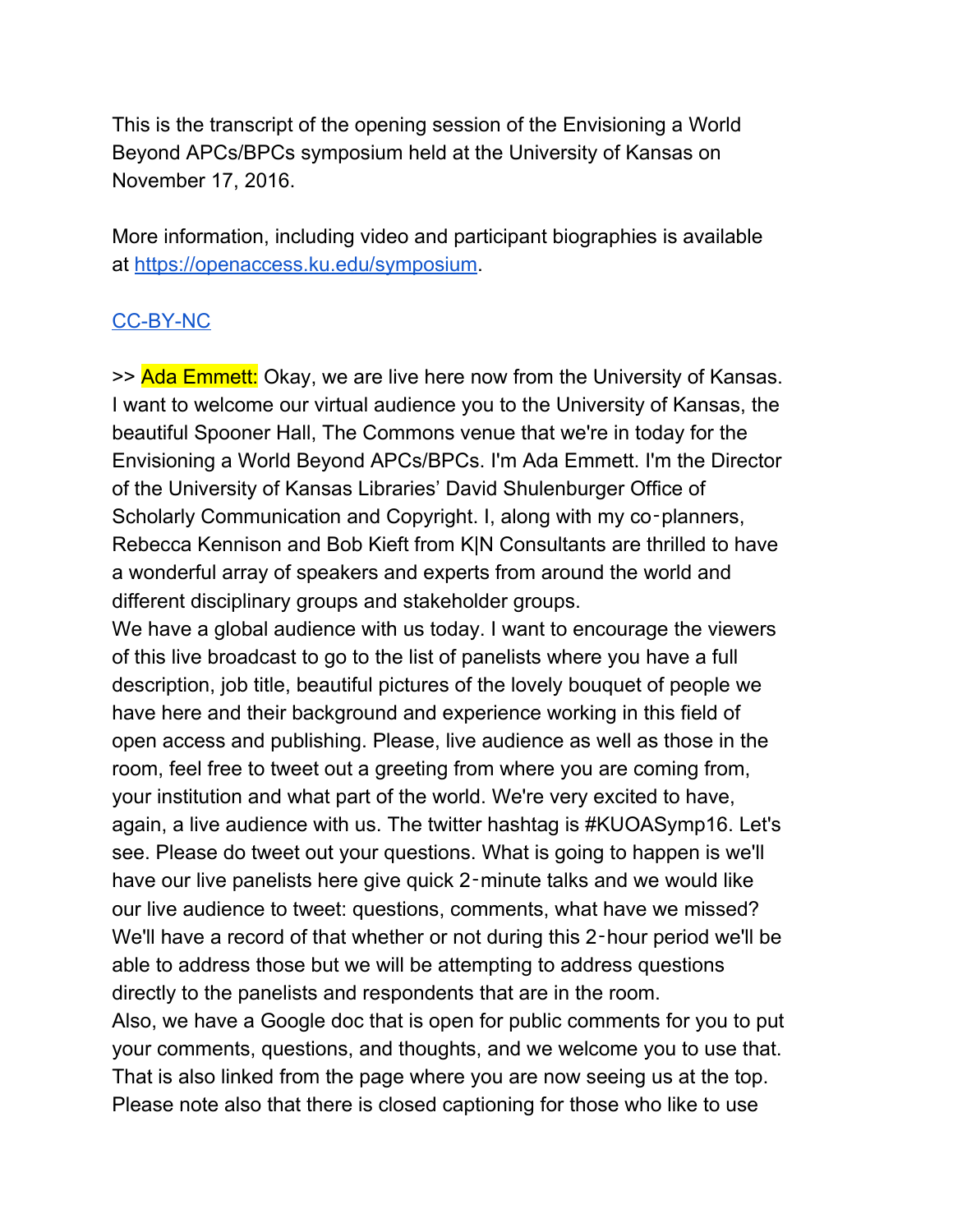This is the transcript of the opening session of the Envisioning a World Beyond APCs/BPCs symposium held at the University of Kansas on November 17, 2016.

More information, including video and participant biographies is available at [https://openaccess.ku.edu/symposium.](https://openaccess.ku.edu/symposium)

# [CC-BY-NC](https://creativecommons.org/licenses/by-nc/4.0/)

>> Ada Emmett: Okay, we are live here now from the University of Kansas. I want to welcome our virtual audience you to the University of Kansas, the beautiful Spooner Hall, The Commons venue that we're in today for the Envisioning a World Beyond APCs/BPCs. I'm Ada Emmett. I'm the Director of the University of Kansas Libraries' David Shulenburger Office of Scholarly Communication and Copyright. I, along with my co-planners, Rebecca Kennison and Bob Kieft from K|N Consultants are thrilled to have a wonderful array of speakers and experts from around the world and different disciplinary groups and stakeholder groups.

We have a global audience with us today. I want to encourage the viewers of this live broadcast to go to the list of panelists where you have a full description, job title, beautiful pictures of the lovely bouquet of people we have here and their background and experience working in this field of open access and publishing. Please, live audience as well as those in the room, feel free to tweet out a greeting from where you are coming from, your institution and what part of the world. We're very excited to have, again, a live audience with us. The twitter hashtag is #KUOASymp16. Let's see. Please do tweet out your questions. What is going to happen is we'll have our live panelists here give quick 2‑minute talks and we would like our live audience to tweet: questions, comments, what have we missed? We'll have a record of that whether or not during this 2-hour period we'll be able to address those but we will be attempting to address questions directly to the panelists and respondents that are in the room. Also, we have a Google doc that is open for public comments for you to put your comments, questions, and thoughts, and we welcome you to use that. That is also linked from the page where you are now seeing us at the top.

Please note also that there is closed captioning for those who like to use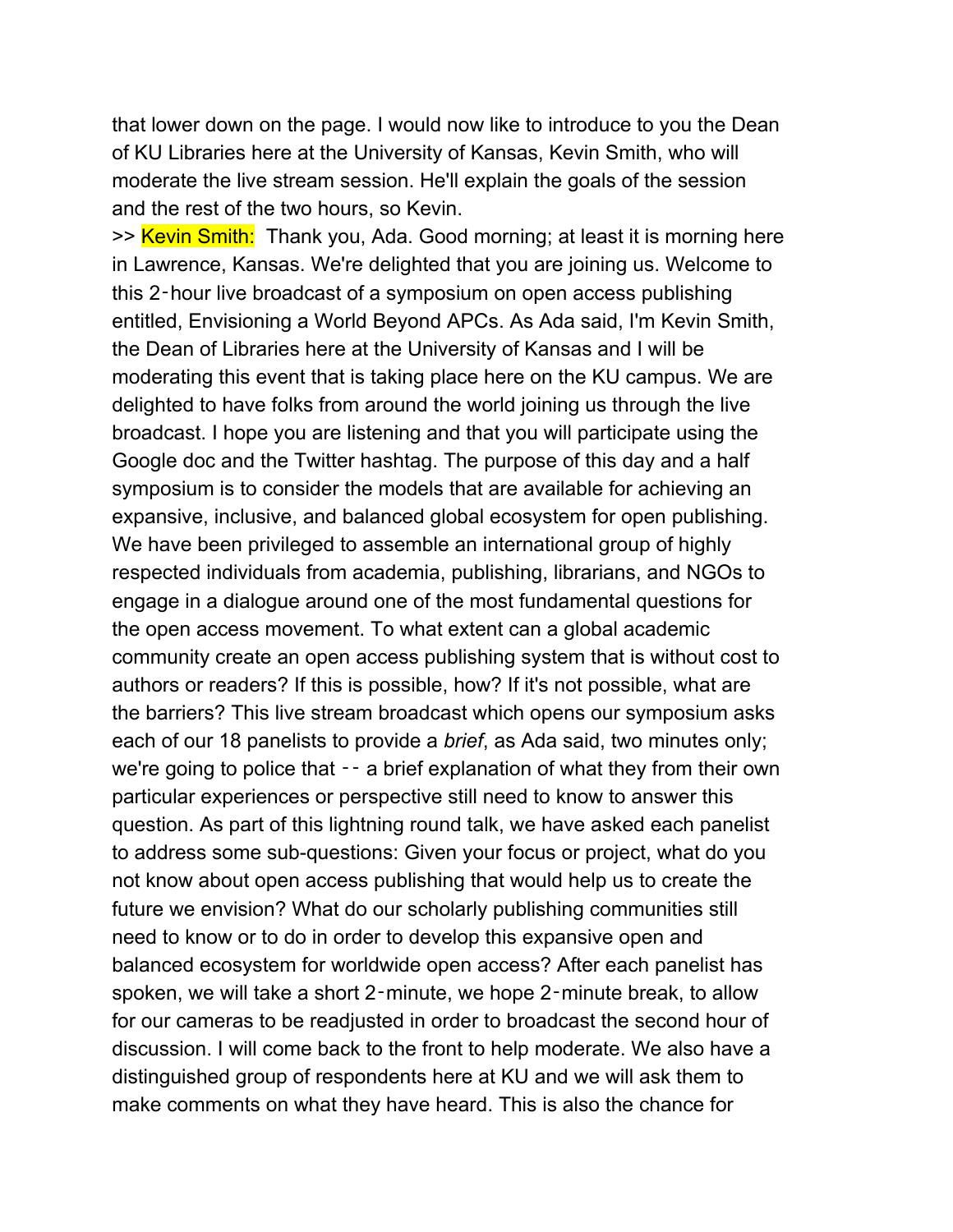that lower down on the page. I would now like to introduce to you the Dean of KU Libraries here at the University of Kansas, Kevin Smith, who will moderate the live stream session. He'll explain the goals of the session and the rest of the two hours, so Kevin.

>> Kevin Smith: Thank you, Ada. Good morning; at least it is morning here in Lawrence, Kansas. We're delighted that you are joining us. Welcome to this 2‑hour live broadcast of a symposium on open access publishing entitled, Envisioning a World Beyond APCs. As Ada said, I'm Kevin Smith, the Dean of Libraries here at the University of Kansas and I will be moderating this event that is taking place here on the KU campus. We are delighted to have folks from around the world joining us through the live broadcast. I hope you are listening and that you will participate using the Google doc and the Twitter hashtag. The purpose of this day and a half symposium is to consider the models that are available for achieving an expansive, inclusive, and balanced global ecosystem for open publishing. We have been privileged to assemble an international group of highly respected individuals from academia, publishing, librarians, and NGOs to engage in a dialogue around one of the most fundamental questions for the open access movement. To what extent can a global academic community create an open access publishing system that is without cost to authors or readers? If this is possible, how? If it's not possible, what are the barriers? This live stream broadcast which opens our symposium asks each of our 18 panelists to provide a *brief*, as Ada said, two minutes only; we're going to police that  $-$  a brief explanation of what they from their own particular experiences or perspective still need to know to answer this question. As part of this lightning round talk, we have asked each panelist to address some sub-questions: Given your focus or project, what do you not know about open access publishing that would help us to create the future we envision? What do our scholarly publishing communities still need to know or to do in order to develop this expansive open and balanced ecosystem for worldwide open access? After each panelist has spoken, we will take a short 2‑minute, we hope 2‑minute break, to allow for our cameras to be readjusted in order to broadcast the second hour of discussion. I will come back to the front to help moderate. We also have a distinguished group of respondents here at KU and we will ask them to make comments on what they have heard. This is also the chance for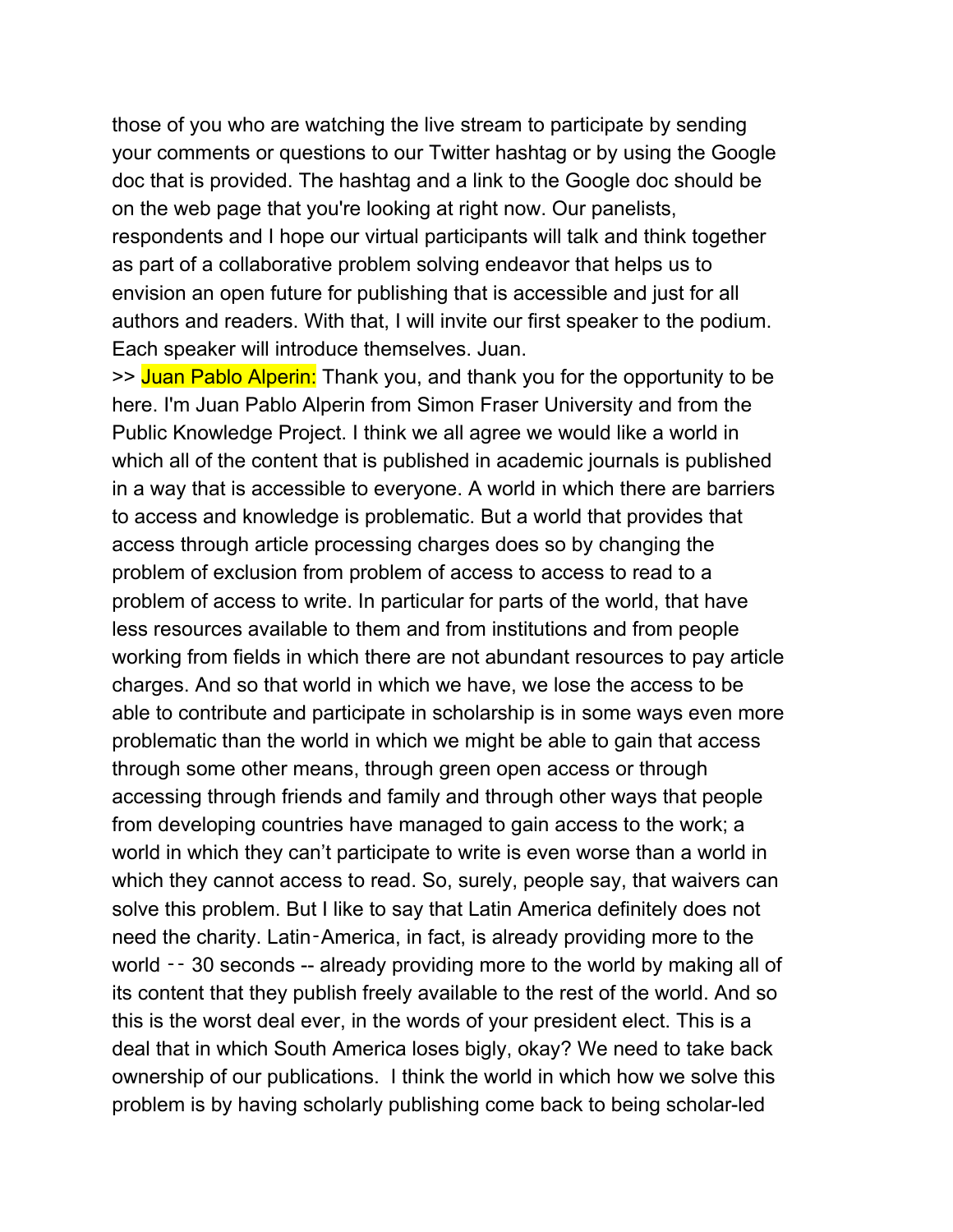those of you who are watching the live stream to participate by sending your comments or questions to our Twitter hashtag or by using the Google doc that is provided. The hashtag and a link to the Google doc should be on the web page that you're looking at right now. Our panelists, respondents and I hope our virtual participants will talk and think together as part of a collaborative problem solving endeavor that helps us to envision an open future for publishing that is accessible and just for all authors and readers. With that, I will invite our first speaker to the podium. Each speaker will introduce themselves. Juan.

>> Juan Pablo Alperin: Thank you, and thank you for the opportunity to be here. I'm Juan Pablo Alperin from Simon Fraser University and from the Public Knowledge Project. I think we all agree we would like a world in which all of the content that is published in academic journals is published in a way that is accessible to everyone. A world in which there are barriers to access and knowledge is problematic. But a world that provides that access through article processing charges does so by changing the problem of exclusion from problem of access to access to read to a problem of access to write. In particular for parts of the world, that have less resources available to them and from institutions and from people working from fields in which there are not abundant resources to pay article charges. And so that world in which we have, we lose the access to be able to contribute and participate in scholarship is in some ways even more problematic than the world in which we might be able to gain that access through some other means, through green open access or through accessing through friends and family and through other ways that people from developing countries have managed to gain access to the work; a world in which they can't participate to write is even worse than a world in which they cannot access to read. So, surely, people say, that waivers can solve this problem. But I like to say that Latin America definitely does not need the charity. Latin‑America, in fact, is already providing more to the world -- 30 seconds -- already providing more to the world by making all of its content that they publish freely available to the rest of the world. And so this is the worst deal ever, in the words of your president elect. This is a deal that in which South America loses bigly, okay? We need to take back ownership of our publications. I think the world in which how we solve this problem is by having scholarly publishing come back to being scholar-led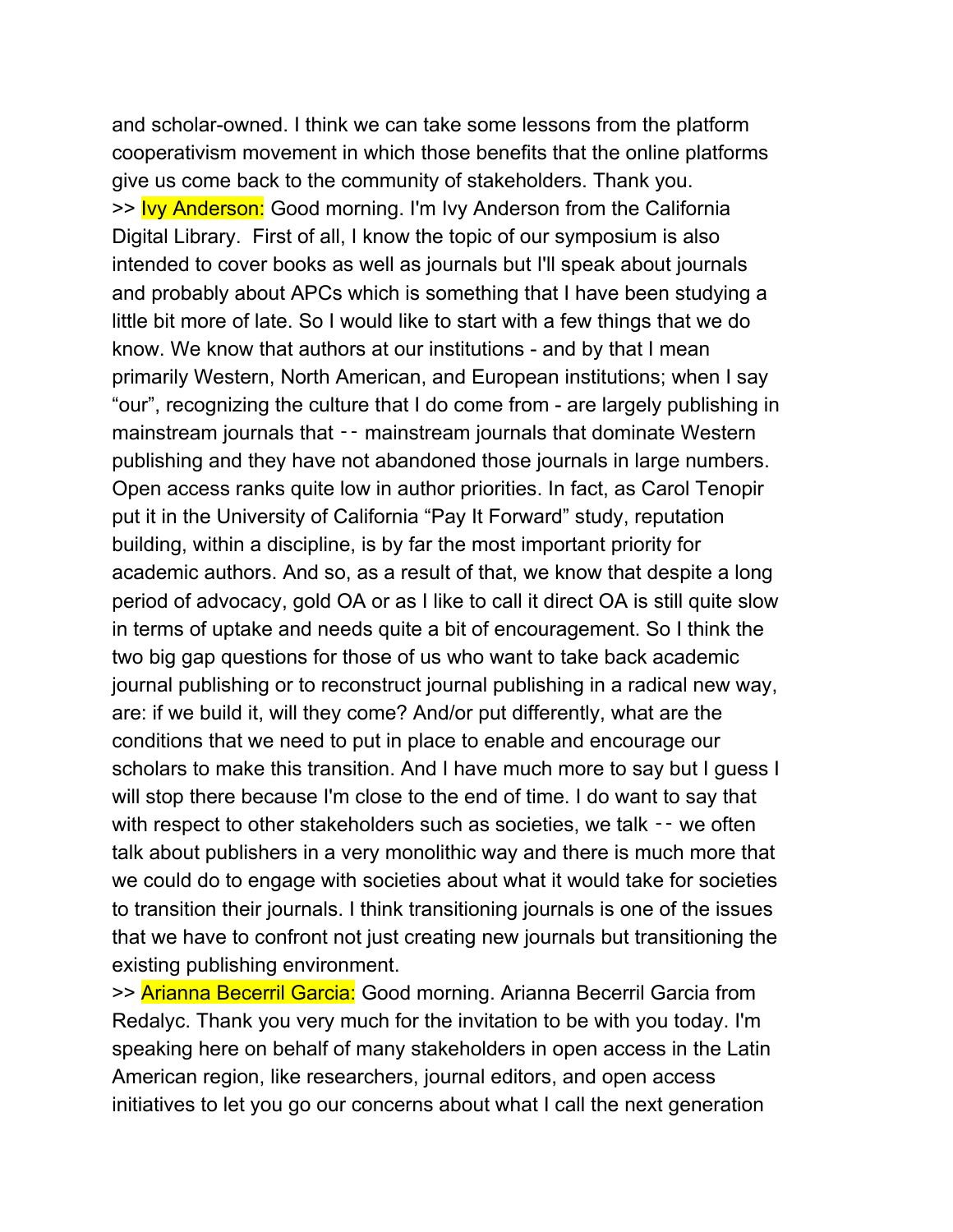and scholar-owned. I think we can take some lessons from the platform cooperativism movement in which those benefits that the online platforms give us come back to the community of stakeholders. Thank you. >> Ivy Anderson: Good morning. I'm Ivy Anderson from the California Digital Library. First of all, I know the topic of our symposium is also intended to cover books as well as journals but I'll speak about journals and probably about APCs which is something that I have been studying a little bit more of late. So I would like to start with a few things that we do know. We know that authors at our institutions - and by that I mean primarily Western, North American, and European institutions; when I say "our", recognizing the culture that I do come from - are largely publishing in mainstream journals that -- mainstream journals that dominate Western publishing and they have not abandoned those journals in large numbers. Open access ranks quite low in author priorities. In fact, as Carol Tenopir put it in the University of California "Pay It Forward" study, reputation building, within a discipline, is by far the most important priority for academic authors. And so, as a result of that, we know that despite a long period of advocacy, gold OA or as I like to call it direct OA is still quite slow in terms of uptake and needs quite a bit of encouragement. So I think the two big gap questions for those of us who want to take back academic journal publishing or to reconstruct journal publishing in a radical new way, are: if we build it, will they come? And/or put differently, what are the conditions that we need to put in place to enable and encourage our scholars to make this transition. And I have much more to say but I guess I will stop there because I'm close to the end of time. I do want to say that with respect to other stakeholders such as societies, we talk -- we often talk about publishers in a very monolithic way and there is much more that we could do to engage with societies about what it would take for societies to transition their journals. I think transitioning journals is one of the issues that we have to confront not just creating new journals but transitioning the existing publishing environment.

>> Arianna Becerril Garcia: Good morning. Arianna Becerril Garcia from Redalyc. Thank you very much for the invitation to be with you today. I'm speaking here on behalf of many stakeholders in open access in the Latin American region, like researchers, journal editors, and open access initiatives to let you go our concerns about what I call the next generation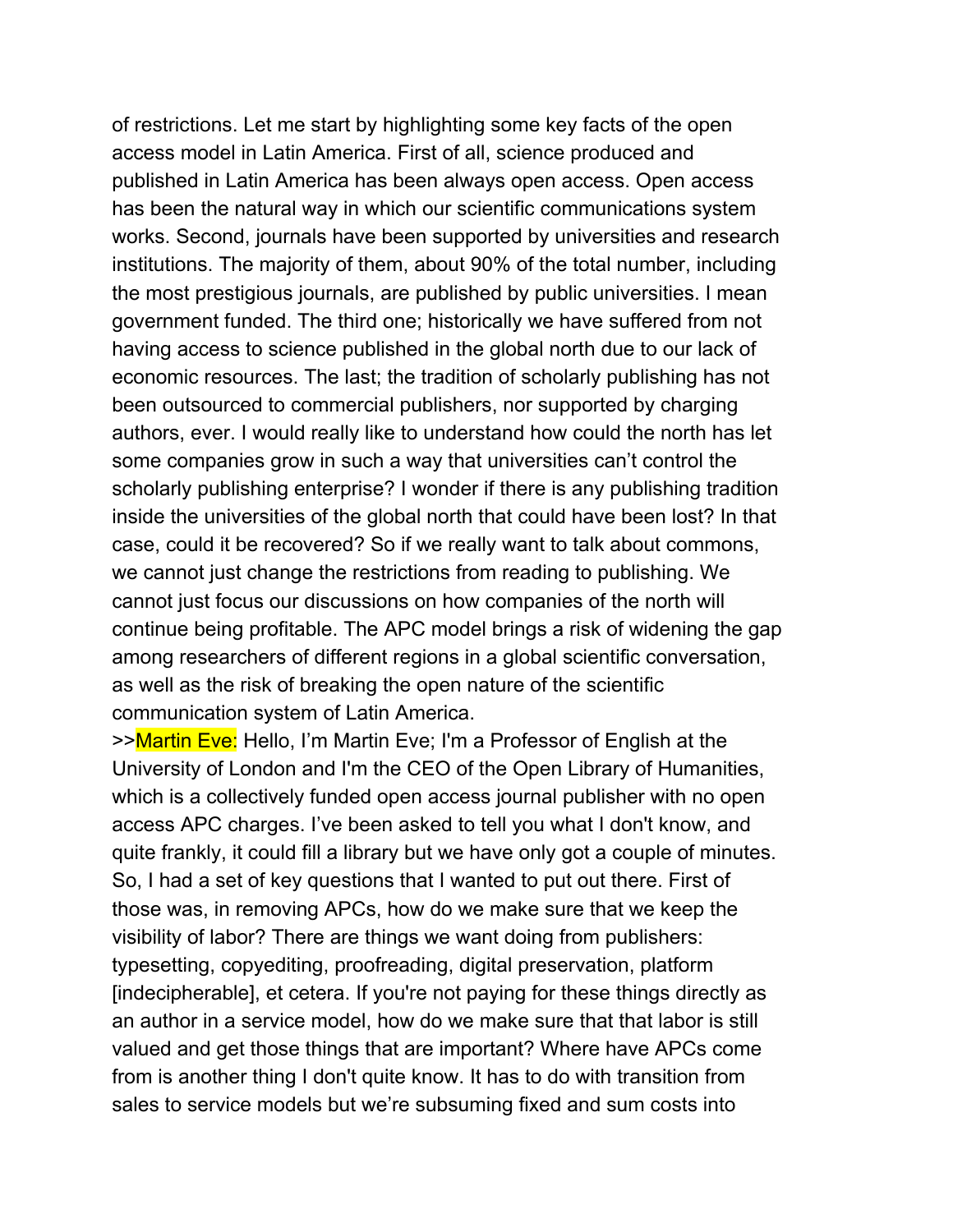of restrictions. Let me start by highlighting some key facts of the open access model in Latin America. First of all, science produced and published in Latin America has been always open access. Open access has been the natural way in which our scientific communications system works. Second, journals have been supported by universities and research institutions. The majority of them, about 90% of the total number, including the most prestigious journals, are published by public universities. I mean government funded. The third one; historically we have suffered from not having access to science published in the global north due to our lack of economic resources. The last; the tradition of scholarly publishing has not been outsourced to commercial publishers, nor supported by charging authors, ever. I would really like to understand how could the north has let some companies grow in such a way that universities can't control the scholarly publishing enterprise? I wonder if there is any publishing tradition inside the universities of the global north that could have been lost? In that case, could it be recovered? So if we really want to talk about commons, we cannot just change the restrictions from reading to publishing. We cannot just focus our discussions on how companies of the north will continue being profitable. The APC model brings a risk of widening the gap among researchers of different regions in a global scientific conversation, as well as the risk of breaking the open nature of the scientific communication system of Latin America.

>>Martin Eve: Hello, I'm Martin Eve; I'm a Professor of English at the University of London and I'm the CEO of the Open Library of Humanities, which is a collectively funded open access journal publisher with no open access APC charges. I've been asked to tell you what I don't know, and quite frankly, it could fill a library but we have only got a couple of minutes. So, I had a set of key questions that I wanted to put out there. First of those was, in removing APCs, how do we make sure that we keep the visibility of labor? There are things we want doing from publishers: typesetting, copyediting, proofreading, digital preservation, platform [indecipherable], et cetera. If you're not paying for these things directly as an author in a service model, how do we make sure that that labor is still valued and get those things that are important? Where have APCs come from is another thing I don't quite know. It has to do with transition from sales to service models but we're subsuming fixed and sum costs into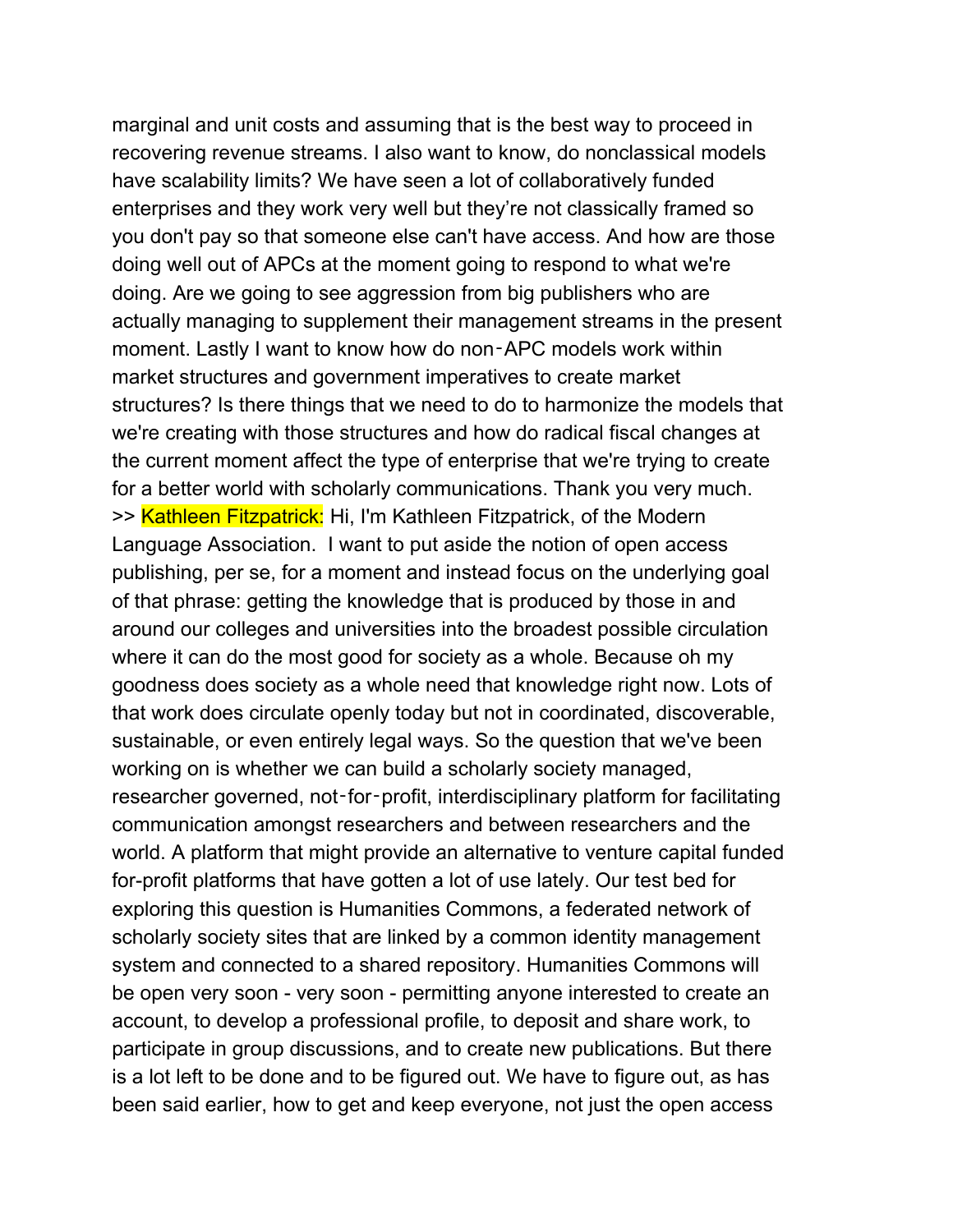marginal and unit costs and assuming that is the best way to proceed in recovering revenue streams. I also want to know, do nonclassical models have scalability limits? We have seen a lot of collaboratively funded enterprises and they work very well but they're not classically framed so you don't pay so that someone else can't have access. And how are those doing well out of APCs at the moment going to respond to what we're doing. Are we going to see aggression from big publishers who are actually managing to supplement their management streams in the present moment. Lastly I want to know how do non‑APC models work within market structures and government imperatives to create market structures? Is there things that we need to do to harmonize the models that we're creating with those structures and how do radical fiscal changes at the current moment affect the type of enterprise that we're trying to create for a better world with scholarly communications. Thank you very much. >> Kathleen Fitzpatrick: Hi, I'm Kathleen Fitzpatrick, of the Modern Language Association. I want to put aside the notion of open access publishing, per se, for a moment and instead focus on the underlying goal of that phrase: getting the knowledge that is produced by those in and around our colleges and universities into the broadest possible circulation where it can do the most good for society as a whole. Because oh my goodness does society as a whole need that knowledge right now. Lots of that work does circulate openly today but not in coordinated, discoverable, sustainable, or even entirely legal ways. So the question that we've been working on is whether we can build a scholarly society managed, researcher governed, not-for-profit, interdisciplinary platform for facilitating communication amongst researchers and between researchers and the world. A platform that might provide an alternative to venture capital funded for-profit platforms that have gotten a lot of use lately. Our test bed for exploring this question is Humanities Commons, a federated network of scholarly society sites that are linked by a common identity management system and connected to a shared repository. Humanities Commons will be open very soon - very soon - permitting anyone interested to create an account, to develop a professional profile, to deposit and share work, to participate in group discussions, and to create new publications. But there is a lot left to be done and to be figured out. We have to figure out, as has been said earlier, how to get and keep everyone, not just the open access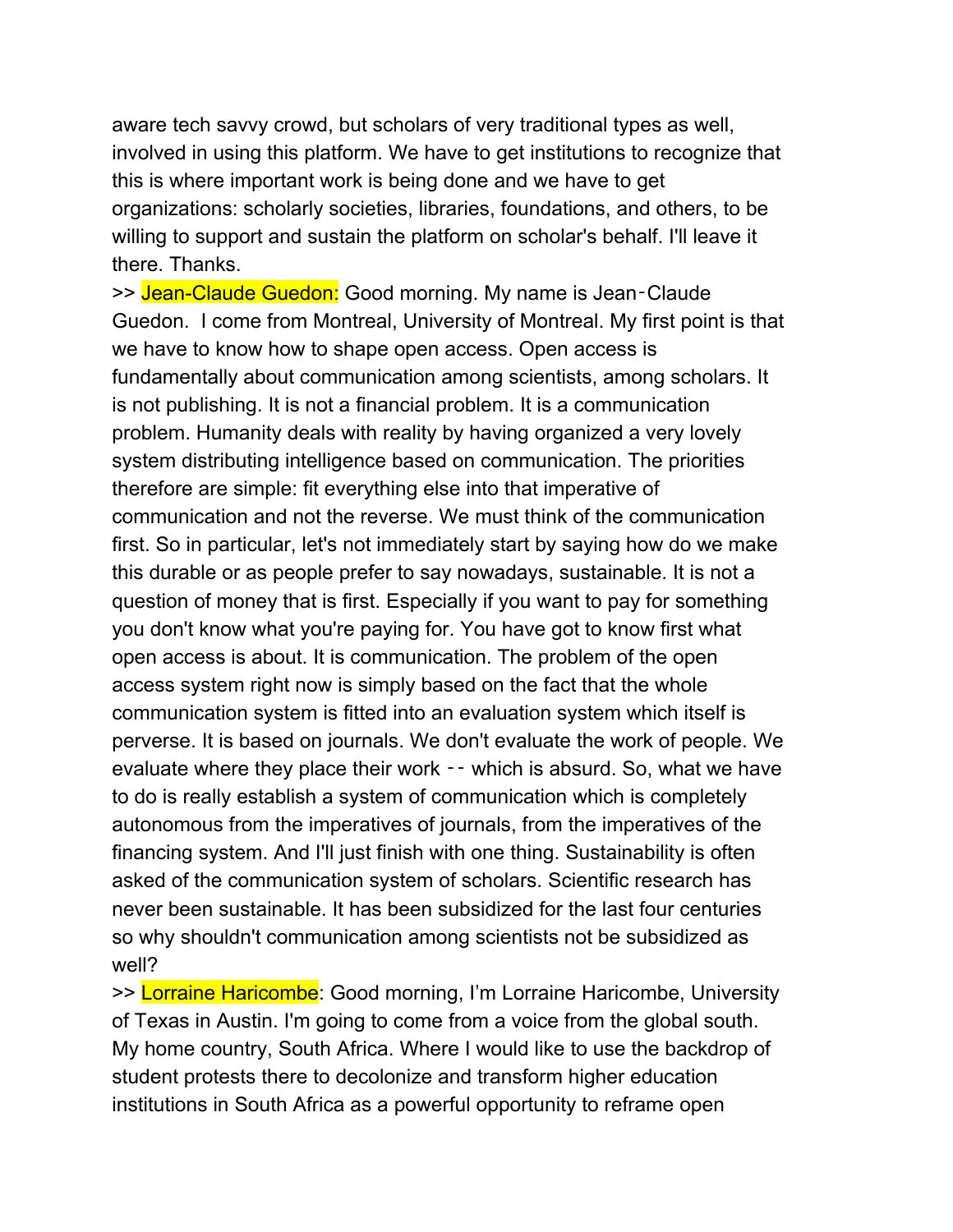aware tech savvy crowd, but scholars of very traditional types as well, involved in using this platform. We have to get institutions to recognize that this is where important work is being done and we have to get organizations: scholarly societies, libraries, foundations, and others, to be willing to support and sustain the platform on scholar's behalf. I'll leave it there. Thanks.

>> Jean-Claude Guedon: Good morning. My name is Jean-Claude Guedon. I come from Montreal, University of Montreal. My first point is that we have to know how to shape open access. Open access is fundamentally about communication among scientists, among scholars. It is not publishing. It is not a financial problem. It is a communication problem. Humanity deals with reality by having organized a very lovely system distributing intelligence based on communication. The priorities therefore are simple: fit everything else into that imperative of communication and not the reverse. We must think of the communication first. So in particular, let's not immediately start by saying how do we make this durable or as people prefer to say nowadays, sustainable. It is not a question of money that is first. Especially if you want to pay for something you don't know what you're paying for. You have got to know first what open access is about. It is communication. The problem of the open access system right now is simply based on the fact that the whole communication system is fitted into an evaluation system which itself is perverse. It is based on journals. We don't evaluate the work of people. We evaluate where they place their work  $-$  which is absurd. So, what we have to do is really establish a system of communication which is completely autonomous from the imperatives of journals, from the imperatives of the financing system. And I'll just finish with one thing. Sustainability is often asked of the communication system of scholars. Scientific research has never been sustainable. It has been subsidized for the last four centuries so why shouldn't communication among scientists not be subsidized as well?

>> Lorraine Haricombe: Good morning, I'm Lorraine Haricombe, University of Texas in Austin. I'm going to come from a voice from the global south. My home country, South Africa. Where I would like to use the backdrop of student protests there to decolonize and transform higher education institutions in South Africa as a powerful opportunity to reframe open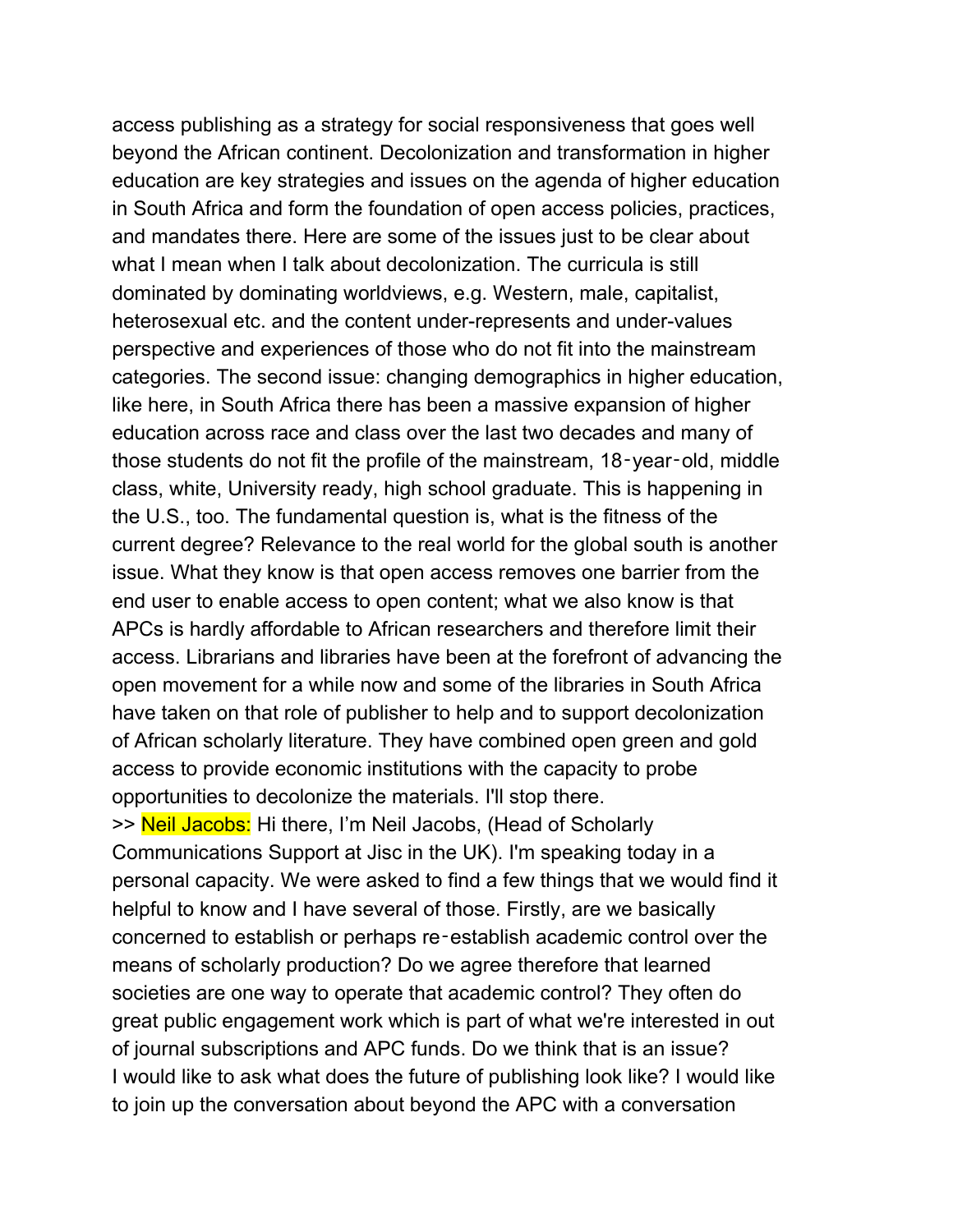access publishing as a strategy for social responsiveness that goes well beyond the African continent. Decolonization and transformation in higher education are key strategies and issues on the agenda of higher education in South Africa and form the foundation of open access policies, practices, and mandates there. Here are some of the issues just to be clear about what I mean when I talk about decolonization. The curricula is still dominated by dominating worldviews, e.g. Western, male, capitalist, heterosexual etc. and the content under-represents and under-values perspective and experiences of those who do not fit into the mainstream categories. The second issue: changing demographics in higher education, like here, in South Africa there has been a massive expansion of higher education across race and class over the last two decades and many of those students do not fit the profile of the mainstream, 18‑year‑old, middle class, white, University ready, high school graduate. This is happening in the U.S., too. The fundamental question is, what is the fitness of the current degree? Relevance to the real world for the global south is another issue. What they know is that open access removes one barrier from the end user to enable access to open content; what we also know is that APCs is hardly affordable to African researchers and therefore limit their access. Librarians and libraries have been at the forefront of advancing the open movement for a while now and some of the libraries in South Africa have taken on that role of publisher to help and to support decolonization of African scholarly literature. They have combined open green and gold access to provide economic institutions with the capacity to probe opportunities to decolonize the materials. I'll stop there. >> Neil Jacobs: Hi there, I'm Neil Jacobs, (Head of Scholarly Communications Support at Jisc in the UK). I'm speaking today in a personal capacity. We were asked to find a few things that we would find it helpful to know and I have several of those. Firstly, are we basically concerned to establish or perhaps re‑establish academic control over the means of scholarly production? Do we agree therefore that learned societies are one way to operate that academic control? They often do great public engagement work which is part of what we're interested in out of journal subscriptions and APC funds. Do we think that is an issue? I would like to ask what does the future of publishing look like? I would like to join up the conversation about beyond the APC with a conversation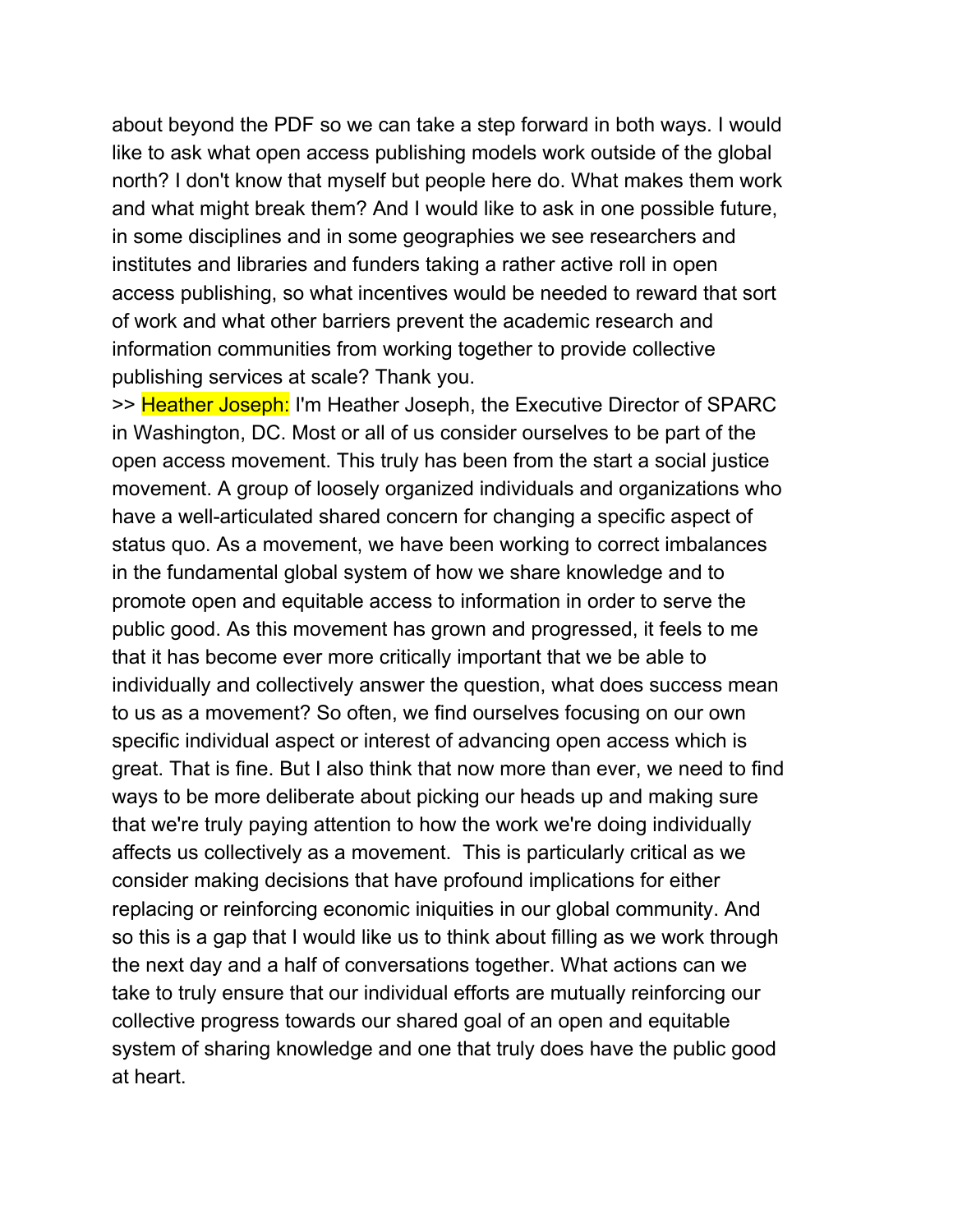about beyond the PDF so we can take a step forward in both ways. I would like to ask what open access publishing models work outside of the global north? I don't know that myself but people here do. What makes them work and what might break them? And I would like to ask in one possible future, in some disciplines and in some geographies we see researchers and institutes and libraries and funders taking a rather active roll in open access publishing, so what incentives would be needed to reward that sort of work and what other barriers prevent the academic research and information communities from working together to provide collective publishing services at scale? Thank you.

>> Heather Joseph: I'm Heather Joseph, the Executive Director of SPARC in Washington, DC. Most or all of us consider ourselves to be part of the open access movement. This truly has been from the start a social justice movement. A group of loosely organized individuals and organizations who have a well-articulated shared concern for changing a specific aspect of status quo. As a movement, we have been working to correct imbalances in the fundamental global system of how we share knowledge and to promote open and equitable access to information in order to serve the public good. As this movement has grown and progressed, it feels to me that it has become ever more critically important that we be able to individually and collectively answer the question, what does success mean to us as a movement? So often, we find ourselves focusing on our own specific individual aspect or interest of advancing open access which is great. That is fine. But I also think that now more than ever, we need to find ways to be more deliberate about picking our heads up and making sure that we're truly paying attention to how the work we're doing individually affects us collectively as a movement. This is particularly critical as we consider making decisions that have profound implications for either replacing or reinforcing economic iniquities in our global community. And so this is a gap that I would like us to think about filling as we work through the next day and a half of conversations together. What actions can we take to truly ensure that our individual efforts are mutually reinforcing our collective progress towards our shared goal of an open and equitable system of sharing knowledge and one that truly does have the public good at heart.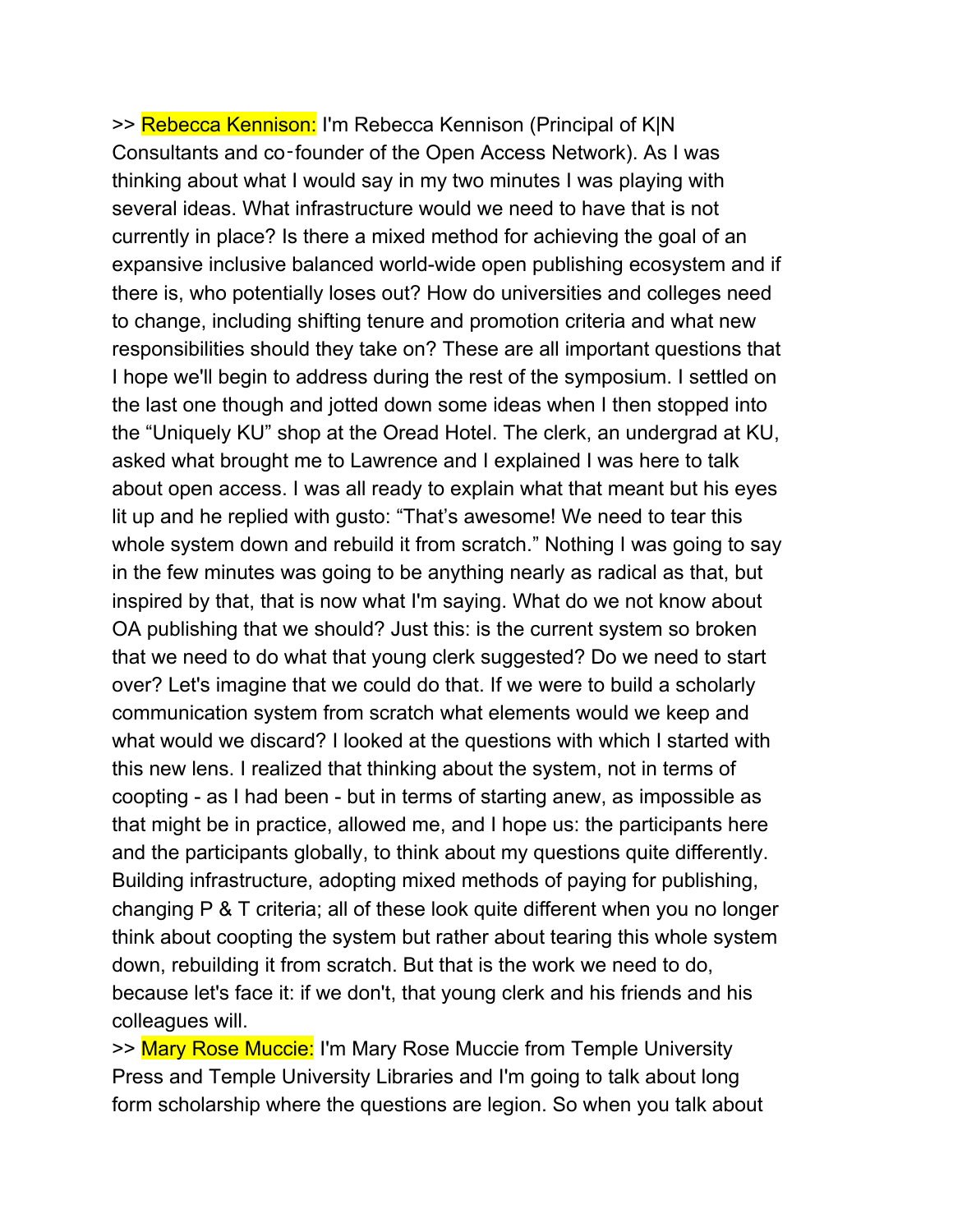>> Rebecca Kennison: I'm Rebecca Kennison (Principal of K|N Consultants and co‑founder of the Open Access Network). As I was thinking about what I would say in my two minutes I was playing with several ideas. What infrastructure would we need to have that is not currently in place? Is there a mixed method for achieving the goal of an expansive inclusive balanced world-wide open publishing ecosystem and if there is, who potentially loses out? How do universities and colleges need to change, including shifting tenure and promotion criteria and what new responsibilities should they take on? These are all important questions that I hope we'll begin to address during the rest of the symposium. I settled on the last one though and jotted down some ideas when I then stopped into the "Uniquely KU" shop at the Oread Hotel. The clerk, an undergrad at KU, asked what brought me to Lawrence and I explained I was here to talk about open access. I was all ready to explain what that meant but his eyes lit up and he replied with gusto: "That's awesome! We need to tear this whole system down and rebuild it from scratch." Nothing I was going to say in the few minutes was going to be anything nearly as radical as that, but inspired by that, that is now what I'm saying. What do we not know about OA publishing that we should? Just this: is the current system so broken that we need to do what that young clerk suggested? Do we need to start over? Let's imagine that we could do that. If we were to build a scholarly communication system from scratch what elements would we keep and what would we discard? I looked at the questions with which I started with this new lens. I realized that thinking about the system, not in terms of coopting - as I had been - but in terms of starting anew, as impossible as that might be in practice, allowed me, and I hope us: the participants here and the participants globally, to think about my questions quite differently. Building infrastructure, adopting mixed methods of paying for publishing, changing P & T criteria; all of these look quite different when you no longer think about coopting the system but rather about tearing this whole system down, rebuilding it from scratch. But that is the work we need to do, because let's face it: if we don't, that young clerk and his friends and his colleagues will.

>> Mary Rose Muccie: I'm Mary Rose Muccie from Temple University Press and Temple University Libraries and I'm going to talk about long form scholarship where the questions are legion. So when you talk about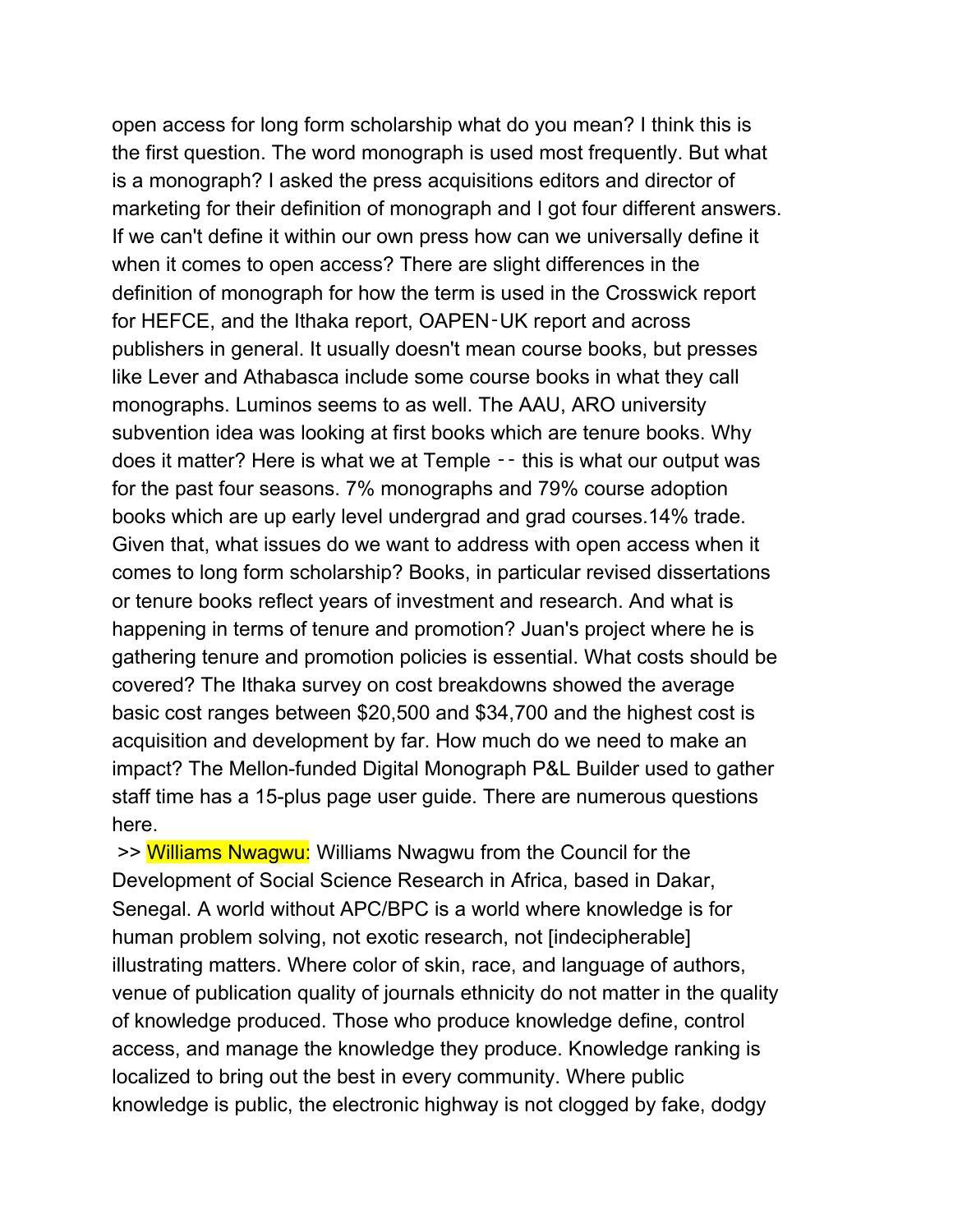open access for long form scholarship what do you mean? I think this is the first question. The word monograph is used most frequently. But what is a monograph? I asked the press acquisitions editors and director of marketing for their definition of monograph and I got four different answers. If we can't define it within our own press how can we universally define it when it comes to open access? There are slight differences in the definition of monograph for how the term is used in the Crosswick report for HEFCE, and the Ithaka report, OAPEN‑UK report and across publishers in general. It usually doesn't mean course books, but presses like Lever and Athabasca include some course books in what they call monographs. Luminos seems to as well. The AAU, ARO university subvention idea was looking at first books which are tenure books. Why does it matter? Here is what we at Temple ‑‑ this is what our output was for the past four seasons. 7% monographs and 79% course adoption books which are up early level undergrad and grad courses.14% trade. Given that, what issues do we want to address with open access when it comes to long form scholarship? Books, in particular revised dissertations or tenure books reflect years of investment and research. And what is happening in terms of tenure and promotion? Juan's project where he is gathering tenure and promotion policies is essential. What costs should be covered? The Ithaka survey on cost breakdowns showed the average basic cost ranges between \$20,500 and \$34,700 and the highest cost is acquisition and development by far. How much do we need to make an impact? The Mellon-funded Digital Monograph P&L Builder used to gather staff time has a 15-plus page user guide. There are numerous questions here.

 >> Williams Nwagwu: Williams Nwagwu from the Council for the Development of Social Science Research in Africa, based in Dakar, Senegal. A world without APC/BPC is a world where knowledge is for human problem solving, not exotic research, not [indecipherable] illustrating matters. Where color of skin, race, and language of authors, venue of publication quality of journals ethnicity do not matter in the quality of knowledge produced. Those who produce knowledge define, control access, and manage the knowledge they produce. Knowledge ranking is localized to bring out the best in every community. Where public knowledge is public, the electronic highway is not clogged by fake, dodgy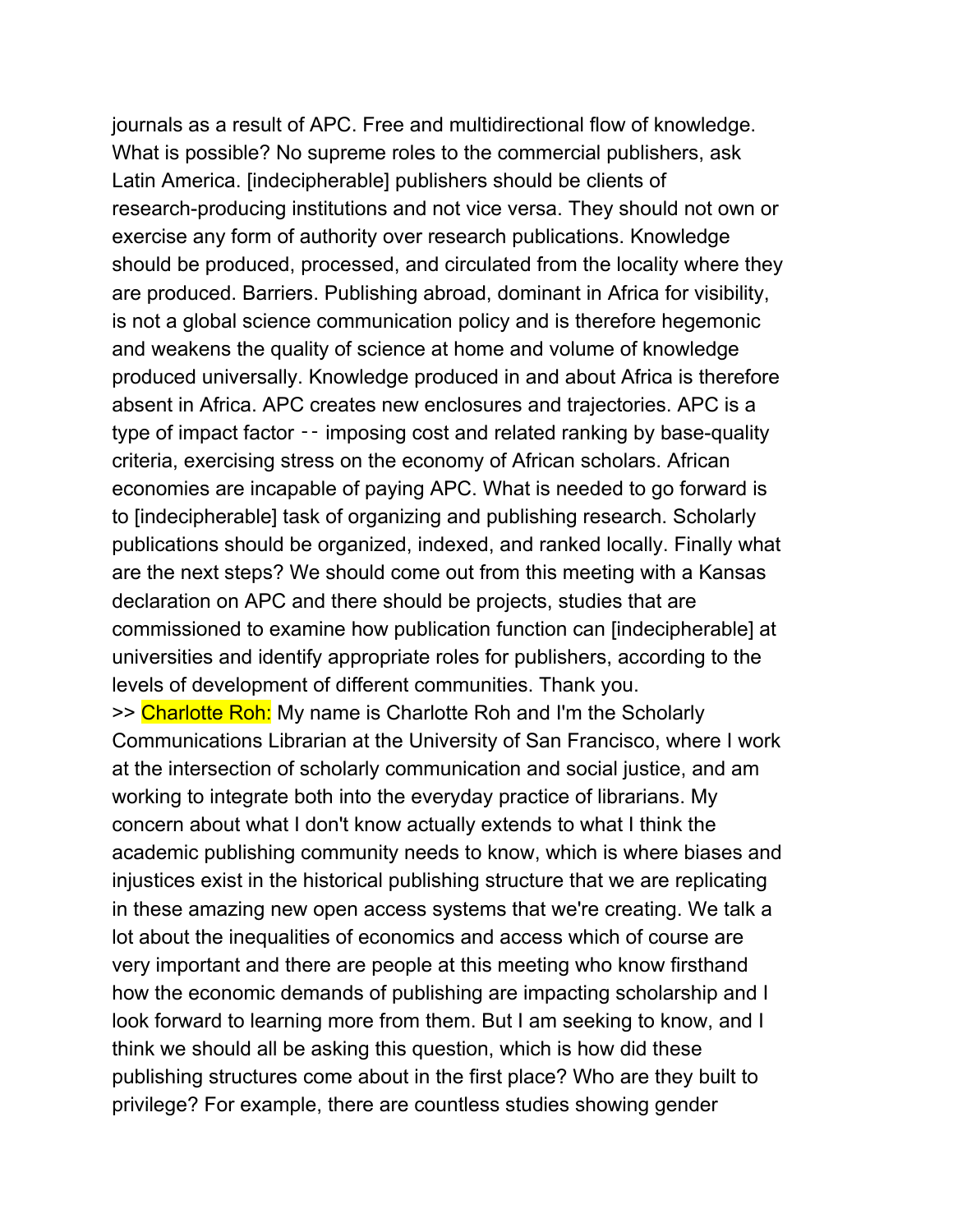journals as a result of APC. Free and multidirectional flow of knowledge. What is possible? No supreme roles to the commercial publishers, ask Latin America. [indecipherable] publishers should be clients of research-producing institutions and not vice versa. They should not own or exercise any form of authority over research publications. Knowledge should be produced, processed, and circulated from the locality where they are produced. Barriers. Publishing abroad, dominant in Africa for visibility, is not a global science communication policy and is therefore hegemonic and weakens the quality of science at home and volume of knowledge produced universally. Knowledge produced in and about Africa is therefore absent in Africa. APC creates new enclosures and trajectories. APC is a type of impact factor — imposing cost and related ranking by base-quality criteria, exercising stress on the economy of African scholars. African economies are incapable of paying APC. What is needed to go forward is to [indecipherable] task of organizing and publishing research. Scholarly publications should be organized, indexed, and ranked locally. Finally what are the next steps? We should come out from this meeting with a Kansas declaration on APC and there should be projects, studies that are commissioned to examine how publication function can [indecipherable] at universities and identify appropriate roles for publishers, according to the levels of development of different communities. Thank you. >> Charlotte Roh: My name is Charlotte Roh and I'm the Scholarly Communications Librarian at the University of San Francisco, where I work at the intersection of scholarly communication and social justice, and am working to integrate both into the everyday practice of librarians. My concern about what I don't know actually extends to what I think the academic publishing community needs to know, which is where biases and injustices exist in the historical publishing structure that we are replicating in these amazing new open access systems that we're creating. We talk a lot about the inequalities of economics and access which of course are very important and there are people at this meeting who know firsthand how the economic demands of publishing are impacting scholarship and I look forward to learning more from them. But I am seeking to know, and I think we should all be asking this question, which is how did these

publishing structures come about in the first place? Who are they built to privilege? For example, there are countless studies showing gender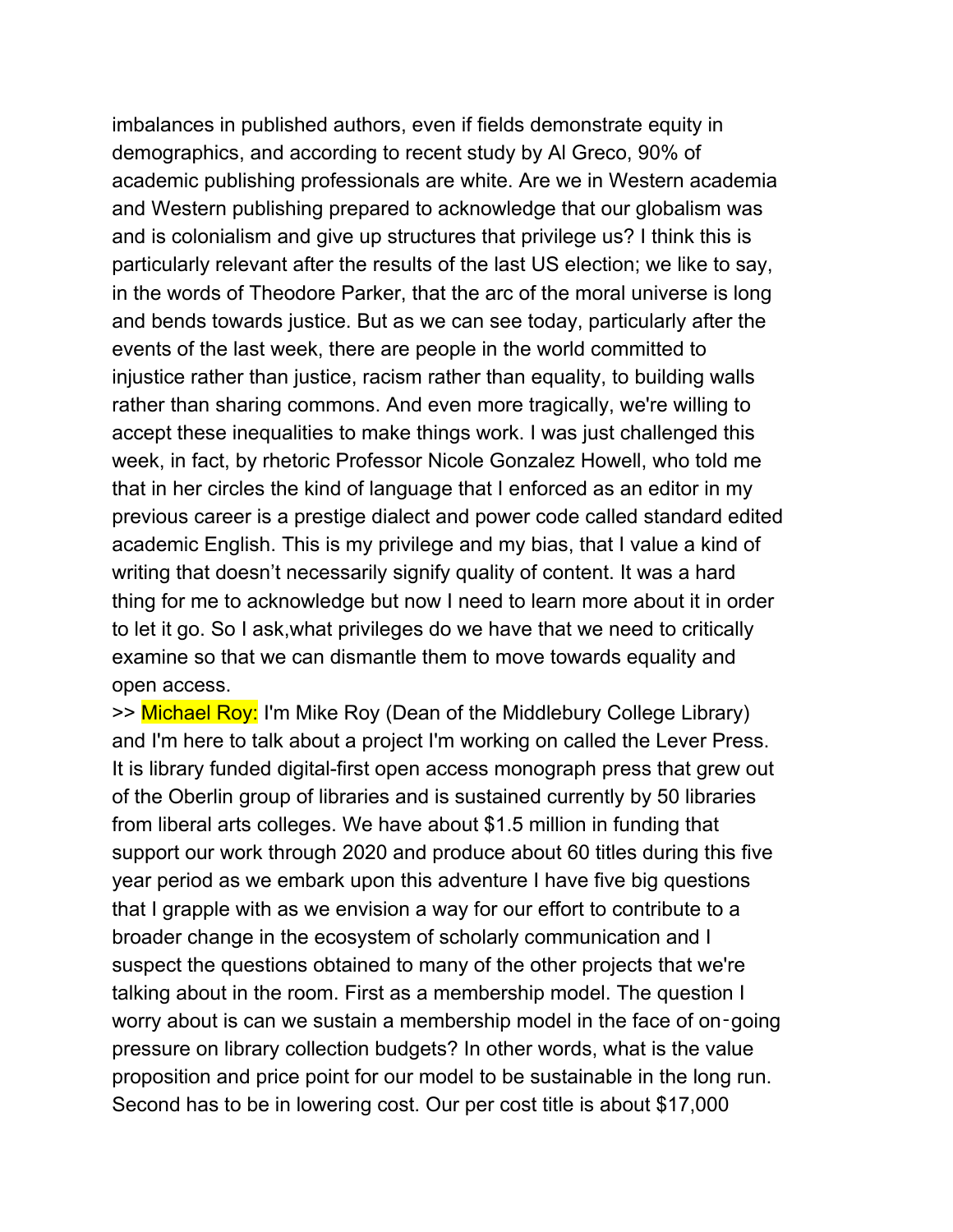imbalances in published authors, even if fields demonstrate equity in demographics, and according to recent study by Al Greco, 90% of academic publishing professionals are white. Are we in Western academia and Western publishing prepared to acknowledge that our globalism was and is colonialism and give up structures that privilege us? I think this is particularly relevant after the results of the last US election; we like to say, in the words of Theodore Parker, that the arc of the moral universe is long and bends towards justice. But as we can see today, particularly after the events of the last week, there are people in the world committed to injustice rather than justice, racism rather than equality, to building walls rather than sharing commons. And even more tragically, we're willing to accept these inequalities to make things work. I was just challenged this week, in fact, by rhetoric Professor Nicole Gonzalez Howell, who told me that in her circles the kind of language that I enforced as an editor in my previous career is a prestige dialect and power code called standard edited academic English. This is my privilege and my bias, that I value a kind of writing that doesn't necessarily signify quality of content. It was a hard thing for me to acknowledge but now I need to learn more about it in order to let it go. So I ask,what privileges do we have that we need to critically examine so that we can dismantle them to move towards equality and open access.

>> Michael Roy: I'm Mike Roy (Dean of the Middlebury College Library) and I'm here to talk about a project I'm working on called the Lever Press. It is library funded digital-first open access monograph press that grew out of the Oberlin group of libraries and is sustained currently by 50 libraries from liberal arts colleges. We have about \$1.5 million in funding that support our work through 2020 and produce about 60 titles during this five year period as we embark upon this adventure I have five big questions that I grapple with as we envision a way for our effort to contribute to a broader change in the ecosystem of scholarly communication and I suspect the questions obtained to many of the other projects that we're talking about in the room. First as a membership model. The question I worry about is can we sustain a membership model in the face of on-going pressure on library collection budgets? In other words, what is the value proposition and price point for our model to be sustainable in the long run. Second has to be in lowering cost. Our per cost title is about \$17,000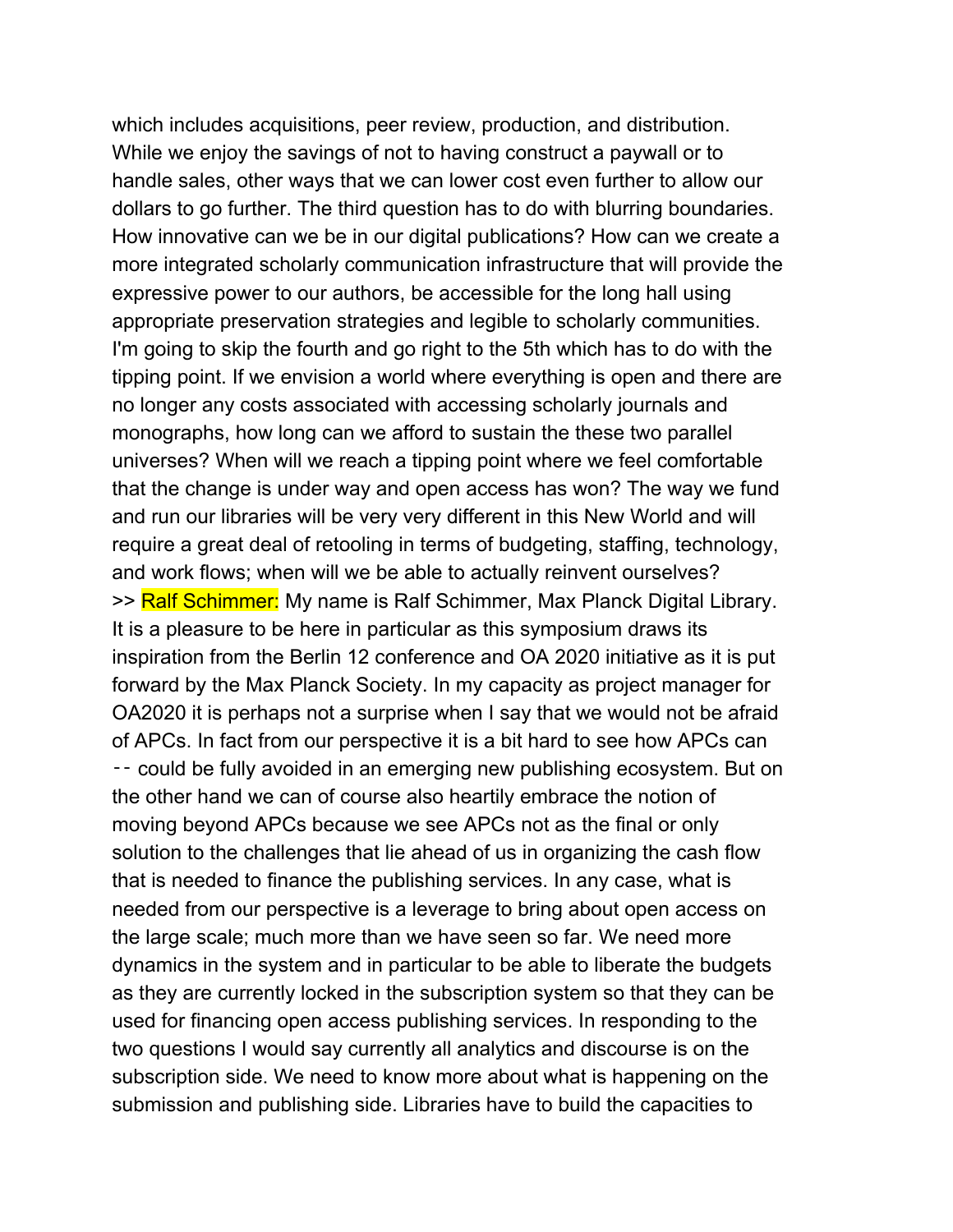which includes acquisitions, peer review, production, and distribution. While we enjoy the savings of not to having construct a paywall or to handle sales, other ways that we can lower cost even further to allow our dollars to go further. The third question has to do with blurring boundaries. How innovative can we be in our digital publications? How can we create a more integrated scholarly communication infrastructure that will provide the expressive power to our authors, be accessible for the long hall using appropriate preservation strategies and legible to scholarly communities. I'm going to skip the fourth and go right to the 5th which has to do with the tipping point. If we envision a world where everything is open and there are no longer any costs associated with accessing scholarly journals and monographs, how long can we afford to sustain the these two parallel universes? When will we reach a tipping point where we feel comfortable that the change is under way and open access has won? The way we fund and run our libraries will be very very different in this New World and will require a great deal of retooling in terms of budgeting, staffing, technology, and work flows; when will we be able to actually reinvent ourselves? >> Ralf Schimmer: My name is Ralf Schimmer, Max Planck Digital Library. It is a pleasure to be here in particular as this symposium draws its inspiration from the Berlin 12 conference and OA 2020 initiative as it is put forward by the Max Planck Society. In my capacity as project manager for OA2020 it is perhaps not a surprise when I say that we would not be afraid of APCs. In fact from our perspective it is a bit hard to see how APCs can ‑‑ could be fully avoided in an emerging new publishing ecosystem. But on the other hand we can of course also heartily embrace the notion of moving beyond APCs because we see APCs not as the final or only solution to the challenges that lie ahead of us in organizing the cash flow that is needed to finance the publishing services. In any case, what is needed from our perspective is a leverage to bring about open access on the large scale; much more than we have seen so far. We need more dynamics in the system and in particular to be able to liberate the budgets as they are currently locked in the subscription system so that they can be used for financing open access publishing services. In responding to the two questions I would say currently all analytics and discourse is on the subscription side. We need to know more about what is happening on the submission and publishing side. Libraries have to build the capacities to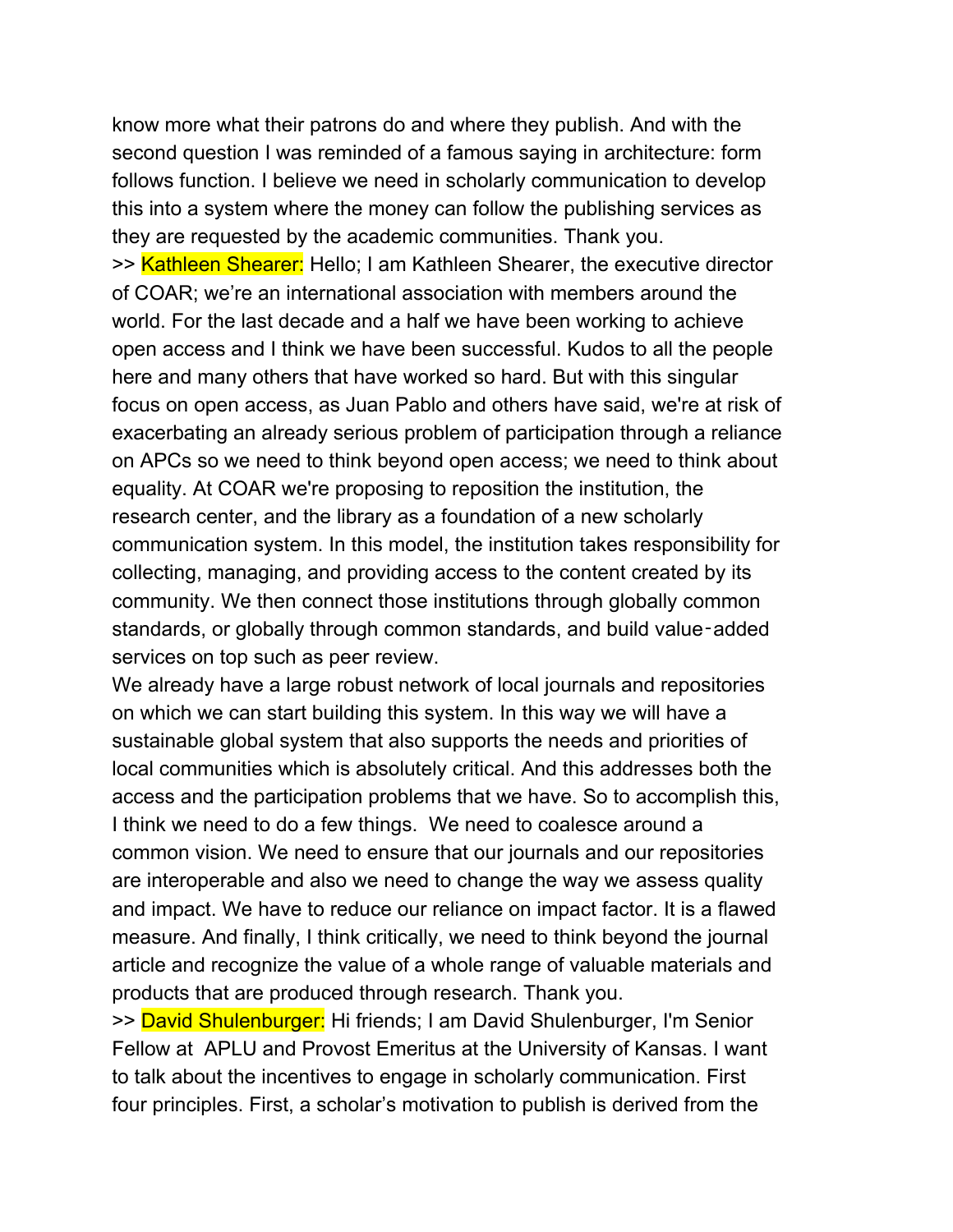know more what their patrons do and where they publish. And with the second question I was reminded of a famous saying in architecture: form follows function. I believe we need in scholarly communication to develop this into a system where the money can follow the publishing services as they are requested by the academic communities. Thank you.

>> Kathleen Shearer: Hello; I am Kathleen Shearer, the executive director of COAR; we're an international association with members around the world. For the last decade and a half we have been working to achieve open access and I think we have been successful. Kudos to all the people here and many others that have worked so hard. But with this singular focus on open access, as Juan Pablo and others have said, we're at risk of exacerbating an already serious problem of participation through a reliance on APCs so we need to think beyond open access; we need to think about equality. At COAR we're proposing to reposition the institution, the research center, and the library as a foundation of a new scholarly communication system. In this model, the institution takes responsibility for collecting, managing, and providing access to the content created by its community. We then connect those institutions through globally common standards, or globally through common standards, and build value-added services on top such as peer review.

We already have a large robust network of local journals and repositories on which we can start building this system. In this way we will have a sustainable global system that also supports the needs and priorities of local communities which is absolutely critical. And this addresses both the access and the participation problems that we have. So to accomplish this, I think we need to do a few things. We need to coalesce around a common vision. We need to ensure that our journals and our repositories are interoperable and also we need to change the way we assess quality and impact. We have to reduce our reliance on impact factor. It is a flawed measure. And finally, I think critically, we need to think beyond the journal article and recognize the value of a whole range of valuable materials and products that are produced through research. Thank you.

>> David Shulenburger: Hi friends; I am David Shulenburger, I'm Senior Fellow at APLU and Provost Emeritus at the University of Kansas. I want to talk about the incentives to engage in scholarly communication. First four principles. First, a scholar's motivation to publish is derived from the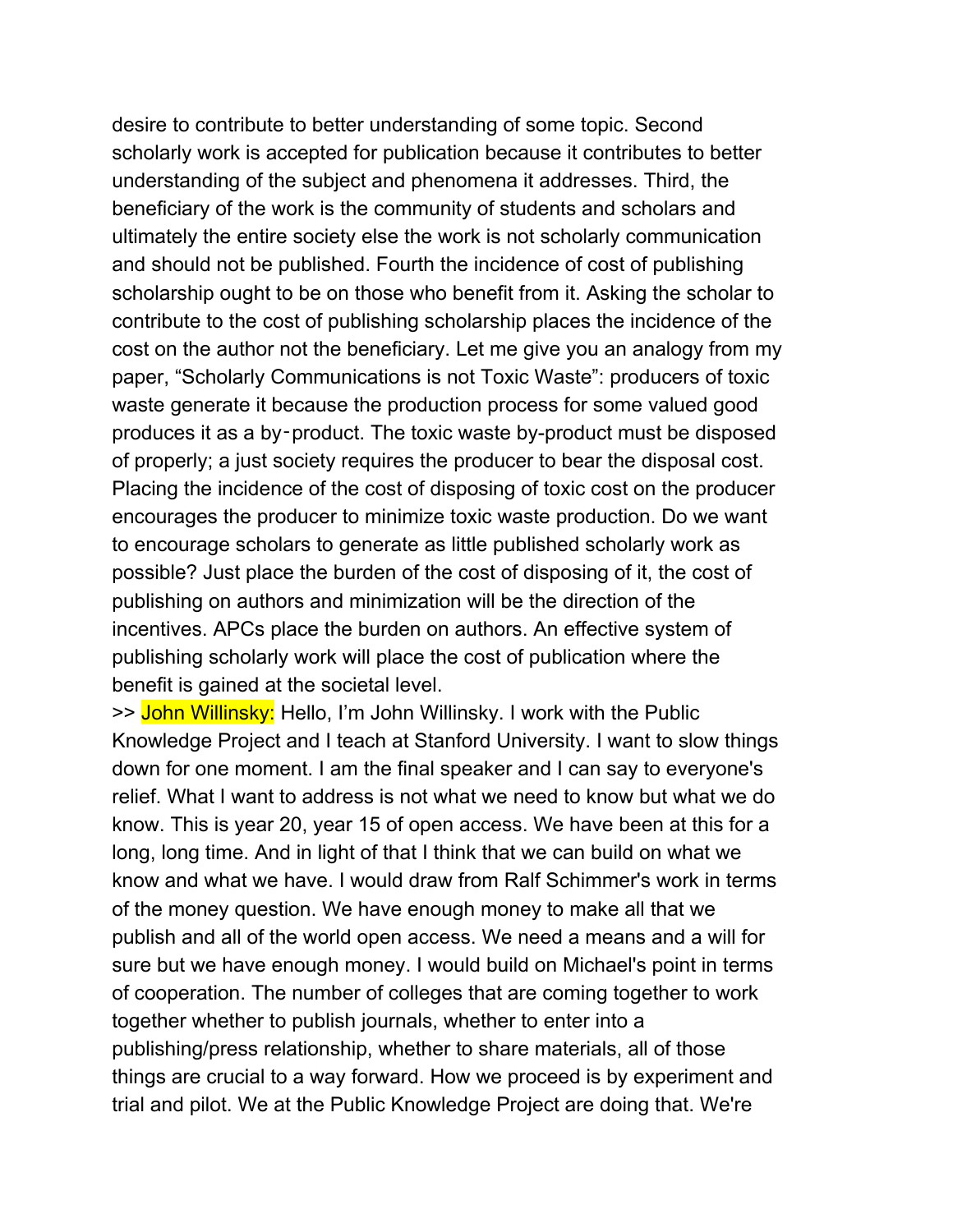desire to contribute to better understanding of some topic. Second scholarly work is accepted for publication because it contributes to better understanding of the subject and phenomena it addresses. Third, the beneficiary of the work is the community of students and scholars and ultimately the entire society else the work is not scholarly communication and should not be published. Fourth the incidence of cost of publishing scholarship ought to be on those who benefit from it. Asking the scholar to contribute to the cost of publishing scholarship places the incidence of the cost on the author not the beneficiary. Let me give you an analogy from my paper, "Scholarly Communications is not Toxic Waste": producers of toxic waste generate it because the production process for some valued good produces it as a by‑product. The toxic waste by-product must be disposed of properly; a just society requires the producer to bear the disposal cost. Placing the incidence of the cost of disposing of toxic cost on the producer encourages the producer to minimize toxic waste production. Do we want to encourage scholars to generate as little published scholarly work as possible? Just place the burden of the cost of disposing of it, the cost of publishing on authors and minimization will be the direction of the incentives. APCs place the burden on authors. An effective system of publishing scholarly work will place the cost of publication where the benefit is gained at the societal level.

>> John Willinsky: Hello, I'm John Willinsky. I work with the Public Knowledge Project and I teach at Stanford University. I want to slow things down for one moment. I am the final speaker and I can say to everyone's relief. What I want to address is not what we need to know but what we do know. This is year 20, year 15 of open access. We have been at this for a long, long time. And in light of that I think that we can build on what we know and what we have. I would draw from Ralf Schimmer's work in terms of the money question. We have enough money to make all that we publish and all of the world open access. We need a means and a will for sure but we have enough money. I would build on Michael's point in terms of cooperation. The number of colleges that are coming together to work together whether to publish journals, whether to enter into a publishing/press relationship, whether to share materials, all of those things are crucial to a way forward. How we proceed is by experiment and trial and pilot. We at the Public Knowledge Project are doing that. We're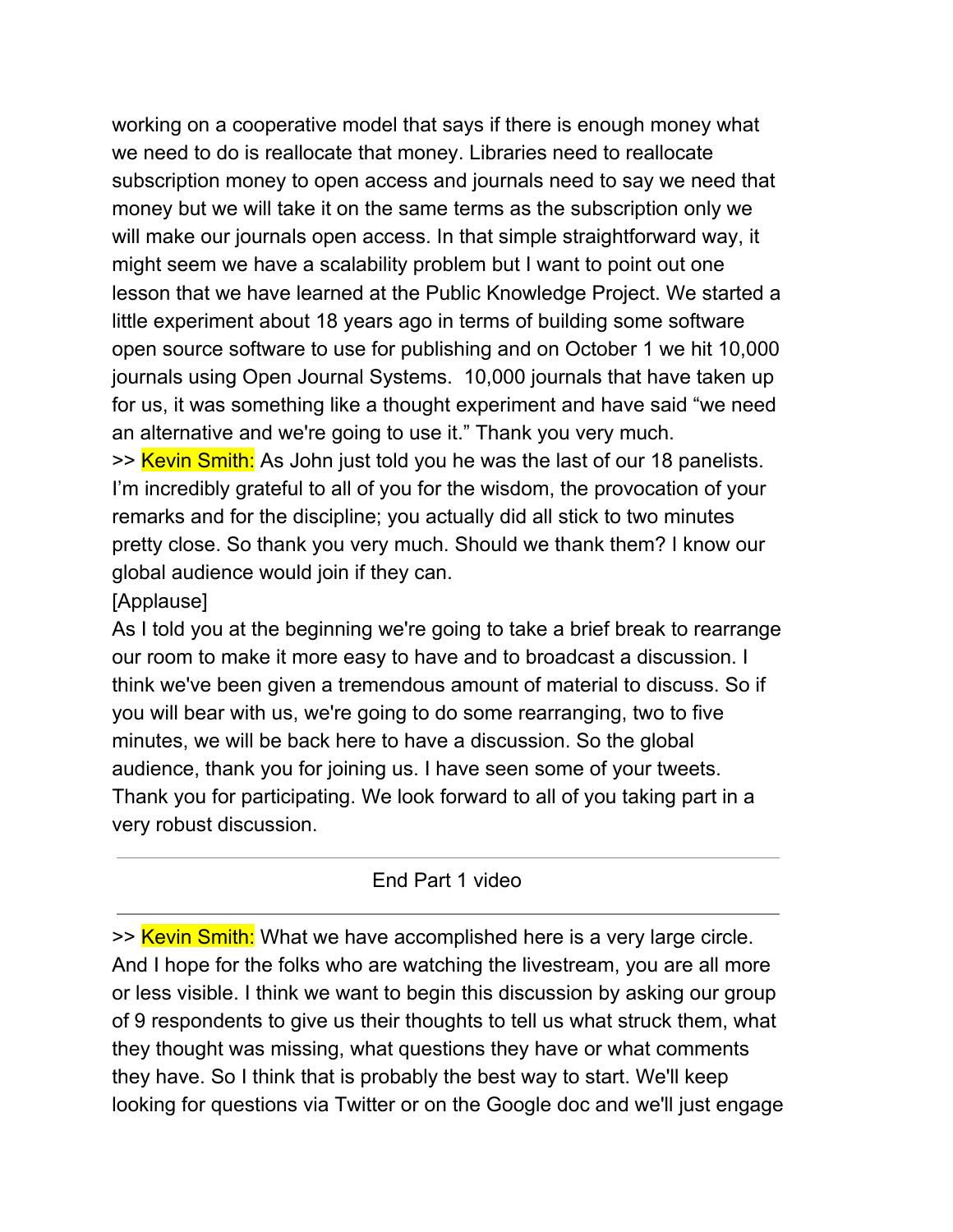working on a cooperative model that says if there is enough money what we need to do is reallocate that money. Libraries need to reallocate subscription money to open access and journals need to say we need that money but we will take it on the same terms as the subscription only we will make our journals open access. In that simple straightforward way, it might seem we have a scalability problem but I want to point out one lesson that we have learned at the Public Knowledge Project. We started a little experiment about 18 years ago in terms of building some software open source software to use for publishing and on October 1 we hit 10,000 journals using Open Journal Systems. 10,000 journals that have taken up for us, it was something like a thought experiment and have said "we need an alternative and we're going to use it." Thank you very much.

>> Kevin Smith: As John just told you he was the last of our 18 panelists. I'm incredibly grateful to all of you for the wisdom, the provocation of your remarks and for the discipline; you actually did all stick to two minutes pretty close. So thank you very much. Should we thank them? I know our global audience would join if they can.

### [Applause]

As I told you at the beginning we're going to take a brief break to rearrange our room to make it more easy to have and to broadcast a discussion. I think we've been given a tremendous amount of material to discuss. So if you will bear with us, we're going to do some rearranging, two to five minutes, we will be back here to have a discussion. So the global audience, thank you for joining us. I have seen some of your tweets. Thank you for participating. We look forward to all of you taking part in a very robust discussion.

## End Part 1 video

>> Kevin Smith: What we have accomplished here is a very large circle. And I hope for the folks who are watching the livestream, you are all more or less visible. I think we want to begin this discussion by asking our group of 9 respondents to give us their thoughts to tell us what struck them, what they thought was missing, what questions they have or what comments they have. So I think that is probably the best way to start. We'll keep looking for questions via Twitter or on the Google doc and we'll just engage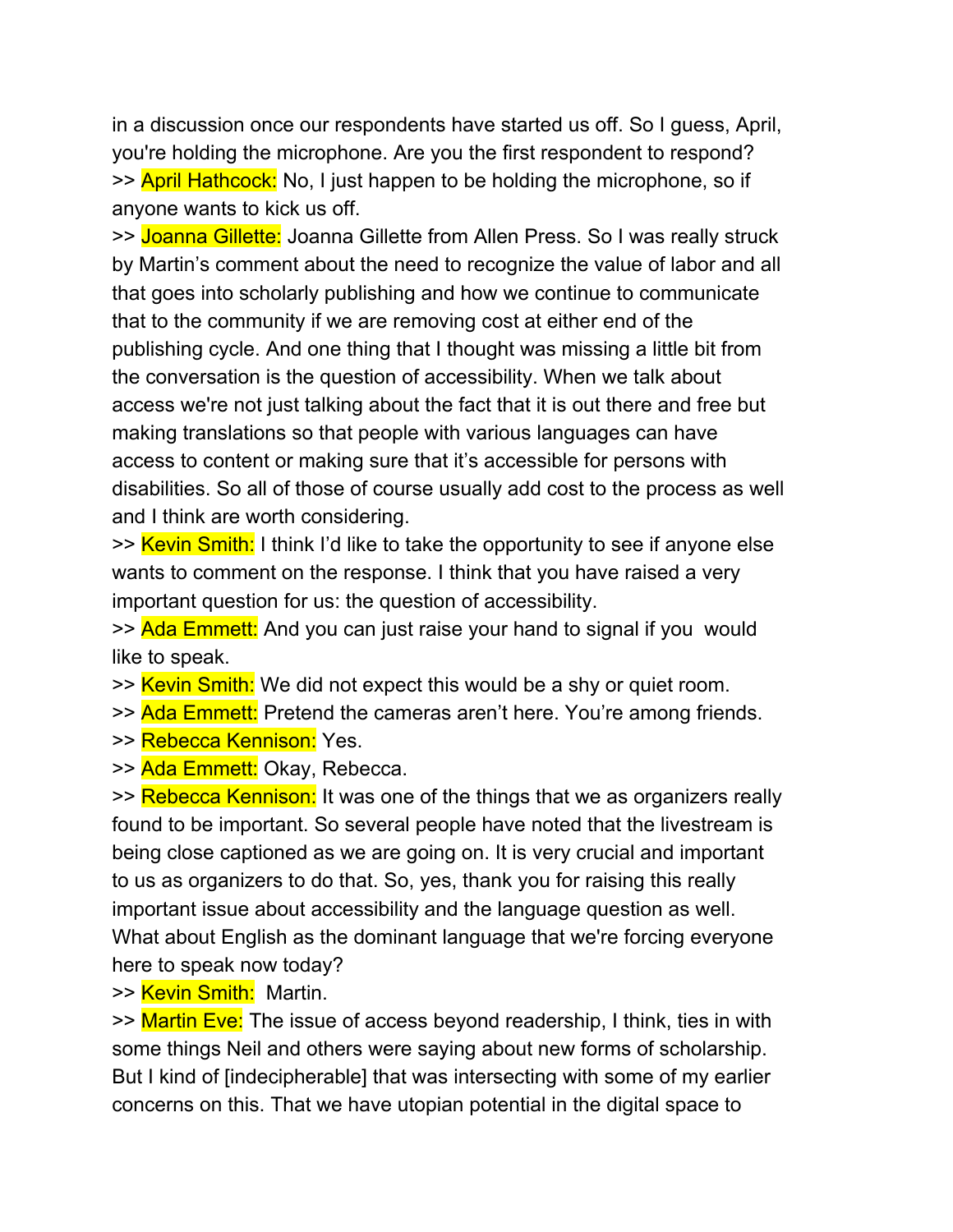in a discussion once our respondents have started us off. So I guess, April, you're holding the microphone. Are you the first respondent to respond? >> April Hathcock: No, I just happen to be holding the microphone, so if anyone wants to kick us off.

>> Joanna Gillette: Joanna Gillette from Allen Press. So I was really struck by Martin's comment about the need to recognize the value of labor and all that goes into scholarly publishing and how we continue to communicate that to the community if we are removing cost at either end of the publishing cycle. And one thing that I thought was missing a little bit from the conversation is the question of accessibility. When we talk about access we're not just talking about the fact that it is out there and free but making translations so that people with various languages can have access to content or making sure that it's accessible for persons with disabilities. So all of those of course usually add cost to the process as well and I think are worth considering.

>> Kevin Smith: I think I'd like to take the opportunity to see if anyone else wants to comment on the response. I think that you have raised a very important question for us: the question of accessibility.

>> Ada Emmett: And you can just raise your hand to signal if you would like to speak.

>> Kevin Smith: We did not expect this would be a shy or quiet room.

>> Ada Emmett: Pretend the cameras aren't here. You're among friends.

>> Rebecca Kennison: Yes.

>> Ada Emmett: Okay, Rebecca.

>> Rebecca Kennison: It was one of the things that we as organizers really found to be important. So several people have noted that the livestream is being close captioned as we are going on. It is very crucial and important to us as organizers to do that. So, yes, thank you for raising this really important issue about accessibility and the language question as well. What about English as the dominant language that we're forcing everyone here to speak now today?

>> Kevin Smith: Martin.

>> Martin Eve: The issue of access beyond readership, I think, ties in with some things Neil and others were saying about new forms of scholarship. But I kind of [indecipherable] that was intersecting with some of my earlier concerns on this. That we have utopian potential in the digital space to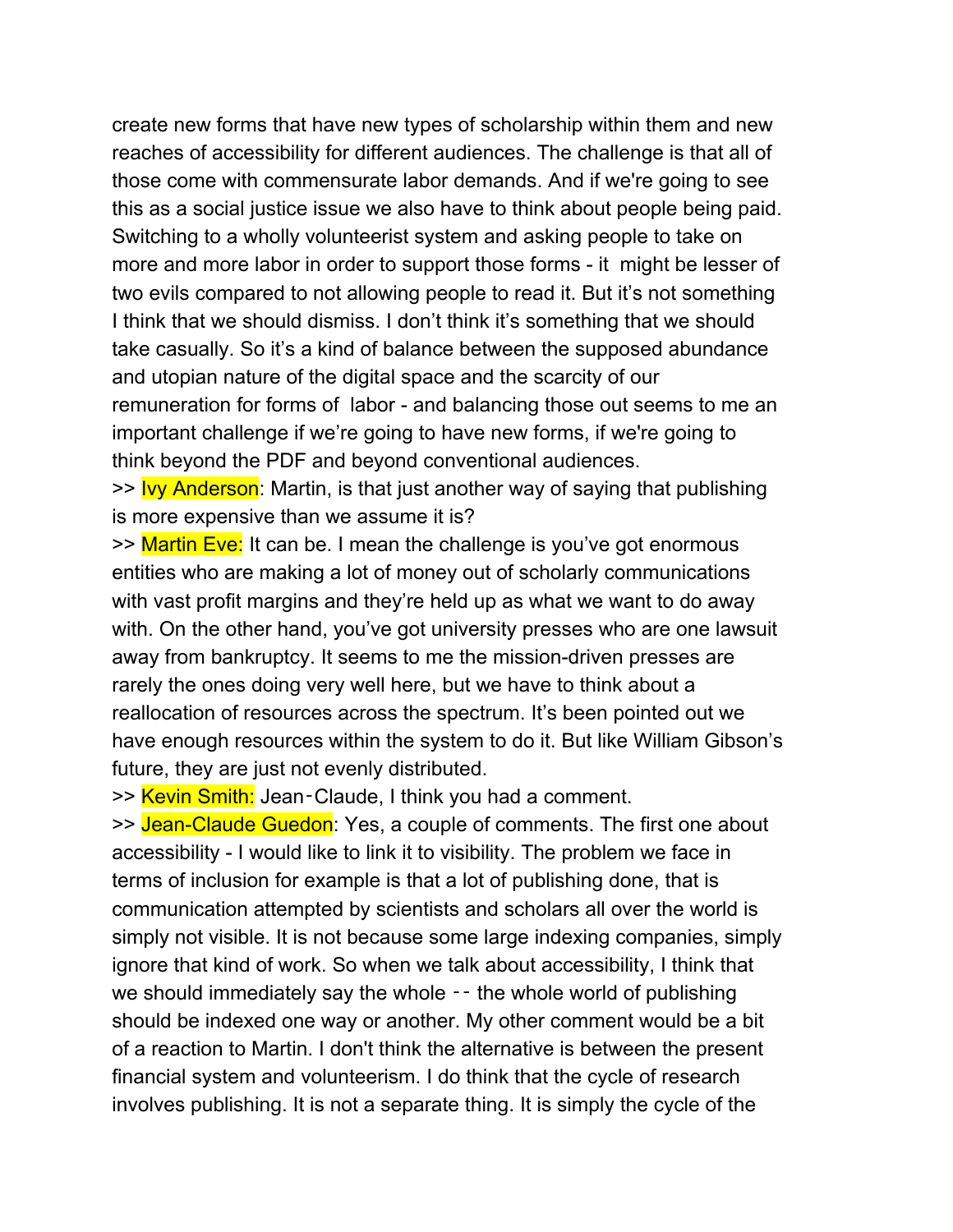create new forms that have new types of scholarship within them and new reaches of accessibility for different audiences. The challenge is that all of those come with commensurate labor demands. And if we're going to see this as a social justice issue we also have to think about people being paid. Switching to a wholly volunteerist system and asking people to take on more and more labor in order to support those forms - it might be lesser of two evils compared to not allowing people to read it. But it's not something I think that we should dismiss. I don't think it's something that we should take casually. So it's a kind of balance between the supposed abundance and utopian nature of the digital space and the scarcity of our remuneration for forms of labor - and balancing those out seems to me an important challenge if we're going to have new forms, if we're going to think beyond the PDF and beyond conventional audiences.

>> Ivy Anderson: Martin, is that just another way of saying that publishing is more expensive than we assume it is?

>> Martin Eve: It can be. I mean the challenge is you've got enormous entities who are making a lot of money out of scholarly communications with vast profit margins and they're held up as what we want to do away with. On the other hand, you've got university presses who are one lawsuit away from bankruptcy. It seems to me the mission-driven presses are rarely the ones doing very well here, but we have to think about a reallocation of resources across the spectrum. It's been pointed out we have enough resources within the system to do it. But like William Gibson's future, they are just not evenly distributed.

>> Kevin Smith: Jean-Claude, I think you had a comment.

>> Jean-Claude Guedon: Yes, a couple of comments. The first one about accessibility - I would like to link it to visibility. The problem we face in terms of inclusion for example is that a lot of publishing done, that is communication attempted by scientists and scholars all over the world is simply not visible. It is not because some large indexing companies, simply ignore that kind of work. So when we talk about accessibility, I think that we should immediately say the whole  $-$  the whole world of publishing should be indexed one way or another. My other comment would be a bit of a reaction to Martin. I don't think the alternative is between the present financial system and volunteerism. I do think that the cycle of research involves publishing. It is not a separate thing. It is simply the cycle of the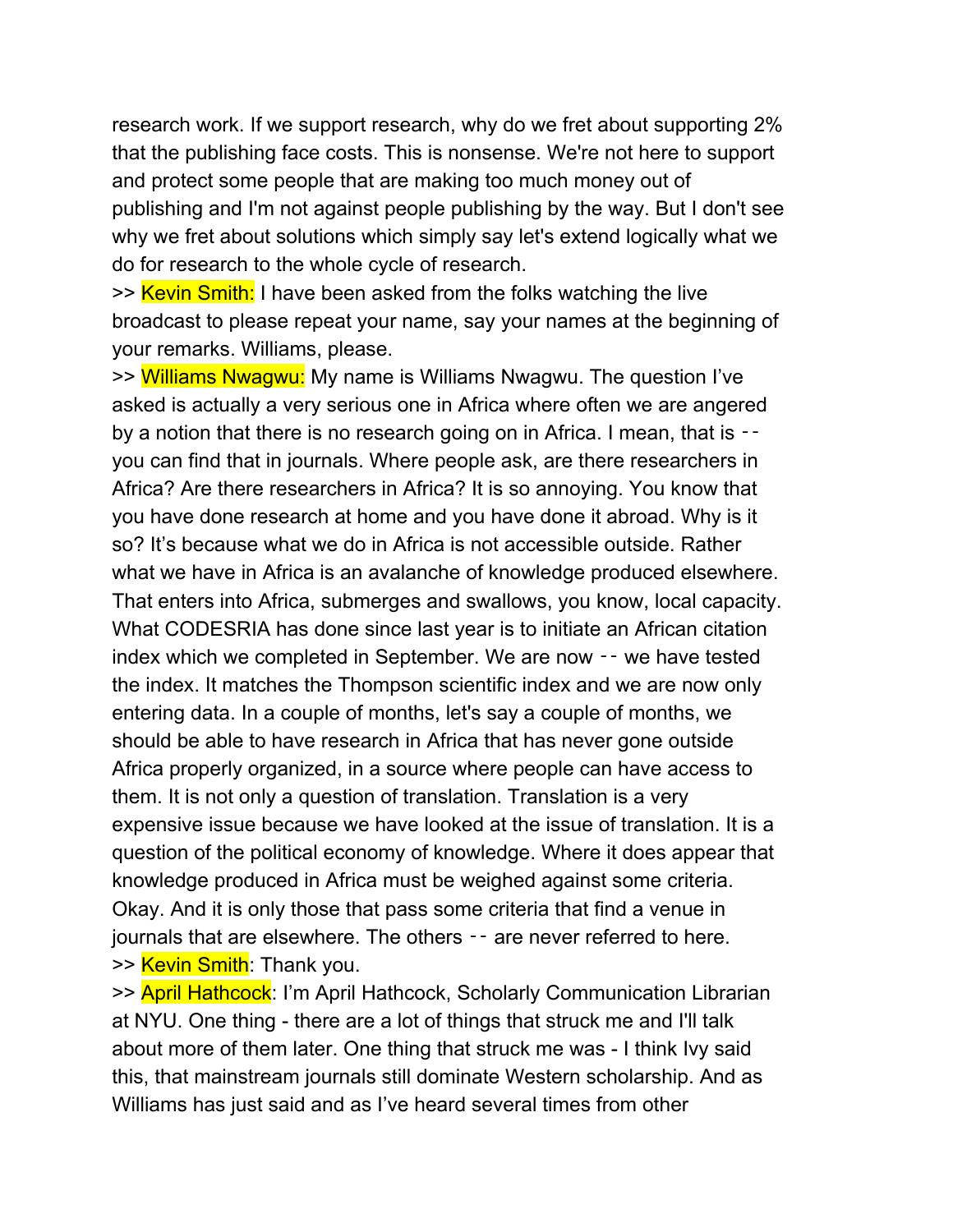research work. If we support research, why do we fret about supporting 2% that the publishing face costs. This is nonsense. We're not here to support and protect some people that are making too much money out of publishing and I'm not against people publishing by the way. But I don't see why we fret about solutions which simply say let's extend logically what we do for research to the whole cycle of research.

>> Kevin Smith: I have been asked from the folks watching the live broadcast to please repeat your name, say your names at the beginning of your remarks. Williams, please.

>> Williams Nwagwu: My name is Williams Nwagwu. The question I've asked is actually a very serious one in Africa where often we are angered by a notion that there is no research going on in Africa. I mean, that is you can find that in journals. Where people ask, are there researchers in Africa? Are there researchers in Africa? It is so annoying. You know that you have done research at home and you have done it abroad. Why is it so? It's because what we do in Africa is not accessible outside. Rather what we have in Africa is an avalanche of knowledge produced elsewhere. That enters into Africa, submerges and swallows, you know, local capacity. What CODESRIA has done since last year is to initiate an African citation index which we completed in September. We are now ‑‑ we have tested the index. It matches the Thompson scientific index and we are now only entering data. In a couple of months, let's say a couple of months, we should be able to have research in Africa that has never gone outside Africa properly organized, in a source where people can have access to them. It is not only a question of translation. Translation is a very expensive issue because we have looked at the issue of translation. It is a question of the political economy of knowledge. Where it does appear that knowledge produced in Africa must be weighed against some criteria. Okay. And it is only those that pass some criteria that find a venue in journals that are elsewhere. The others -- are never referred to here. >> Kevin Smith: Thank you.

>> April Hathcock: I'm April Hathcock, Scholarly Communication Librarian at NYU. One thing - there are a lot of things that struck me and I'll talk about more of them later. One thing that struck me was - I think Ivy said this, that mainstream journals still dominate Western scholarship. And as Williams has just said and as I've heard several times from other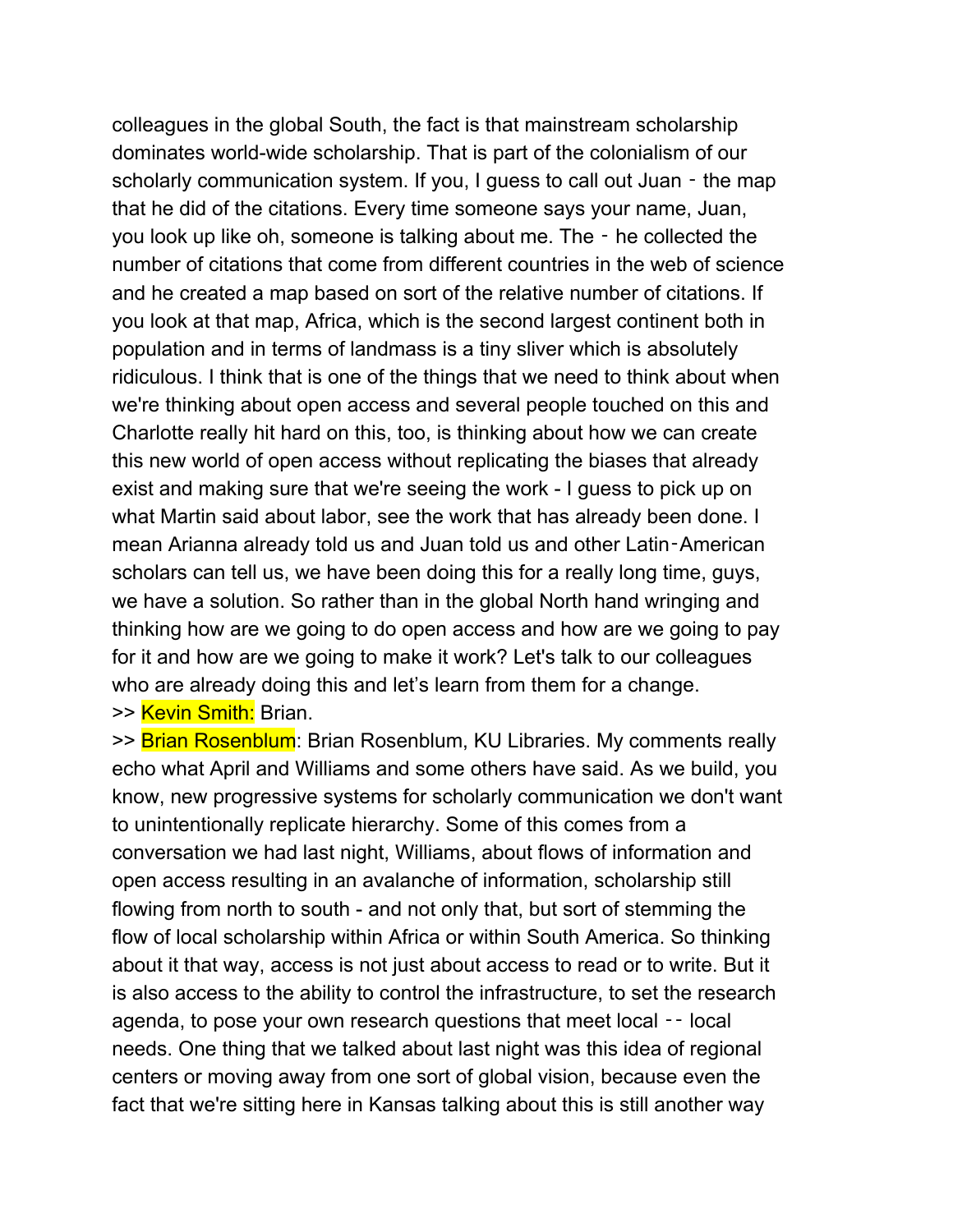colleagues in the global South, the fact is that mainstream scholarship dominates world-wide scholarship. That is part of the colonialism of our scholarly communication system. If you, I guess to call out Juan - the map that he did of the citations. Every time someone says your name, Juan, you look up like oh, someone is talking about me. The ‑ he collected the number of citations that come from different countries in the web of science and he created a map based on sort of the relative number of citations. If you look at that map, Africa, which is the second largest continent both in population and in terms of landmass is a tiny sliver which is absolutely ridiculous. I think that is one of the things that we need to think about when we're thinking about open access and several people touched on this and Charlotte really hit hard on this, too, is thinking about how we can create this new world of open access without replicating the biases that already exist and making sure that we're seeing the work - I guess to pick up on what Martin said about labor, see the work that has already been done. I mean Arianna already told us and Juan told us and other Latin‑American scholars can tell us, we have been doing this for a really long time, guys, we have a solution. So rather than in the global North hand wringing and thinking how are we going to do open access and how are we going to pay for it and how are we going to make it work? Let's talk to our colleagues who are already doing this and let's learn from them for a change.

>> Kevin Smith: Brian.

>> Brian Rosenblum: Brian Rosenblum, KU Libraries. My comments really echo what April and Williams and some others have said. As we build, you know, new progressive systems for scholarly communication we don't want to unintentionally replicate hierarchy. Some of this comes from a conversation we had last night, Williams, about flows of information and open access resulting in an avalanche of information, scholarship still flowing from north to south - and not only that, but sort of stemming the flow of local scholarship within Africa or within South America. So thinking about it that way, access is not just about access to read or to write. But it is also access to the ability to control the infrastructure, to set the research agenda, to pose your own research questions that meet local -- local needs. One thing that we talked about last night was this idea of regional centers or moving away from one sort of global vision, because even the fact that we're sitting here in Kansas talking about this is still another way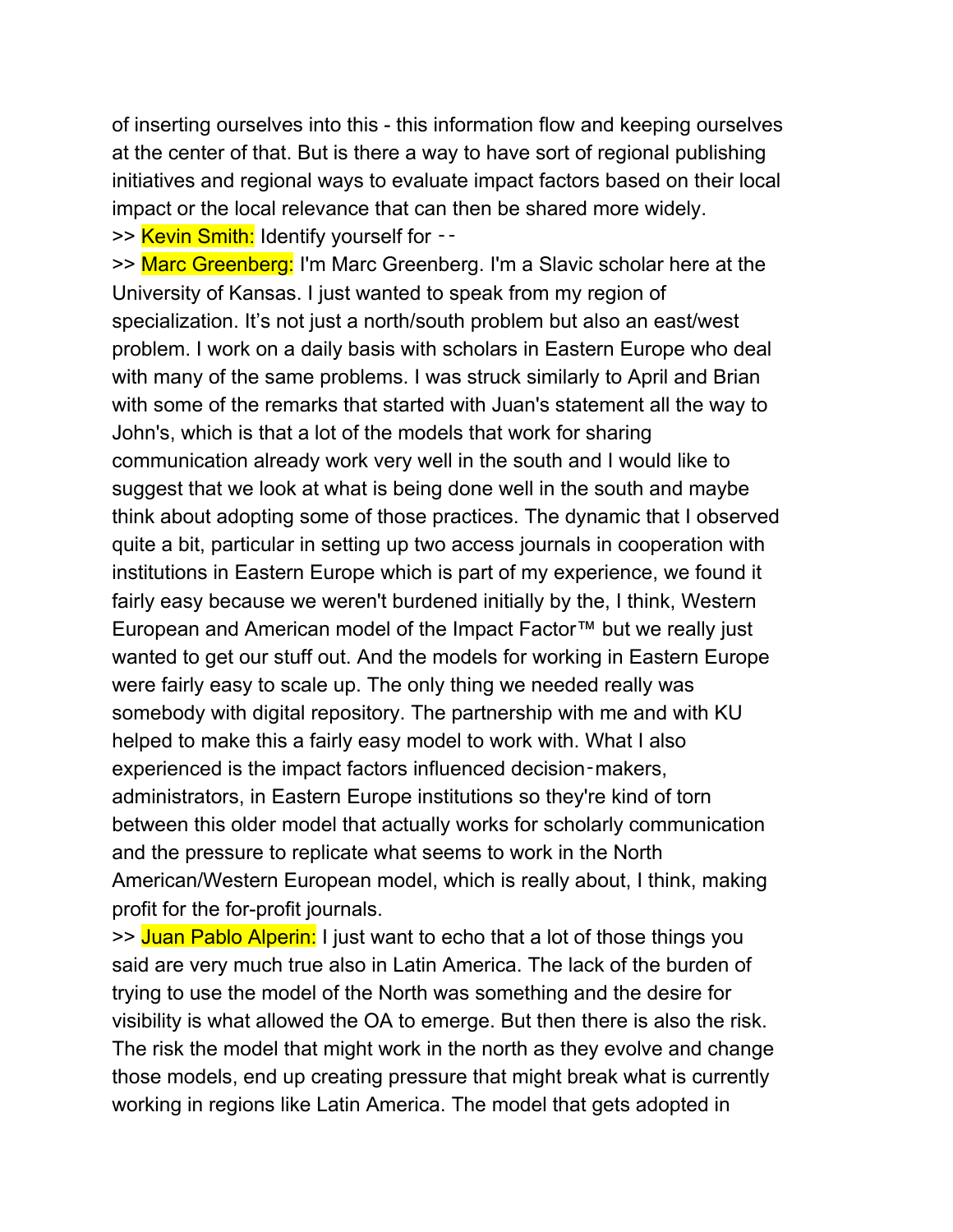of inserting ourselves into this - this information flow and keeping ourselves at the center of that. But is there a way to have sort of regional publishing initiatives and regional ways to evaluate impact factors based on their local impact or the local relevance that can then be shared more widely. >> Kevin Smith: Identify yourself for --

>> Marc Greenberg: I'm Marc Greenberg. I'm a Slavic scholar here at the University of Kansas. I just wanted to speak from my region of specialization. It's not just a north/south problem but also an east/west problem. I work on a daily basis with scholars in Eastern Europe who deal with many of the same problems. I was struck similarly to April and Brian with some of the remarks that started with Juan's statement all the way to John's, which is that a lot of the models that work for sharing communication already work very well in the south and I would like to suggest that we look at what is being done well in the south and maybe think about adopting some of those practices. The dynamic that I observed quite a bit, particular in setting up two access journals in cooperation with institutions in Eastern Europe which is part of my experience, we found it fairly easy because we weren't burdened initially by the, I think, Western European and American model of the Impact Factor™ but we really just wanted to get our stuff out. And the models for working in Eastern Europe were fairly easy to scale up. The only thing we needed really was somebody with digital repository. The partnership with me and with KU helped to make this a fairly easy model to work with. What I also experienced is the impact factors influenced decision-makers, administrators, in Eastern Europe institutions so they're kind of torn between this older model that actually works for scholarly communication and the pressure to replicate what seems to work in the North American/Western European model, which is really about, I think, making profit for the for-profit journals.

>> Juan Pablo Alperin: I just want to echo that a lot of those things you said are very much true also in Latin America. The lack of the burden of trying to use the model of the North was something and the desire for visibility is what allowed the OA to emerge. But then there is also the risk. The risk the model that might work in the north as they evolve and change those models, end up creating pressure that might break what is currently working in regions like Latin America. The model that gets adopted in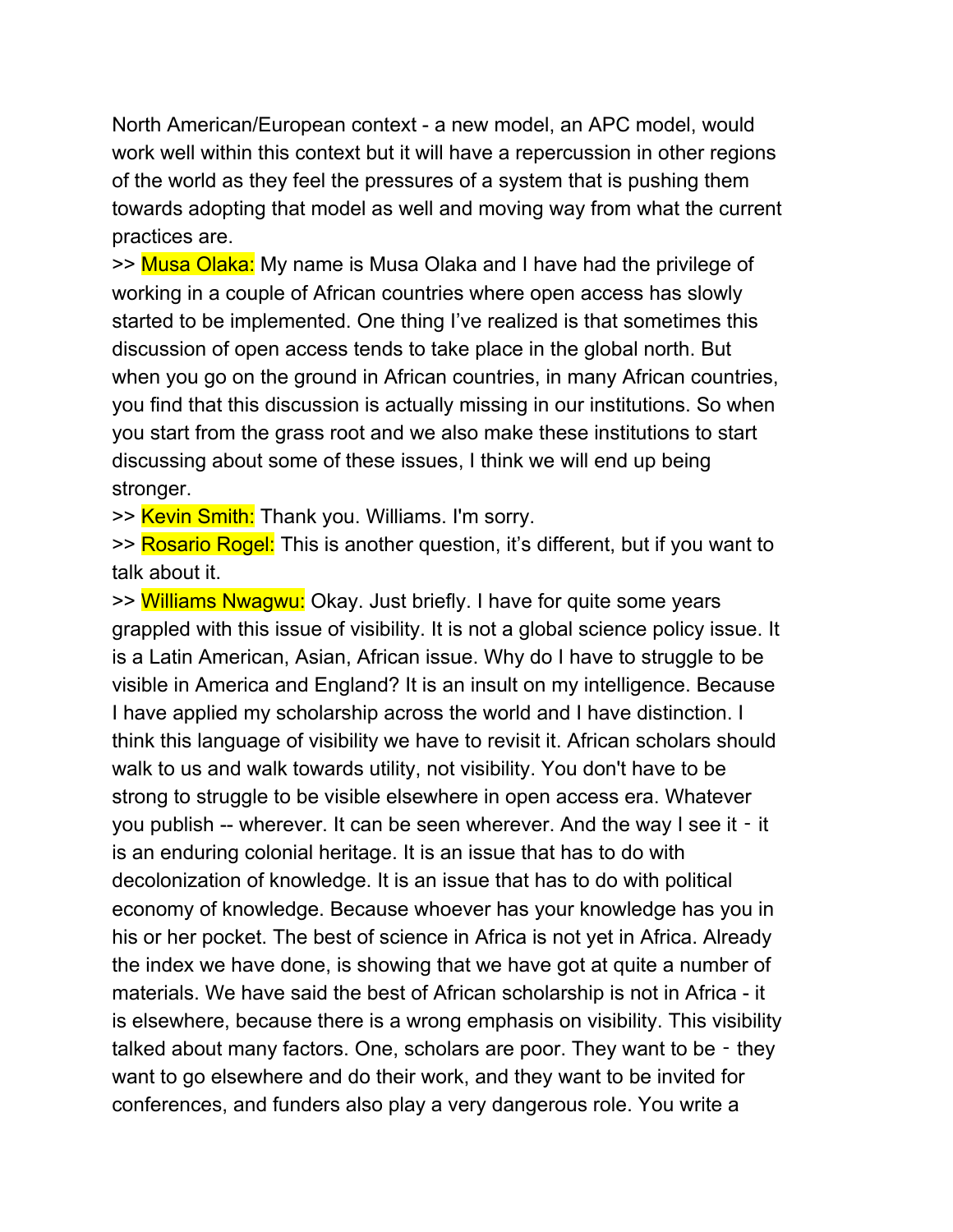North American/European context - a new model, an APC model, would work well within this context but it will have a repercussion in other regions of the world as they feel the pressures of a system that is pushing them towards adopting that model as well and moving way from what the current practices are.

>> Musa Olaka: My name is Musa Olaka and I have had the privilege of working in a couple of African countries where open access has slowly started to be implemented. One thing I've realized is that sometimes this discussion of open access tends to take place in the global north. But when you go on the ground in African countries, in many African countries, you find that this discussion is actually missing in our institutions. So when you start from the grass root and we also make these institutions to start discussing about some of these issues, I think we will end up being stronger.

>> Kevin Smith: Thank you. Williams. I'm sorry.

>> Rosario Rogel: This is another question, it's different, but if you want to talk about it.

>> Williams Nwagwu: Okay. Just briefly. I have for quite some years grappled with this issue of visibility. It is not a global science policy issue. It is a Latin American, Asian, African issue. Why do I have to struggle to be visible in America and England? It is an insult on my intelligence. Because I have applied my scholarship across the world and I have distinction. I think this language of visibility we have to revisit it. African scholars should walk to us and walk towards utility, not visibility. You don't have to be strong to struggle to be visible elsewhere in open access era. Whatever you publish -- wherever. It can be seen wherever. And the way I see it ‑ it is an enduring colonial heritage. It is an issue that has to do with decolonization of knowledge. It is an issue that has to do with political economy of knowledge. Because whoever has your knowledge has you in his or her pocket. The best of science in Africa is not yet in Africa. Already the index we have done, is showing that we have got at quite a number of materials. We have said the best of African scholarship is not in Africa - it is elsewhere, because there is a wrong emphasis on visibility. This visibility talked about many factors. One, scholars are poor. They want to be - they want to go elsewhere and do their work, and they want to be invited for conferences, and funders also play a very dangerous role. You write a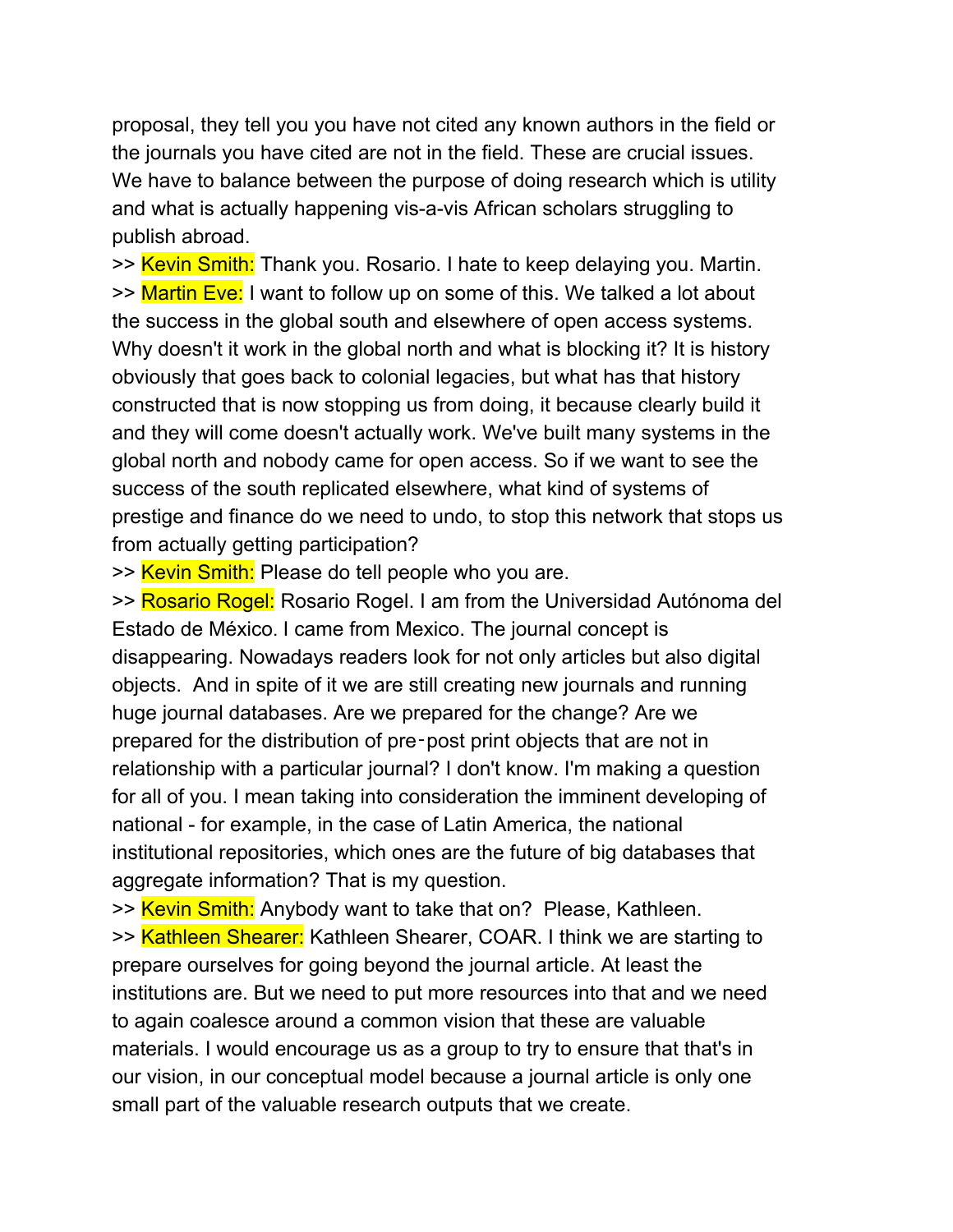proposal, they tell you you have not cited any known authors in the field or the journals you have cited are not in the field. These are crucial issues. We have to balance between the purpose of doing research which is utility and what is actually happening vis-a-vis African scholars struggling to publish abroad.

>> Kevin Smith: Thank you. Rosario. I hate to keep delaying you. Martin. >> Martin Eve: I want to follow up on some of this. We talked a lot about the success in the global south and elsewhere of open access systems. Why doesn't it work in the global north and what is blocking it? It is history obviously that goes back to colonial legacies, but what has that history constructed that is now stopping us from doing, it because clearly build it and they will come doesn't actually work. We've built many systems in the global north and nobody came for open access. So if we want to see the success of the south replicated elsewhere, what kind of systems of prestige and finance do we need to undo, to stop this network that stops us from actually getting participation?

>> Kevin Smith: Please do tell people who you are.

>> Rosario Rogel: Rosario Rogel. I am from the Universidad Autónoma del Estado de México. I came from Mexico. The journal concept is disappearing. Nowadays readers look for not only articles but also digital objects. And in spite of it we are still creating new journals and running huge journal databases. Are we prepared for the change? Are we prepared for the distribution of pre‑post print objects that are not in relationship with a particular journal? I don't know. I'm making a question for all of you. I mean taking into consideration the imminent developing of national - for example, in the case of Latin America, the national institutional repositories, which ones are the future of big databases that aggregate information? That is my question.

>> Kevin Smith: Anybody want to take that on? Please, Kathleen. >> Kathleen Shearer: Kathleen Shearer, COAR. I think we are starting to prepare ourselves for going beyond the journal article. At least the institutions are. But we need to put more resources into that and we need to again coalesce around a common vision that these are valuable materials. I would encourage us as a group to try to ensure that that's in our vision, in our conceptual model because a journal article is only one small part of the valuable research outputs that we create.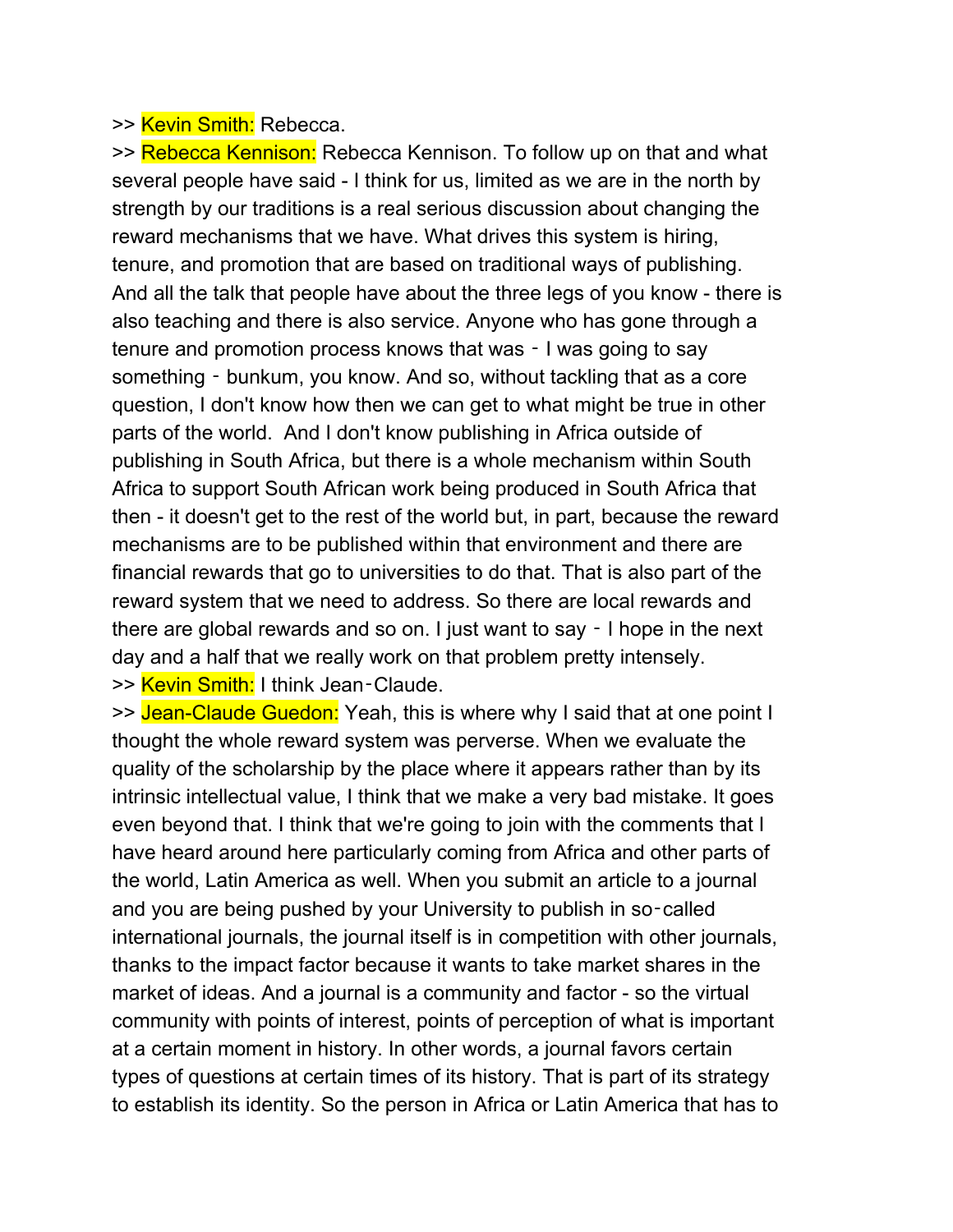### >> Kevin Smith: Rebecca.

>> Rebecca Kennison: Rebecca Kennison. To follow up on that and what several people have said - I think for us, limited as we are in the north by strength by our traditions is a real serious discussion about changing the reward mechanisms that we have. What drives this system is hiring, tenure, and promotion that are based on traditional ways of publishing. And all the talk that people have about the three legs of you know - there is also teaching and there is also service. Anyone who has gone through a tenure and promotion process knows that was ‑ I was going to say something ‑ bunkum, you know. And so, without tackling that as a core question, I don't know how then we can get to what might be true in other parts of the world. And I don't know publishing in Africa outside of publishing in South Africa, but there is a whole mechanism within South Africa to support South African work being produced in South Africa that then - it doesn't get to the rest of the world but, in part, because the reward mechanisms are to be published within that environment and there are financial rewards that go to universities to do that. That is also part of the reward system that we need to address. So there are local rewards and there are global rewards and so on. I just want to say ‑ I hope in the next day and a half that we really work on that problem pretty intensely. >> Kevin Smith: I think Jean-Claude.

>> Jean-Claude Guedon: Yeah, this is where why I said that at one point I thought the whole reward system was perverse. When we evaluate the quality of the scholarship by the place where it appears rather than by its intrinsic intellectual value, I think that we make a very bad mistake. It goes even beyond that. I think that we're going to join with the comments that I have heard around here particularly coming from Africa and other parts of the world, Latin America as well. When you submit an article to a journal and you are being pushed by your University to publish in so-called international journals, the journal itself is in competition with other journals, thanks to the impact factor because it wants to take market shares in the market of ideas. And a journal is a community and factor - so the virtual community with points of interest, points of perception of what is important at a certain moment in history. In other words, a journal favors certain types of questions at certain times of its history. That is part of its strategy to establish its identity. So the person in Africa or Latin America that has to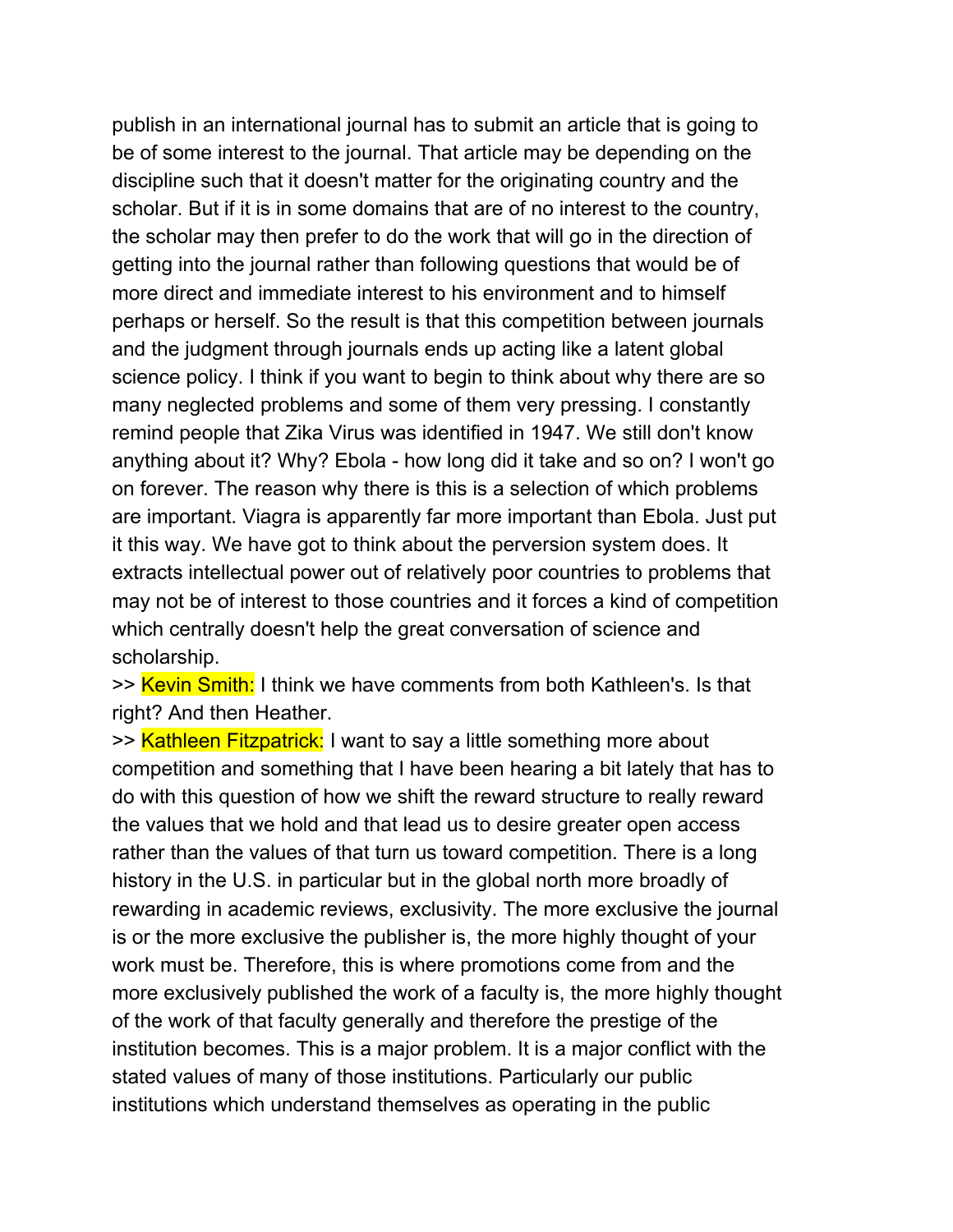publish in an international journal has to submit an article that is going to be of some interest to the journal. That article may be depending on the discipline such that it doesn't matter for the originating country and the scholar. But if it is in some domains that are of no interest to the country, the scholar may then prefer to do the work that will go in the direction of getting into the journal rather than following questions that would be of more direct and immediate interest to his environment and to himself perhaps or herself. So the result is that this competition between journals and the judgment through journals ends up acting like a latent global science policy. I think if you want to begin to think about why there are so many neglected problems and some of them very pressing. I constantly remind people that Zika Virus was identified in 1947. We still don't know anything about it? Why? Ebola - how long did it take and so on? I won't go on forever. The reason why there is this is a selection of which problems are important. Viagra is apparently far more important than Ebola. Just put it this way. We have got to think about the perversion system does. It extracts intellectual power out of relatively poor countries to problems that may not be of interest to those countries and it forces a kind of competition which centrally doesn't help the great conversation of science and scholarship.

>> Kevin Smith: I think we have comments from both Kathleen's. Is that right? And then Heather.

>> Kathleen Fitzpatrick: I want to say a little something more about competition and something that I have been hearing a bit lately that has to do with this question of how we shift the reward structure to really reward the values that we hold and that lead us to desire greater open access rather than the values of that turn us toward competition. There is a long history in the U.S. in particular but in the global north more broadly of rewarding in academic reviews, exclusivity. The more exclusive the journal is or the more exclusive the publisher is, the more highly thought of your work must be. Therefore, this is where promotions come from and the more exclusively published the work of a faculty is, the more highly thought of the work of that faculty generally and therefore the prestige of the institution becomes. This is a major problem. It is a major conflict with the stated values of many of those institutions. Particularly our public institutions which understand themselves as operating in the public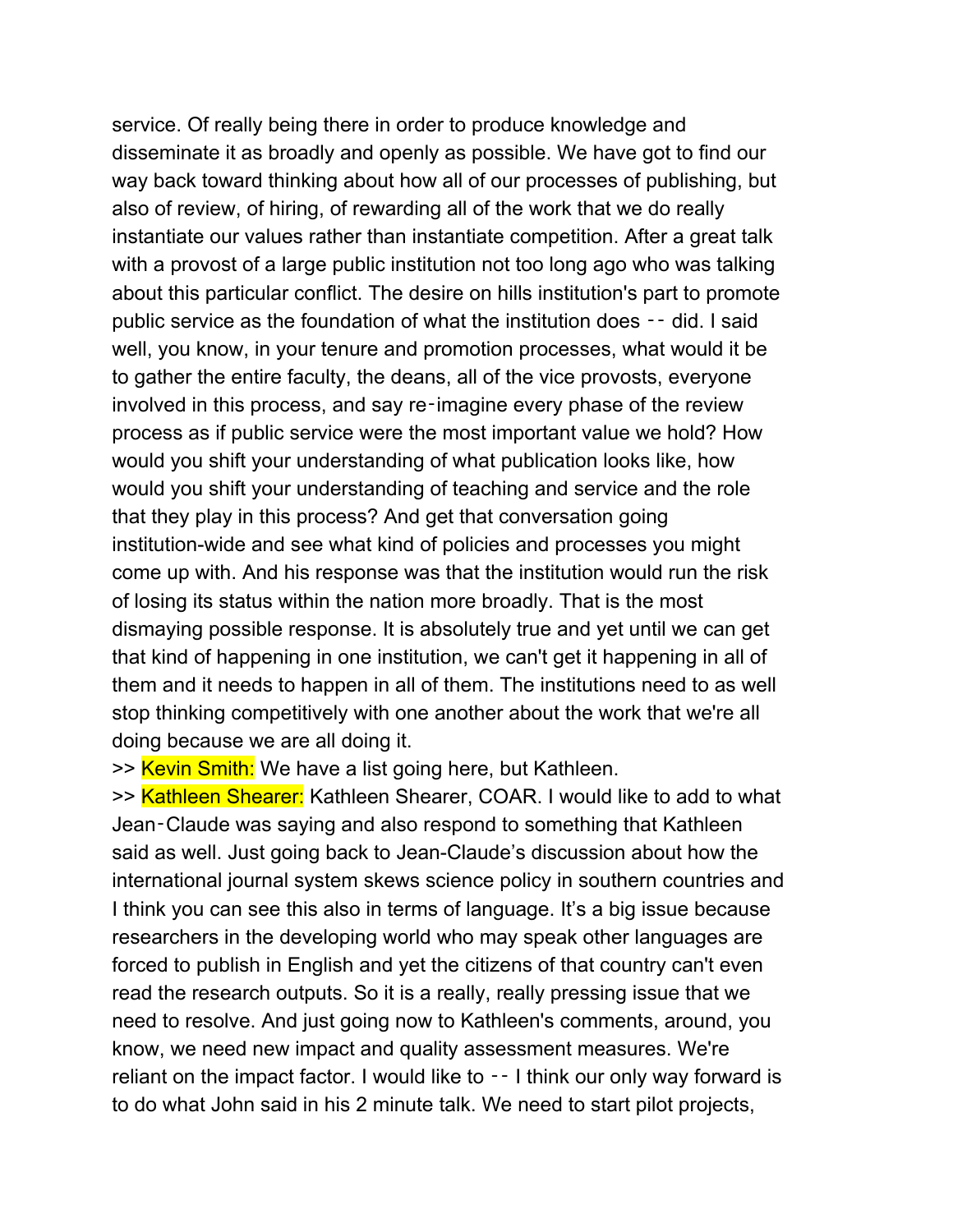service. Of really being there in order to produce knowledge and disseminate it as broadly and openly as possible. We have got to find our way back toward thinking about how all of our processes of publishing, but also of review, of hiring, of rewarding all of the work that we do really instantiate our values rather than instantiate competition. After a great talk with a provost of a large public institution not too long ago who was talking about this particular conflict. The desire on hills institution's part to promote public service as the foundation of what the institution does ‑‑ did. I said well, you know, in your tenure and promotion processes, what would it be to gather the entire faculty, the deans, all of the vice provosts, everyone involved in this process, and say re‑imagine every phase of the review process as if public service were the most important value we hold? How would you shift your understanding of what publication looks like, how would you shift your understanding of teaching and service and the role that they play in this process? And get that conversation going institution-wide and see what kind of policies and processes you might come up with. And his response was that the institution would run the risk of losing its status within the nation more broadly. That is the most dismaying possible response. It is absolutely true and yet until we can get that kind of happening in one institution, we can't get it happening in all of them and it needs to happen in all of them. The institutions need to as well stop thinking competitively with one another about the work that we're all doing because we are all doing it.

>> Kevin Smith: We have a list going here, but Kathleen.

>> Kathleen Shearer: Kathleen Shearer, COAR. I would like to add to what Jean‑Claude was saying and also respond to something that Kathleen said as well. Just going back to Jean-Claude's discussion about how the international journal system skews science policy in southern countries and I think you can see this also in terms of language. It's a big issue because researchers in the developing world who may speak other languages are forced to publish in English and yet the citizens of that country can't even read the research outputs. So it is a really, really pressing issue that we need to resolve. And just going now to Kathleen's comments, around, you know, we need new impact and quality assessment measures. We're reliant on the impact factor. I would like to -- I think our only way forward is to do what John said in his 2 minute talk. We need to start pilot projects,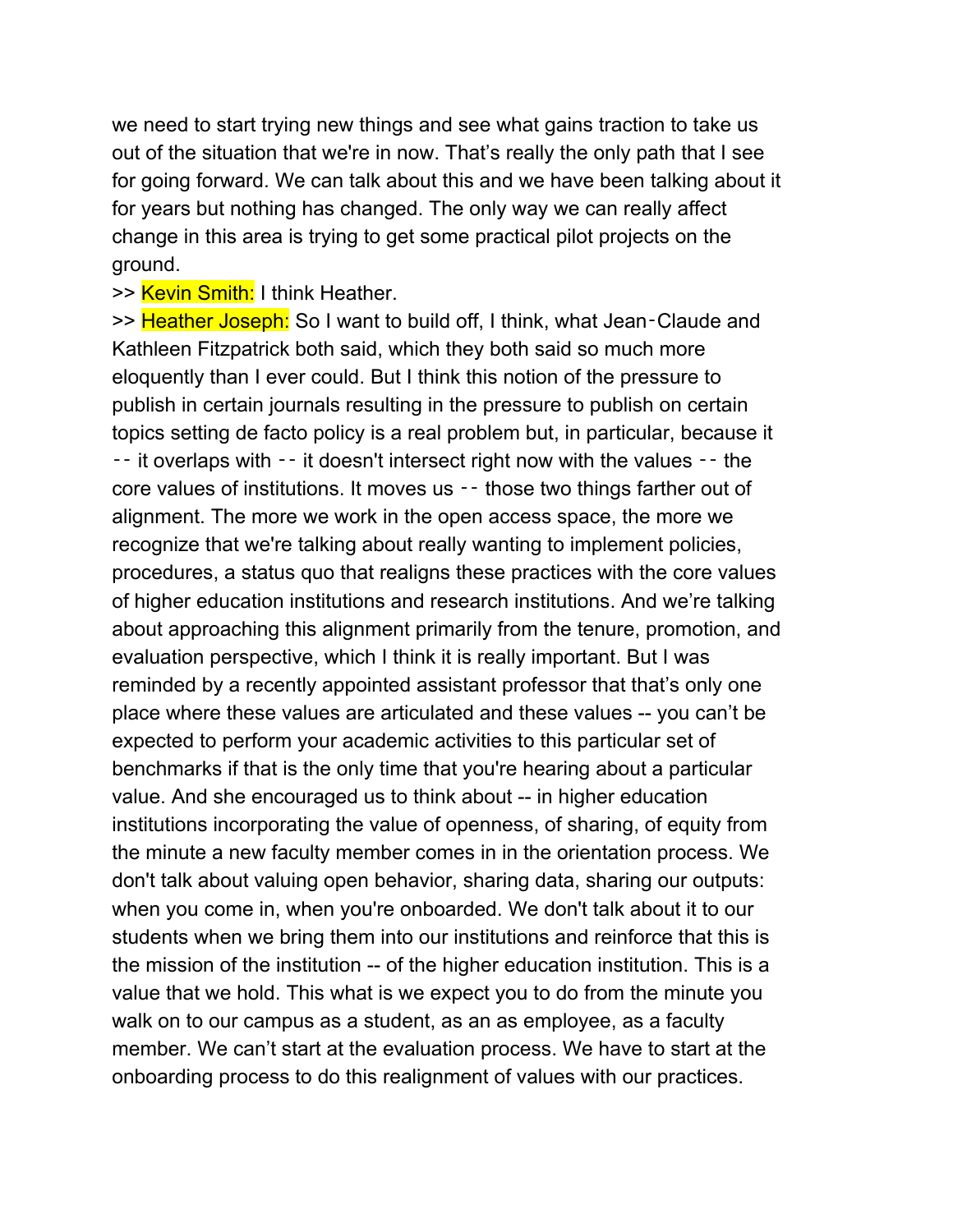we need to start trying new things and see what gains traction to take us out of the situation that we're in now. That's really the only path that I see for going forward. We can talk about this and we have been talking about it for years but nothing has changed. The only way we can really affect change in this area is trying to get some practical pilot projects on the ground.

>> Kevin Smith: I think Heather.

>> Heather Joseph: So I want to build off, I think, what Jean-Claude and Kathleen Fitzpatrick both said, which they both said so much more eloquently than I ever could. But I think this notion of the pressure to publish in certain journals resulting in the pressure to publish on certain topics setting de facto policy is a real problem but, in particular, because it ‑‑ it overlaps with ‑‑ it doesn't intersect right now with the values ‑‑ the core values of institutions. It moves us ‑‑ those two things farther out of alignment. The more we work in the open access space, the more we recognize that we're talking about really wanting to implement policies, procedures, a status quo that realigns these practices with the core values of higher education institutions and research institutions. And we're talking about approaching this alignment primarily from the tenure, promotion, and evaluation perspective, which I think it is really important. But I was reminded by a recently appointed assistant professor that that's only one place where these values are articulated and these values -- you can't be expected to perform your academic activities to this particular set of benchmarks if that is the only time that you're hearing about a particular value. And she encouraged us to think about -- in higher education institutions incorporating the value of openness, of sharing, of equity from the minute a new faculty member comes in in the orientation process. We don't talk about valuing open behavior, sharing data, sharing our outputs: when you come in, when you're onboarded. We don't talk about it to our students when we bring them into our institutions and reinforce that this is the mission of the institution -- of the higher education institution. This is a value that we hold. This what is we expect you to do from the minute you walk on to our campus as a student, as an as employee, as a faculty member. We can't start at the evaluation process. We have to start at the onboarding process to do this realignment of values with our practices.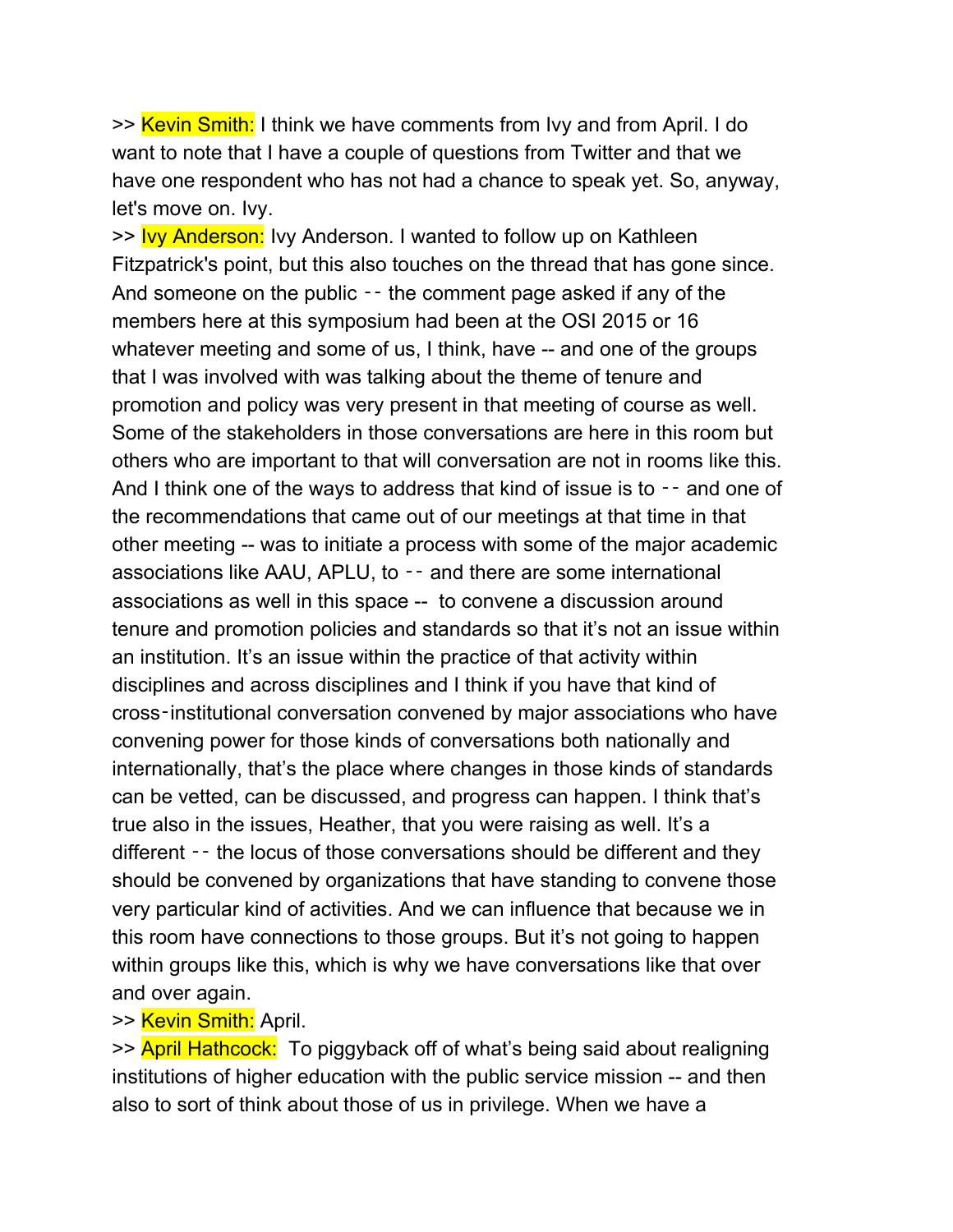>> Kevin Smith: I think we have comments from Ivy and from April. I do want to note that I have a couple of questions from Twitter and that we have one respondent who has not had a chance to speak yet. So, anyway, let's move on. Ivy.

>> Ivy Anderson: Ivy Anderson. I wanted to follow up on Kathleen Fitzpatrick's point, but this also touches on the thread that has gone since. And someone on the public -- the comment page asked if any of the members here at this symposium had been at the OSI 2015 or 16 whatever meeting and some of us, I think, have -- and one of the groups that I was involved with was talking about the theme of tenure and promotion and policy was very present in that meeting of course as well. Some of the stakeholders in those conversations are here in this room but others who are important to that will conversation are not in rooms like this. And I think one of the ways to address that kind of issue is to -- and one of the recommendations that came out of our meetings at that time in that other meeting -- was to initiate a process with some of the major academic associations like AAU, APLU, to ‑‑ and there are some international associations as well in this space -- to convene a discussion around tenure and promotion policies and standards so that it's not an issue within an institution. It's an issue within the practice of that activity within disciplines and across disciplines and I think if you have that kind of cross‑institutional conversation convened by major associations who have convening power for those kinds of conversations both nationally and internationally, that's the place where changes in those kinds of standards can be vetted, can be discussed, and progress can happen. I think that's true also in the issues, Heather, that you were raising as well. It's a different -- the locus of those conversations should be different and they should be convened by organizations that have standing to convene those very particular kind of activities. And we can influence that because we in this room have connections to those groups. But it's not going to happen within groups like this, which is why we have conversations like that over and over again.

### >> Kevin Smith: April.

>> April Hathcock: To piggyback off of what's being said about realigning institutions of higher education with the public service mission -- and then also to sort of think about those of us in privilege. When we have a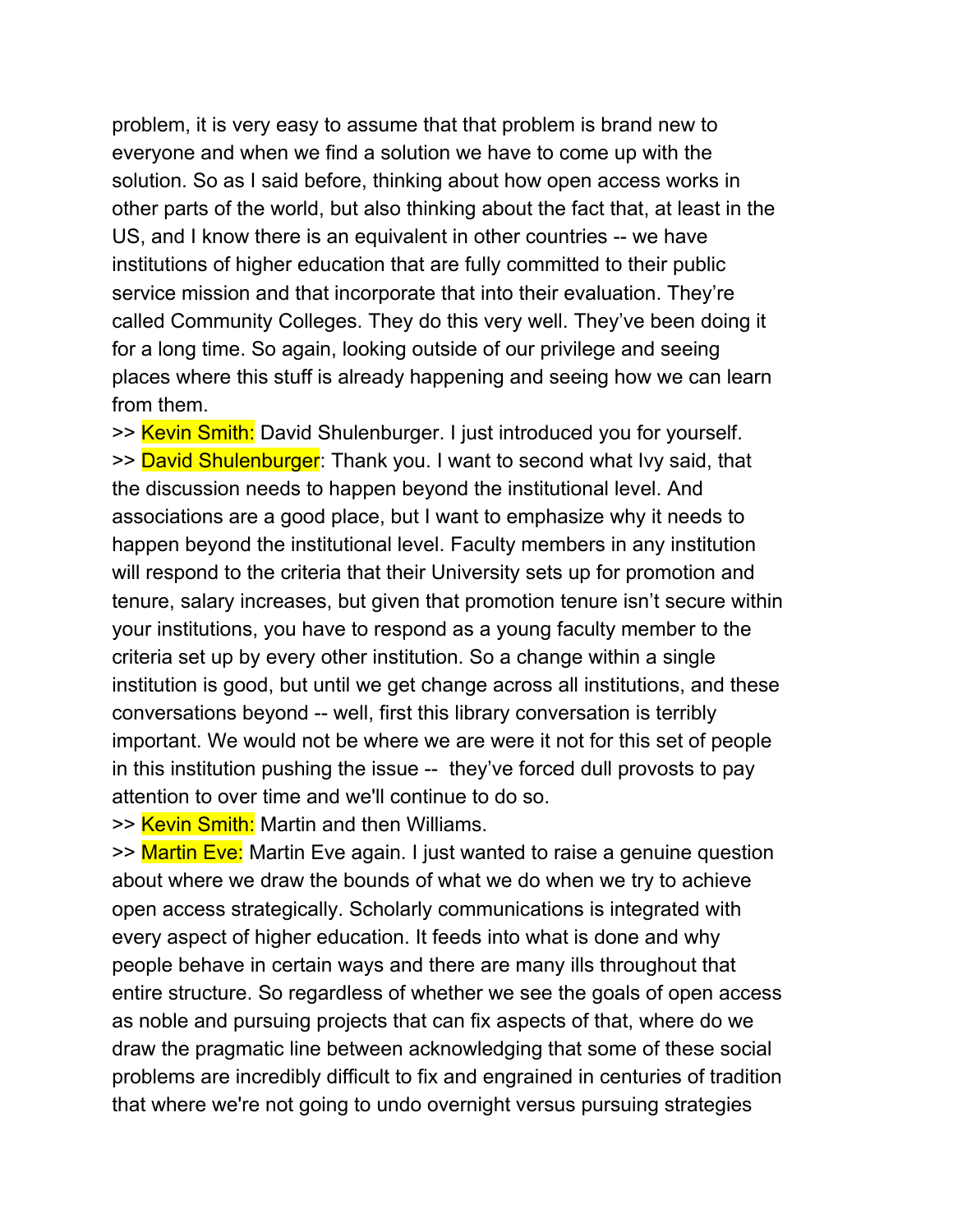problem, it is very easy to assume that that problem is brand new to everyone and when we find a solution we have to come up with the solution. So as I said before, thinking about how open access works in other parts of the world, but also thinking about the fact that, at least in the US, and I know there is an equivalent in other countries -- we have institutions of higher education that are fully committed to their public service mission and that incorporate that into their evaluation. They're called Community Colleges. They do this very well. They've been doing it for a long time. So again, looking outside of our privilege and seeing places where this stuff is already happening and seeing how we can learn from them.

>> Kevin Smith: David Shulenburger. I just introduced you for yourself. >> David Shulenburger: Thank you. I want to second what Ivy said, that the discussion needs to happen beyond the institutional level. And associations are a good place, but I want to emphasize why it needs to happen beyond the institutional level. Faculty members in any institution will respond to the criteria that their University sets up for promotion and tenure, salary increases, but given that promotion tenure isn't secure within your institutions, you have to respond as a young faculty member to the criteria set up by every other institution. So a change within a single institution is good, but until we get change across all institutions, and these conversations beyond -- well, first this library conversation is terribly important. We would not be where we are were it not for this set of people in this institution pushing the issue -- they've forced dull provosts to pay attention to over time and we'll continue to do so.

>> Kevin Smith: Martin and then Williams.

>> Martin Eve: Martin Eve again. I just wanted to raise a genuine question about where we draw the bounds of what we do when we try to achieve open access strategically. Scholarly communications is integrated with every aspect of higher education. It feeds into what is done and why people behave in certain ways and there are many ills throughout that entire structure. So regardless of whether we see the goals of open access as noble and pursuing projects that can fix aspects of that, where do we draw the pragmatic line between acknowledging that some of these social problems are incredibly difficult to fix and engrained in centuries of tradition that where we're not going to undo overnight versus pursuing strategies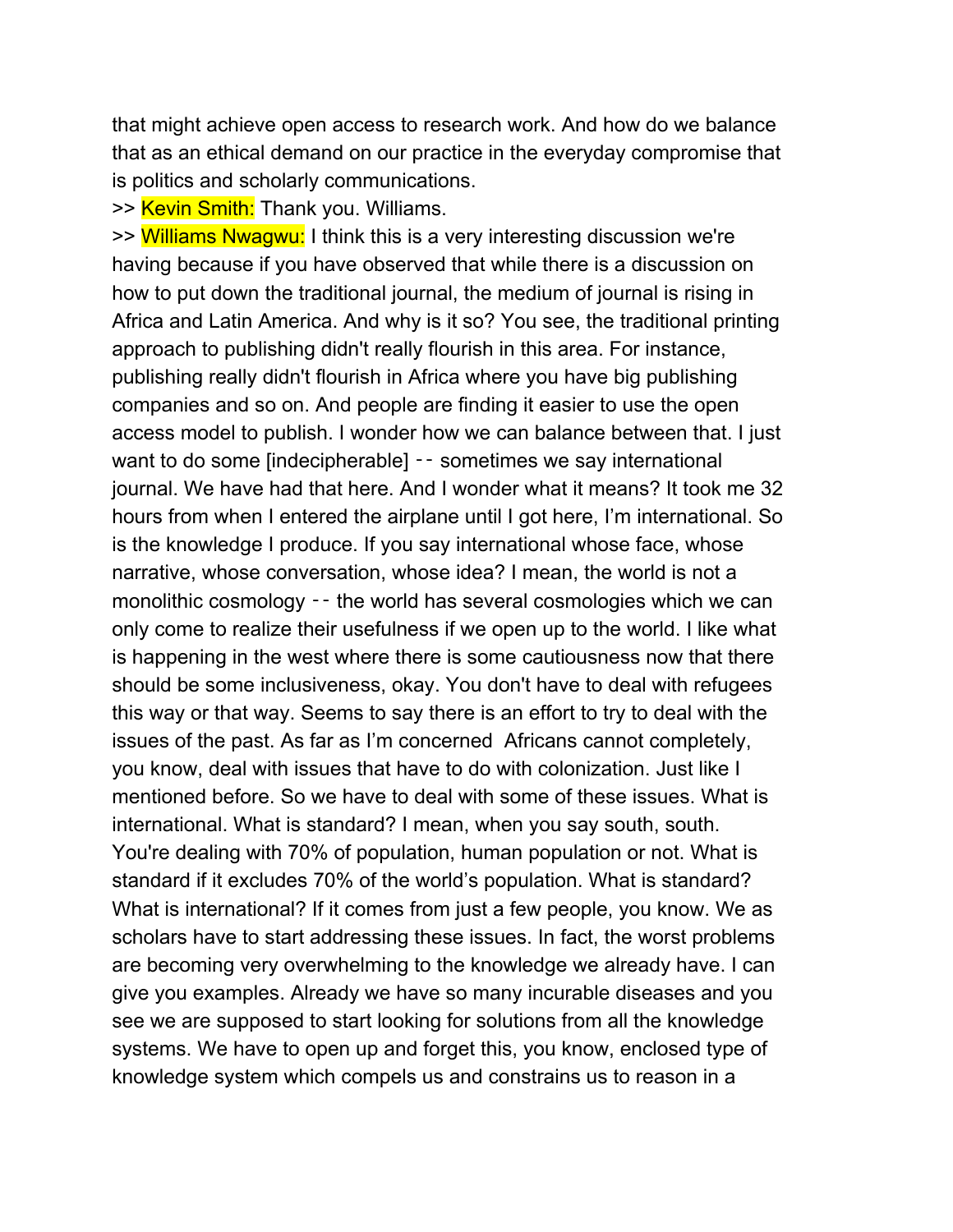that might achieve open access to research work. And how do we balance that as an ethical demand on our practice in the everyday compromise that is politics and scholarly communications.

>> Kevin Smith: Thank you. Williams.

>> Williams Nwagwu: I think this is a very interesting discussion we're having because if you have observed that while there is a discussion on how to put down the traditional journal, the medium of journal is rising in Africa and Latin America. And why is it so? You see, the traditional printing approach to publishing didn't really flourish in this area. For instance, publishing really didn't flourish in Africa where you have big publishing companies and so on. And people are finding it easier to use the open access model to publish. I wonder how we can balance between that. I just want to do some [indecipherable] - sometimes we say international journal. We have had that here. And I wonder what it means? It took me 32 hours from when I entered the airplane until I got here, I'm international. So is the knowledge I produce. If you say international whose face, whose narrative, whose conversation, whose idea? I mean, the world is not a monolithic cosmology -- the world has several cosmologies which we can only come to realize their usefulness if we open up to the world. I like what is happening in the west where there is some cautiousness now that there should be some inclusiveness, okay. You don't have to deal with refugees this way or that way. Seems to say there is an effort to try to deal with the issues of the past. As far as I'm concerned Africans cannot completely, you know, deal with issues that have to do with colonization. Just like I mentioned before. So we have to deal with some of these issues. What is international. What is standard? I mean, when you say south, south. You're dealing with 70% of population, human population or not. What is standard if it excludes 70% of the world's population. What is standard? What is international? If it comes from just a few people, you know. We as scholars have to start addressing these issues. In fact, the worst problems are becoming very overwhelming to the knowledge we already have. I can give you examples. Already we have so many incurable diseases and you see we are supposed to start looking for solutions from all the knowledge systems. We have to open up and forget this, you know, enclosed type of knowledge system which compels us and constrains us to reason in a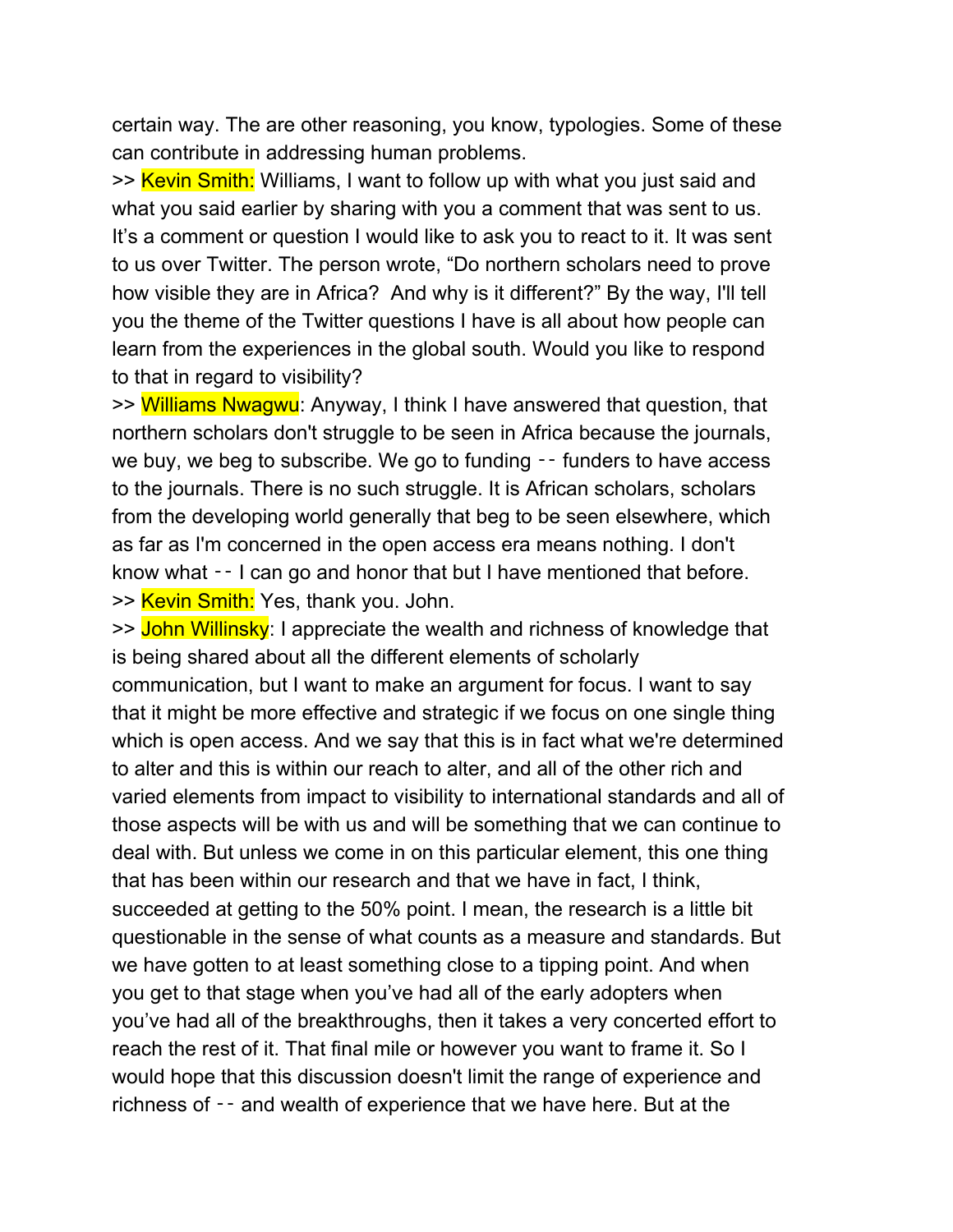certain way. The are other reasoning, you know, typologies. Some of these can contribute in addressing human problems.

>> Kevin Smith: Williams, I want to follow up with what you just said and what you said earlier by sharing with you a comment that was sent to us. It's a comment or question I would like to ask you to react to it. It was sent to us over Twitter. The person wrote, "Do northern scholars need to prove how visible they are in Africa? And why is it different?" By the way, I'll tell you the theme of the Twitter questions I have is all about how people can learn from the experiences in the global south. Would you like to respond to that in regard to visibility?

>> Williams Nwagwu: Anyway, I think I have answered that question, that northern scholars don't struggle to be seen in Africa because the journals, we buy, we beg to subscribe. We go to funding  $-$  funders to have access to the journals. There is no such struggle. It is African scholars, scholars from the developing world generally that beg to be seen elsewhere, which as far as I'm concerned in the open access era means nothing. I don't know what  $-$  I can go and honor that but I have mentioned that before. >> Kevin Smith: Yes, thank you. John.

>> John Willinsky: I appreciate the wealth and richness of knowledge that is being shared about all the different elements of scholarly communication, but I want to make an argument for focus. I want to say that it might be more effective and strategic if we focus on one single thing which is open access. And we say that this is in fact what we're determined to alter and this is within our reach to alter, and all of the other rich and varied elements from impact to visibility to international standards and all of those aspects will be with us and will be something that we can continue to deal with. But unless we come in on this particular element, this one thing that has been within our research and that we have in fact, I think, succeeded at getting to the 50% point. I mean, the research is a little bit questionable in the sense of what counts as a measure and standards. But we have gotten to at least something close to a tipping point. And when you get to that stage when you've had all of the early adopters when you've had all of the breakthroughs, then it takes a very concerted effort to reach the rest of it. That final mile or however you want to frame it. So I would hope that this discussion doesn't limit the range of experience and richness of ‑‑ and wealth of experience that we have here. But at the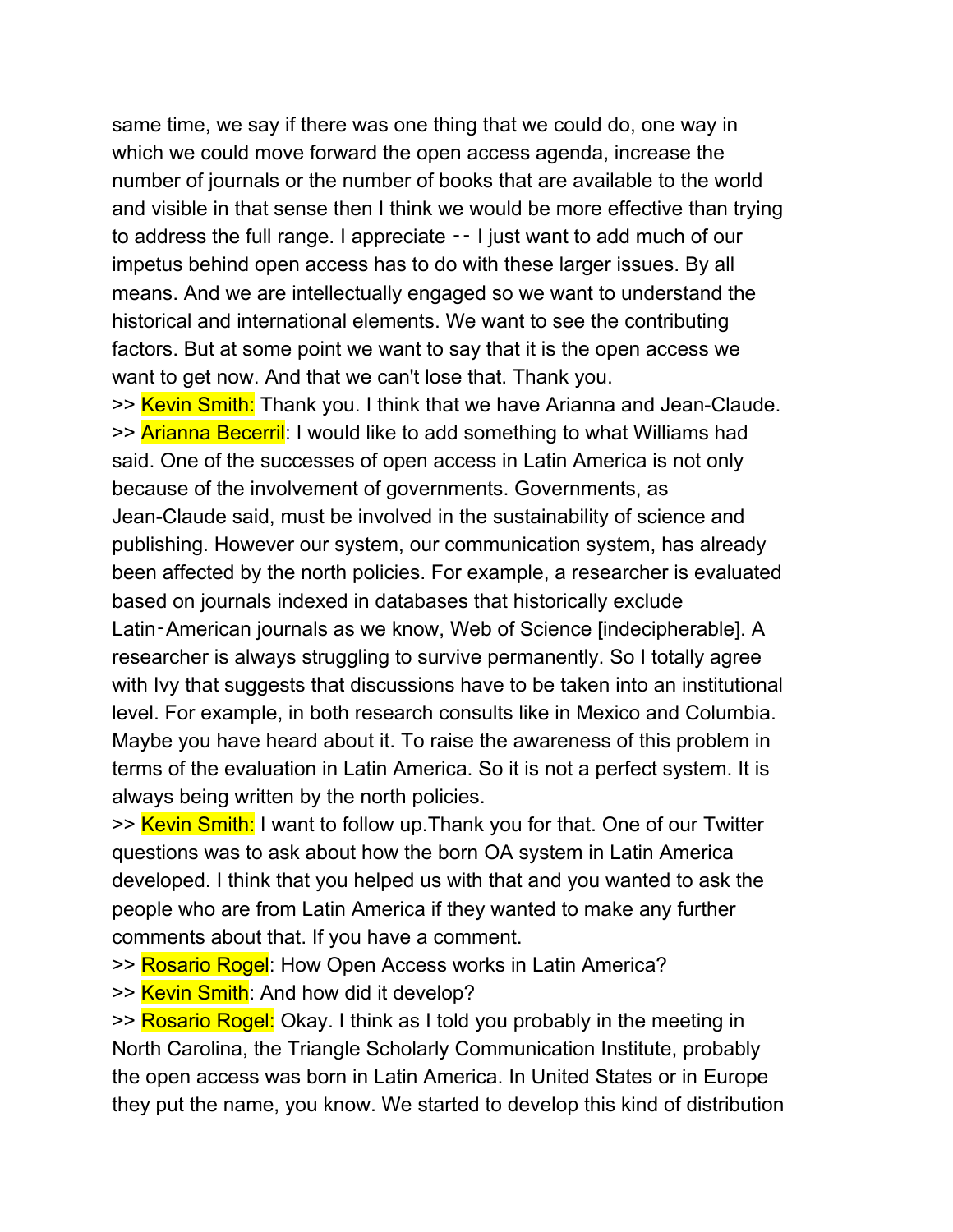same time, we say if there was one thing that we could do, one way in which we could move forward the open access agenda, increase the number of journals or the number of books that are available to the world and visible in that sense then I think we would be more effective than trying to address the full range. I appreciate ‑‑ I just want to add much of our impetus behind open access has to do with these larger issues. By all means. And we are intellectually engaged so we want to understand the historical and international elements. We want to see the contributing factors. But at some point we want to say that it is the open access we want to get now. And that we can't lose that. Thank you.

>> Kevin Smith: Thank you. I think that we have Arianna and Jean-Claude. >> Arianna Becerril: I would like to add something to what Williams had said. One of the successes of open access in Latin America is not only because of the involvement of governments. Governments, as Jean-Claude said, must be involved in the sustainability of science and publishing. However our system, our communication system, has already been affected by the north policies. For example, a researcher is evaluated based on journals indexed in databases that historically exclude Latin-American journals as we know, Web of Science [indecipherable]. A researcher is always struggling to survive permanently. So I totally agree with Ivy that suggests that discussions have to be taken into an institutional level. For example, in both research consults like in Mexico and Columbia. Maybe you have heard about it. To raise the awareness of this problem in terms of the evaluation in Latin America. So it is not a perfect system. It is always being written by the north policies.

>> Kevin Smith: I want to follow up. Thank you for that. One of our Twitter questions was to ask about how the born OA system in Latin America developed. I think that you helped us with that and you wanted to ask the people who are from Latin America if they wanted to make any further comments about that. If you have a comment.

>> Rosario Rogel: How Open Access works in Latin America?

>> Kevin Smith: And how did it develop?

>> Rosario Rogel: Okay. I think as I told you probably in the meeting in North Carolina, the Triangle Scholarly Communication Institute, probably the open access was born in Latin America. In United States or in Europe they put the name, you know. We started to develop this kind of distribution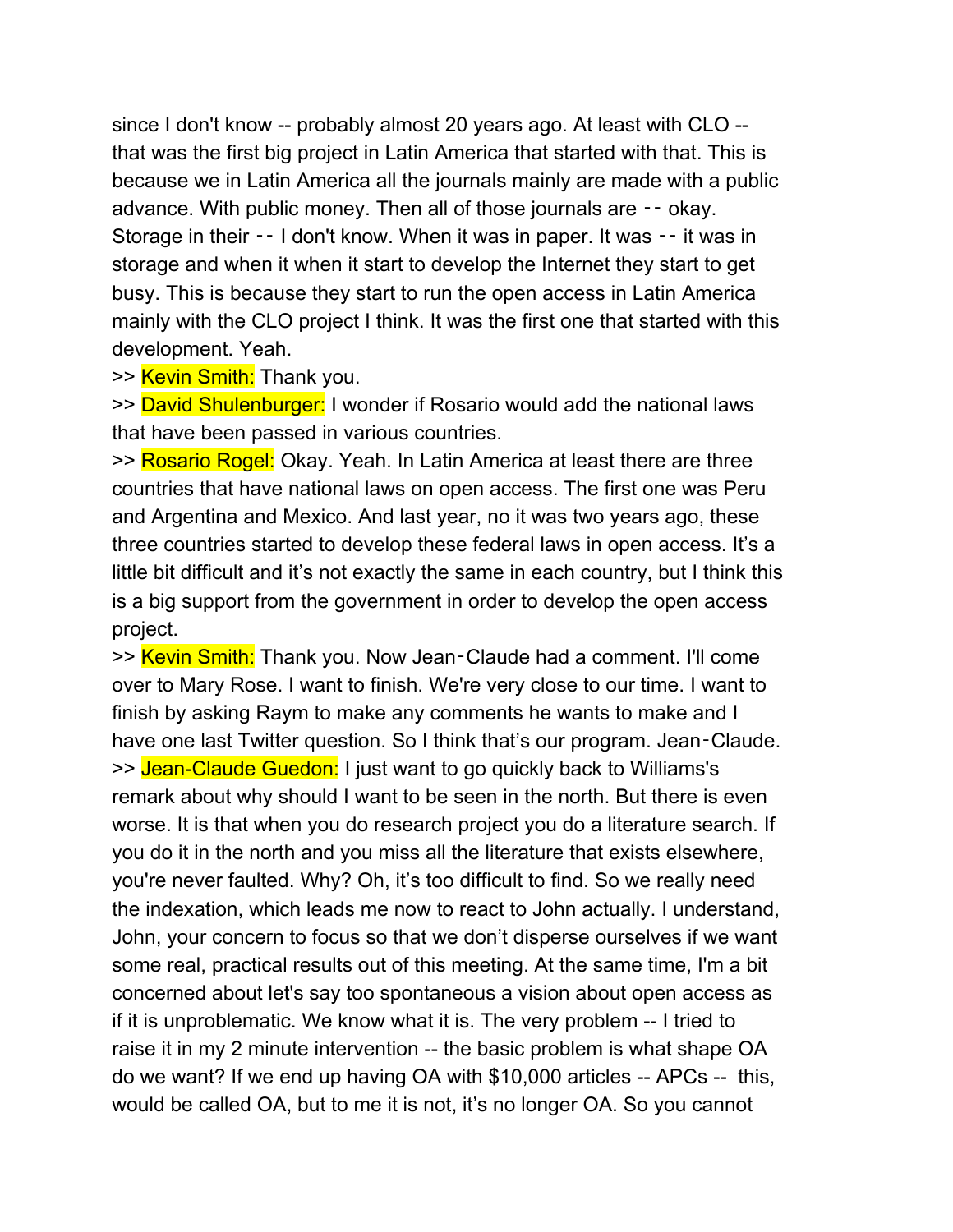since I don't know -- probably almost 20 years ago. At least with CLO - that was the first big project in Latin America that started with that. This is because we in Latin America all the journals mainly are made with a public advance. With public money. Then all of those journals are -- okay. Storage in their –– I don't know. When it was in paper. It was –– it was in storage and when it when it start to develop the Internet they start to get busy. This is because they start to run the open access in Latin America mainly with the CLO project I think. It was the first one that started with this development. Yeah.

>> Kevin Smith: Thank you.

>> David Shulenburger: I wonder if Rosario would add the national laws that have been passed in various countries.

>> Rosario Rogel: Okay. Yeah. In Latin America at least there are three countries that have national laws on open access. The first one was Peru and Argentina and Mexico. And last year, no it was two years ago, these three countries started to develop these federal laws in open access. It's a little bit difficult and it's not exactly the same in each country, but I think this is a big support from the government in order to develop the open access project.

>> Kevin Smith: Thank you. Now Jean-Claude had a comment. I'll come over to Mary Rose. I want to finish. We're very close to our time. I want to finish by asking Raym to make any comments he wants to make and I have one last Twitter question. So I think that's our program. Jean-Claude. >> Jean-Claude Guedon: I just want to go quickly back to Williams's remark about why should I want to be seen in the north. But there is even worse. It is that when you do research project you do a literature search. If you do it in the north and you miss all the literature that exists elsewhere, you're never faulted. Why? Oh, it's too difficult to find. So we really need the indexation, which leads me now to react to John actually. I understand, John, your concern to focus so that we don't disperse ourselves if we want some real, practical results out of this meeting. At the same time, I'm a bit concerned about let's say too spontaneous a vision about open access as if it is unproblematic. We know what it is. The very problem -- I tried to raise it in my 2 minute intervention -- the basic problem is what shape OA do we want? If we end up having OA with \$10,000 articles -- APCs -- this, would be called OA, but to me it is not, it's no longer OA. So you cannot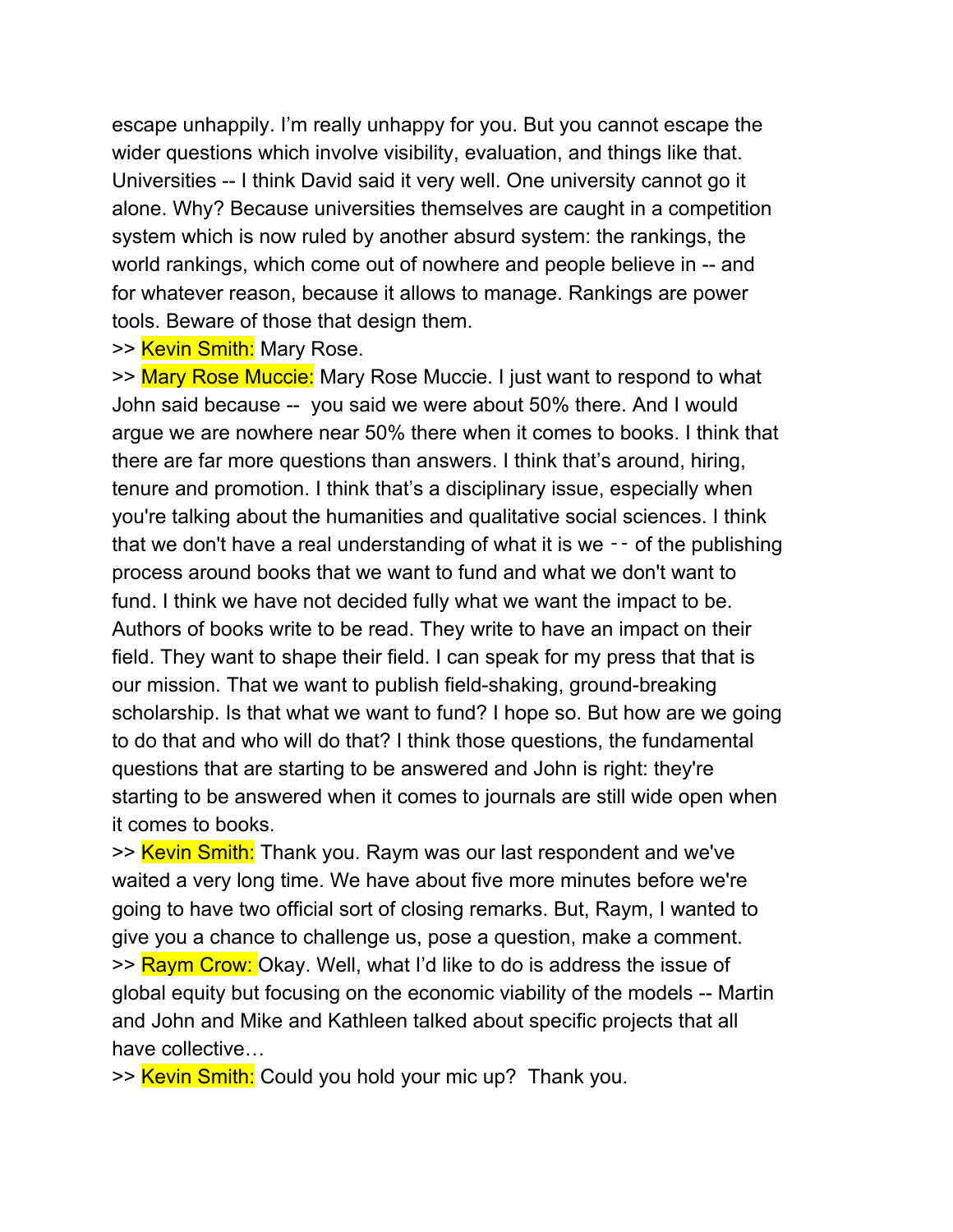escape unhappily. I'm really unhappy for you. But you cannot escape the wider questions which involve visibility, evaluation, and things like that. Universities -- I think David said it very well. One university cannot go it alone. Why? Because universities themselves are caught in a competition system which is now ruled by another absurd system: the rankings, the world rankings, which come out of nowhere and people believe in -- and for whatever reason, because it allows to manage. Rankings are power tools. Beware of those that design them.

>> Kevin Smith: Mary Rose.

>> Mary Rose Muccie: Mary Rose Muccie. I just want to respond to what John said because -- you said we were about 50% there. And I would argue we are nowhere near 50% there when it comes to books. I think that there are far more questions than answers. I think that's around, hiring, tenure and promotion. I think that's a disciplinary issue, especially when you're talking about the humanities and qualitative social sciences. I think that we don't have a real understanding of what it is we  $-$  of the publishing process around books that we want to fund and what we don't want to fund. I think we have not decided fully what we want the impact to be. Authors of books write to be read. They write to have an impact on their field. They want to shape their field. I can speak for my press that that is our mission. That we want to publish field-shaking, ground-breaking scholarship. Is that what we want to fund? I hope so. But how are we going to do that and who will do that? I think those questions, the fundamental questions that are starting to be answered and John is right: they're starting to be answered when it comes to journals are still wide open when it comes to books.

>> Kevin Smith: Thank you. Raym was our last respondent and we've waited a very long time. We have about five more minutes before we're going to have two official sort of closing remarks. But, Raym, I wanted to give you a chance to challenge us, pose a question, make a comment. >> Raym Crow: Okay. Well, what I'd like to do is address the issue of global equity but focusing on the economic viability of the models -- Martin and John and Mike and Kathleen talked about specific projects that all have collective…

>> Kevin Smith: Could you hold your mic up? Thank you.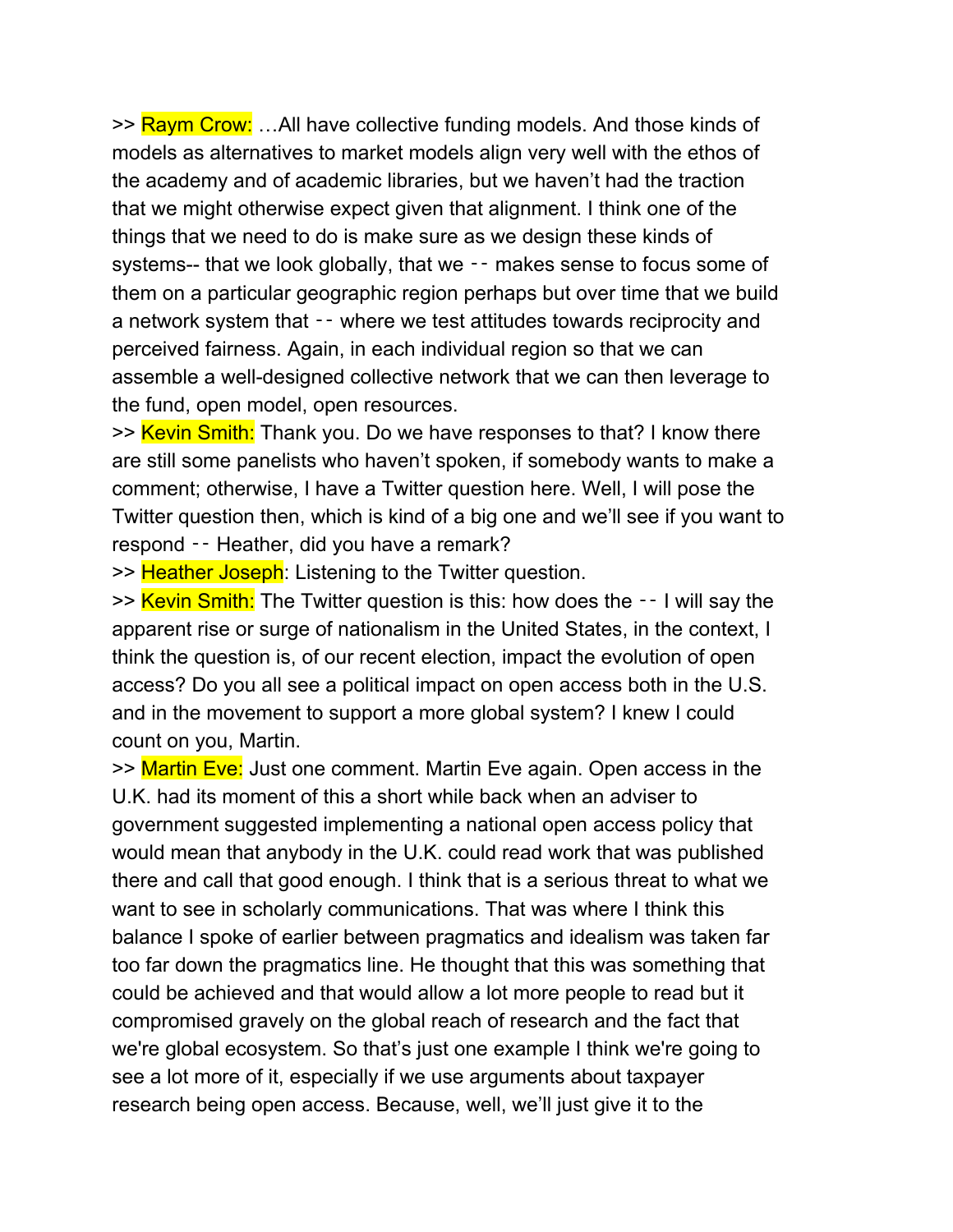>> Raym Crow: ...All have collective funding models. And those kinds of models as alternatives to market models align very well with the ethos of the academy and of academic libraries, but we haven't had the traction that we might otherwise expect given that alignment. I think one of the things that we need to do is make sure as we design these kinds of systems-- that we look globally, that we -- makes sense to focus some of them on a particular geographic region perhaps but over time that we build a network system that ‑‑ where we test attitudes towards reciprocity and perceived fairness. Again, in each individual region so that we can assemble a well-designed collective network that we can then leverage to the fund, open model, open resources.

>> Kevin Smith: Thank you. Do we have responses to that? I know there are still some panelists who haven't spoken, if somebody wants to make a comment; otherwise, I have a Twitter question here. Well, I will pose the Twitter question then, which is kind of a big one and we'll see if you want to respond -- Heather, did you have a remark?

>> Heather Joseph: Listening to the Twitter question.

>> Kevin Smith: The Twitter question is this: how does the -- I will say the apparent rise or surge of nationalism in the United States, in the context, I think the question is, of our recent election, impact the evolution of open access? Do you all see a political impact on open access both in the U.S. and in the movement to support a more global system? I knew I could count on you, Martin.

>> Martin Eve: Just one comment. Martin Eve again. Open access in the U.K. had its moment of this a short while back when an adviser to government suggested implementing a national open access policy that would mean that anybody in the U.K. could read work that was published there and call that good enough. I think that is a serious threat to what we want to see in scholarly communications. That was where I think this balance I spoke of earlier between pragmatics and idealism was taken far too far down the pragmatics line. He thought that this was something that could be achieved and that would allow a lot more people to read but it compromised gravely on the global reach of research and the fact that we're global ecosystem. So that's just one example I think we're going to see a lot more of it, especially if we use arguments about taxpayer research being open access. Because, well, we'll just give it to the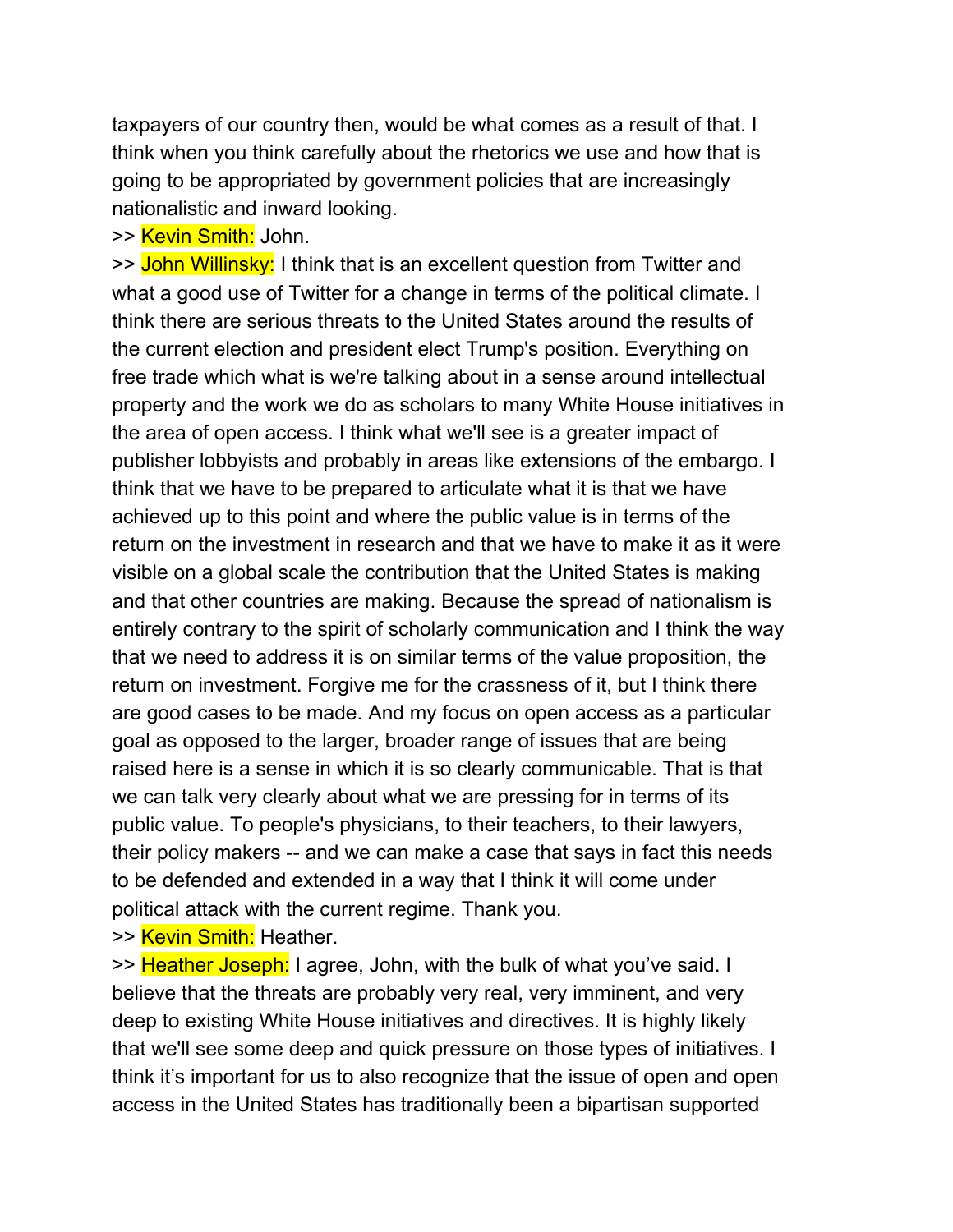taxpayers of our country then, would be what comes as a result of that. I think when you think carefully about the rhetorics we use and how that is going to be appropriated by government policies that are increasingly nationalistic and inward looking.

#### >> Kevin Smith: John.

>> John Willinsky: I think that is an excellent question from Twitter and what a good use of Twitter for a change in terms of the political climate. I think there are serious threats to the United States around the results of the current election and president elect Trump's position. Everything on free trade which what is we're talking about in a sense around intellectual property and the work we do as scholars to many White House initiatives in the area of open access. I think what we'll see is a greater impact of publisher lobbyists and probably in areas like extensions of the embargo. I think that we have to be prepared to articulate what it is that we have achieved up to this point and where the public value is in terms of the return on the investment in research and that we have to make it as it were visible on a global scale the contribution that the United States is making and that other countries are making. Because the spread of nationalism is entirely contrary to the spirit of scholarly communication and I think the way that we need to address it is on similar terms of the value proposition, the return on investment. Forgive me for the crassness of it, but I think there are good cases to be made. And my focus on open access as a particular goal as opposed to the larger, broader range of issues that are being raised here is a sense in which it is so clearly communicable. That is that we can talk very clearly about what we are pressing for in terms of its public value. To people's physicians, to their teachers, to their lawyers, their policy makers -- and we can make a case that says in fact this needs to be defended and extended in a way that I think it will come under political attack with the current regime. Thank you.

>> Kevin Smith: Heather.

>> Heather Joseph: I agree, John, with the bulk of what you've said. I believe that the threats are probably very real, very imminent, and very deep to existing White House initiatives and directives. It is highly likely that we'll see some deep and quick pressure on those types of initiatives. I think it's important for us to also recognize that the issue of open and open access in the United States has traditionally been a bipartisan supported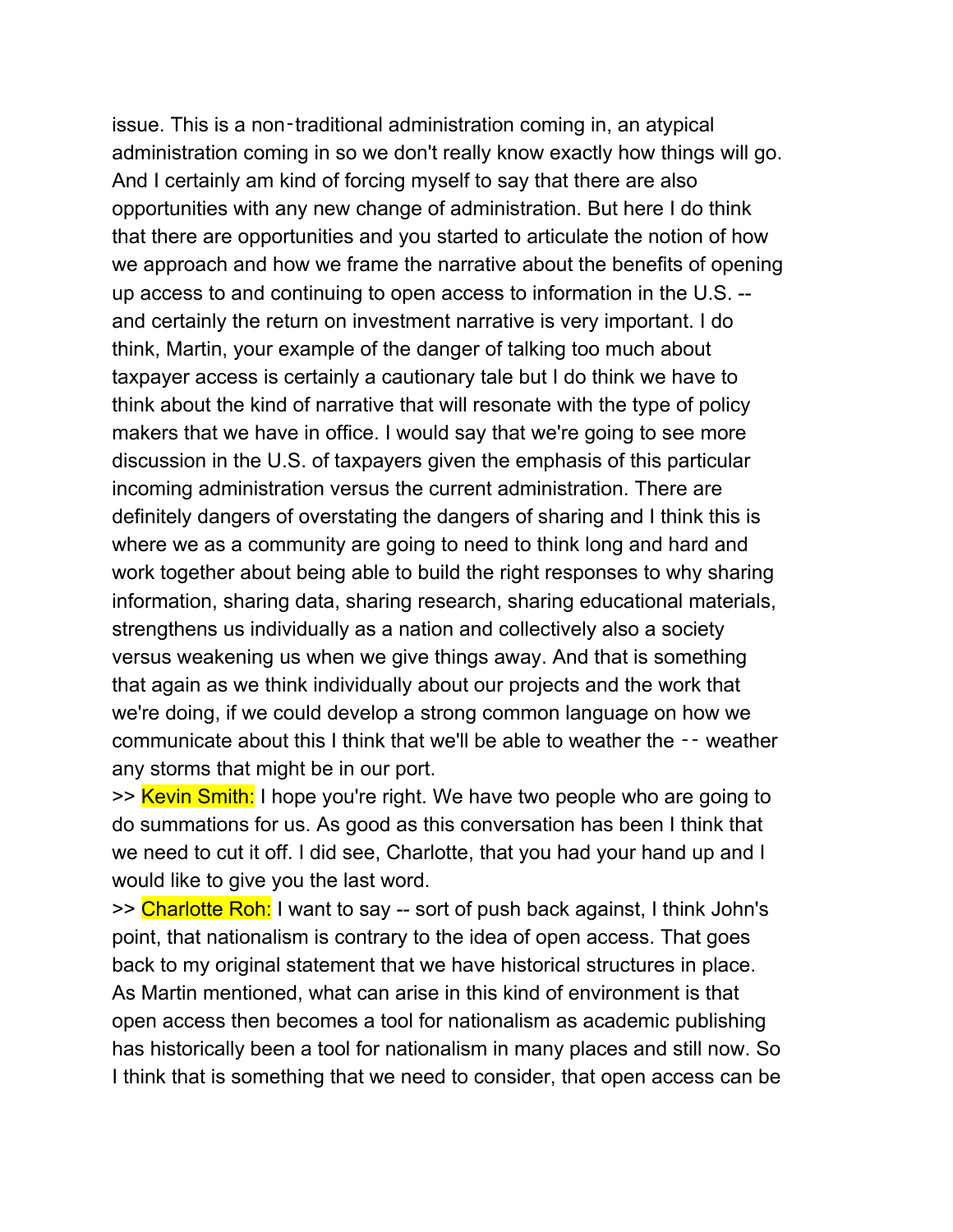issue. This is a non‑traditional administration coming in, an atypical administration coming in so we don't really know exactly how things will go. And I certainly am kind of forcing myself to say that there are also opportunities with any new change of administration. But here I do think that there are opportunities and you started to articulate the notion of how we approach and how we frame the narrative about the benefits of opening up access to and continuing to open access to information in the U.S. - and certainly the return on investment narrative is very important. I do think, Martin, your example of the danger of talking too much about taxpayer access is certainly a cautionary tale but I do think we have to think about the kind of narrative that will resonate with the type of policy makers that we have in office. I would say that we're going to see more discussion in the U.S. of taxpayers given the emphasis of this particular incoming administration versus the current administration. There are definitely dangers of overstating the dangers of sharing and I think this is where we as a community are going to need to think long and hard and work together about being able to build the right responses to why sharing information, sharing data, sharing research, sharing educational materials, strengthens us individually as a nation and collectively also a society versus weakening us when we give things away. And that is something that again as we think individually about our projects and the work that we're doing, if we could develop a strong common language on how we communicate about this I think that we'll be able to weather the ‑‑ weather any storms that might be in our port.

>> Kevin Smith: I hope you're right. We have two people who are going to do summations for us. As good as this conversation has been I think that we need to cut it off. I did see, Charlotte, that you had your hand up and I would like to give you the last word.

>> Charlotte Roh: I want to say -- sort of push back against, I think John's point, that nationalism is contrary to the idea of open access. That goes back to my original statement that we have historical structures in place. As Martin mentioned, what can arise in this kind of environment is that open access then becomes a tool for nationalism as academic publishing has historically been a tool for nationalism in many places and still now. So I think that is something that we need to consider, that open access can be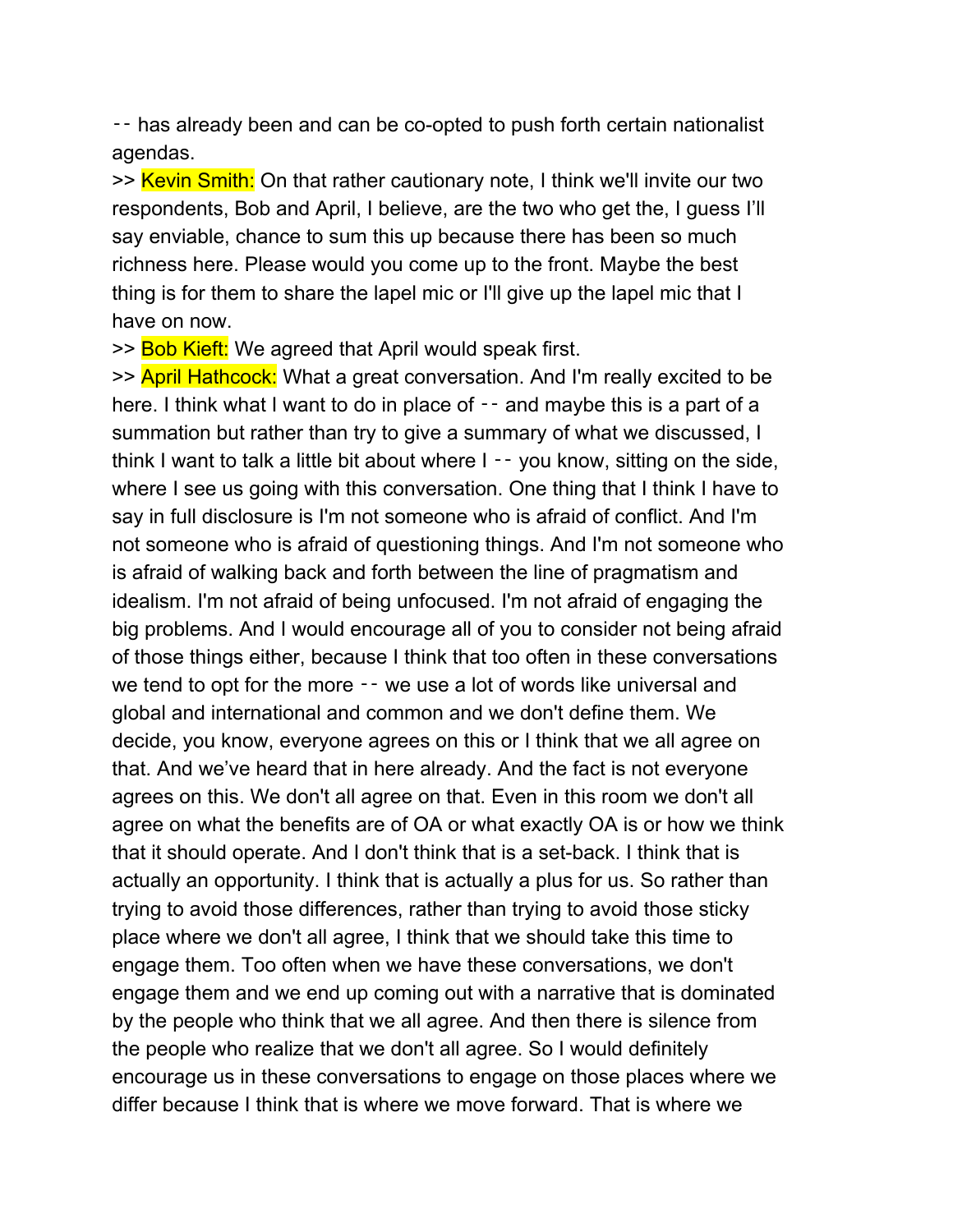‑‑ has already been and can be co-opted to push forth certain nationalist agendas.

>> Kevin Smith: On that rather cautionary note, I think we'll invite our two respondents, Bob and April, I believe, are the two who get the, I guess I'll say enviable, chance to sum this up because there has been so much richness here. Please would you come up to the front. Maybe the best thing is for them to share the lapel mic or I'll give up the lapel mic that I have on now.

>> Bob Kieft: We agreed that April would speak first.

>> April Hathcock: What a great conversation. And I'm really excited to be here. I think what I want to do in place of  $-$  and maybe this is a part of a summation but rather than try to give a summary of what we discussed, I think I want to talk a little bit about where I ‑‑ you know, sitting on the side, where I see us going with this conversation. One thing that I think I have to say in full disclosure is I'm not someone who is afraid of conflict. And I'm not someone who is afraid of questioning things. And I'm not someone who is afraid of walking back and forth between the line of pragmatism and idealism. I'm not afraid of being unfocused. I'm not afraid of engaging the big problems. And I would encourage all of you to consider not being afraid of those things either, because I think that too often in these conversations we tend to opt for the more  $-$  we use a lot of words like universal and global and international and common and we don't define them. We decide, you know, everyone agrees on this or I think that we all agree on that. And we've heard that in here already. And the fact is not everyone agrees on this. We don't all agree on that. Even in this room we don't all agree on what the benefits are of OA or what exactly OA is or how we think that it should operate. And I don't think that is a set-back. I think that is actually an opportunity. I think that is actually a plus for us. So rather than trying to avoid those differences, rather than trying to avoid those sticky place where we don't all agree, I think that we should take this time to engage them. Too often when we have these conversations, we don't engage them and we end up coming out with a narrative that is dominated by the people who think that we all agree. And then there is silence from the people who realize that we don't all agree. So I would definitely encourage us in these conversations to engage on those places where we differ because I think that is where we move forward. That is where we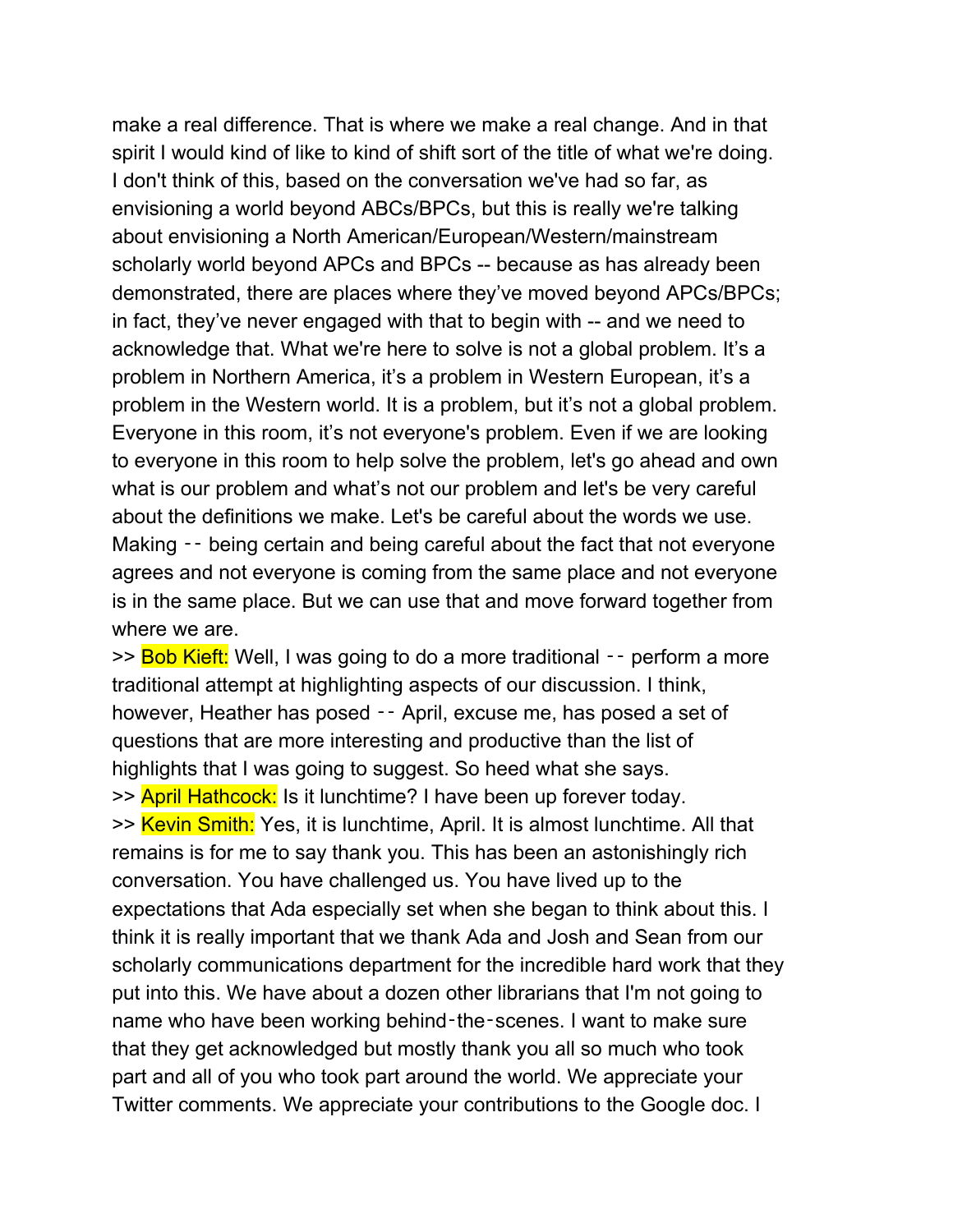make a real difference. That is where we make a real change. And in that spirit I would kind of like to kind of shift sort of the title of what we're doing. I don't think of this, based on the conversation we've had so far, as envisioning a world beyond ABCs/BPCs, but this is really we're talking about envisioning a North American/European/Western/mainstream scholarly world beyond APCs and BPCs -- because as has already been demonstrated, there are places where they've moved beyond APCs/BPCs; in fact, they've never engaged with that to begin with -- and we need to acknowledge that. What we're here to solve is not a global problem. It's a problem in Northern America, it's a problem in Western European, it's a problem in the Western world. It is a problem, but it's not a global problem. Everyone in this room, it's not everyone's problem. Even if we are looking to everyone in this room to help solve the problem, let's go ahead and own what is our problem and what's not our problem and let's be very careful about the definitions we make. Let's be careful about the words we use. Making –– being certain and being careful about the fact that not everyone agrees and not everyone is coming from the same place and not everyone is in the same place. But we can use that and move forward together from where we are.

>> Bob Kieft: Well, I was going to do a more traditional -- perform a more traditional attempt at highlighting aspects of our discussion. I think, however, Heather has posed — April, excuse me, has posed a set of questions that are more interesting and productive than the list of highlights that I was going to suggest. So heed what she says. >> April Hathcock: Is it lunchtime? I have been up forever today. >> Kevin Smith: Yes, it is lunchtime, April. It is almost lunchtime. All that remains is for me to say thank you. This has been an astonishingly rich conversation. You have challenged us. You have lived up to the expectations that Ada especially set when she began to think about this. I think it is really important that we thank Ada and Josh and Sean from our scholarly communications department for the incredible hard work that they put into this. We have about a dozen other librarians that I'm not going to name who have been working behind-the-scenes. I want to make sure that they get acknowledged but mostly thank you all so much who took part and all of you who took part around the world. We appreciate your Twitter comments. We appreciate your contributions to the Google doc. I